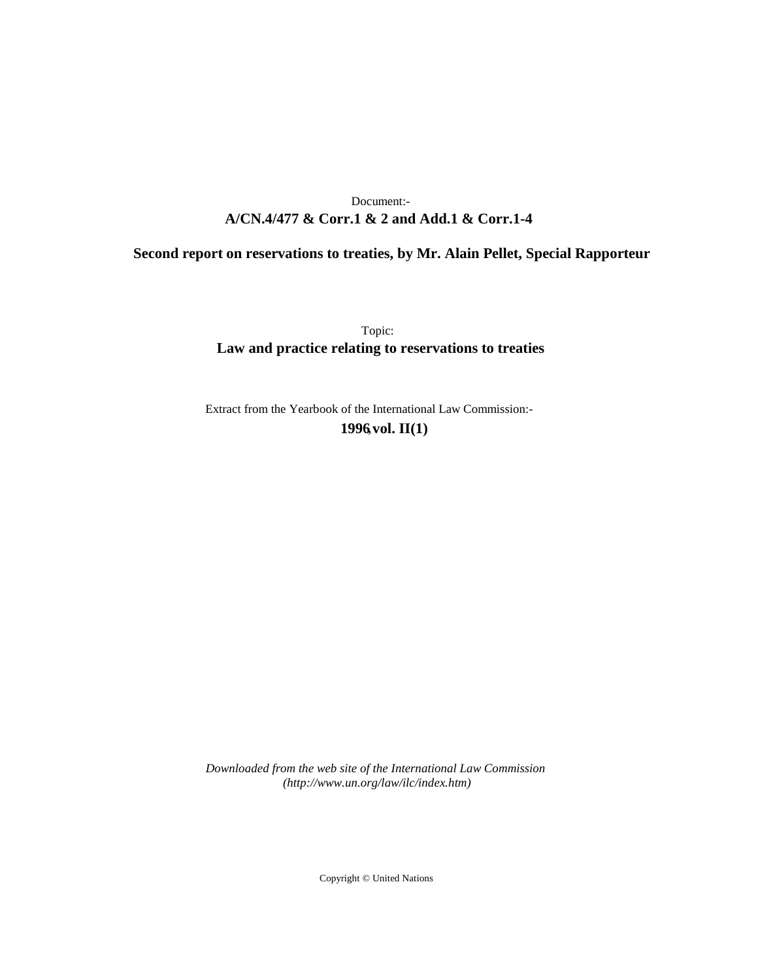# **A/CN.4/477 & Corr.1 & 2 and Add.1 & Corr.1-4** Document:-

# **Second report on reservations to treaties, by Mr. Alain Pellet, Special Rapporteur**

Topic: **Law and practice relating to reservations to treaties**

Extract from the Yearbook of the International Law Commission:- **1996** ,**vol. II(1)**

*Downloaded from the web site of the International Law Commission (http://www.un.org/law/ilc/index.htm)*

Copyright © United Nations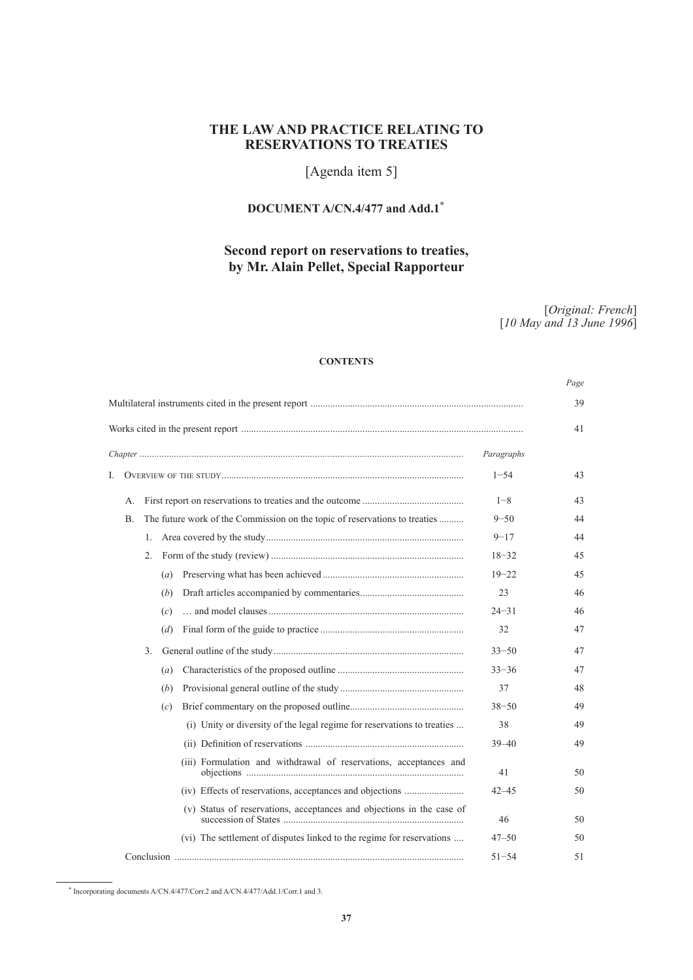# **THE LAW AND PRACTICE RELATING TO RESERVATIONS TO TREATIES**

# [Agenda item 5]

# **DOCUMENT A/CN.4/477 and Add.1\***<sup>1</sup>

# **Second report on reservations to treaties, by Mr. Alain Pellet, Special Rapporteur**

[*Original: French*] [*10 May and 13 June 1996*]

*Page*

# **CONTENTS**

|            |           |                                                                            |          |                                                                         |           | ruge |  |
|------------|-----------|----------------------------------------------------------------------------|----------|-------------------------------------------------------------------------|-----------|------|--|
|            |           |                                                                            |          |                                                                         |           |      |  |
|            |           |                                                                            |          |                                                                         |           |      |  |
| Paragraphs |           |                                                                            |          |                                                                         |           |      |  |
| I.         | $1 - 54$  |                                                                            |          |                                                                         |           |      |  |
|            | А.        |                                                                            |          |                                                                         | $1 - 8$   | 43   |  |
|            | B.        | The future work of the Commission on the topic of reservations to treaties | $9 - 50$ | 44                                                                      |           |      |  |
|            |           | 1.                                                                         |          |                                                                         | $9 - 17$  | 44   |  |
|            |           | $2_{-}$                                                                    |          |                                                                         | $18 - 32$ | 45   |  |
|            |           |                                                                            | (a)      |                                                                         | $19 - 22$ | 45   |  |
|            |           |                                                                            | (b)      |                                                                         | 23        | 46   |  |
|            |           |                                                                            | (c)      |                                                                         | $24 - 31$ | 46   |  |
|            |           |                                                                            | (d)      |                                                                         | 32        | 47   |  |
|            |           | 3.                                                                         |          |                                                                         | $33 - 50$ | 47   |  |
|            |           |                                                                            | (a)      |                                                                         | $33 - 36$ | 47   |  |
|            |           |                                                                            | (b)      |                                                                         | 37        | 48   |  |
|            |           |                                                                            | (c)      |                                                                         | $38 - 50$ | 49   |  |
|            |           |                                                                            |          | (i) Unity or diversity of the legal regime for reservations to treaties | 38        | 49   |  |
|            |           |                                                                            |          |                                                                         | $39 - 40$ | 49   |  |
|            |           |                                                                            |          | (iii) Formulation and withdrawal of reservations, acceptances and       | 41        | 50   |  |
|            |           |                                                                            |          | (iv) Effects of reservations, acceptances and objections                | $42 - 45$ | 50   |  |
|            |           |                                                                            |          | (v) Status of reservations, acceptances and objections in the case of   | 46        | 50   |  |
|            |           |                                                                            |          | (vi) The settlement of disputes linked to the regime for reservations   | $47 - 50$ | 50   |  |
|            | $51 - 54$ |                                                                            |          |                                                                         |           |      |  |

<sup>\*</sup> Incorporating documents A/CN.4/477/Corr.2 and A/CN.4/477/Add.1/Corr.1 and 3.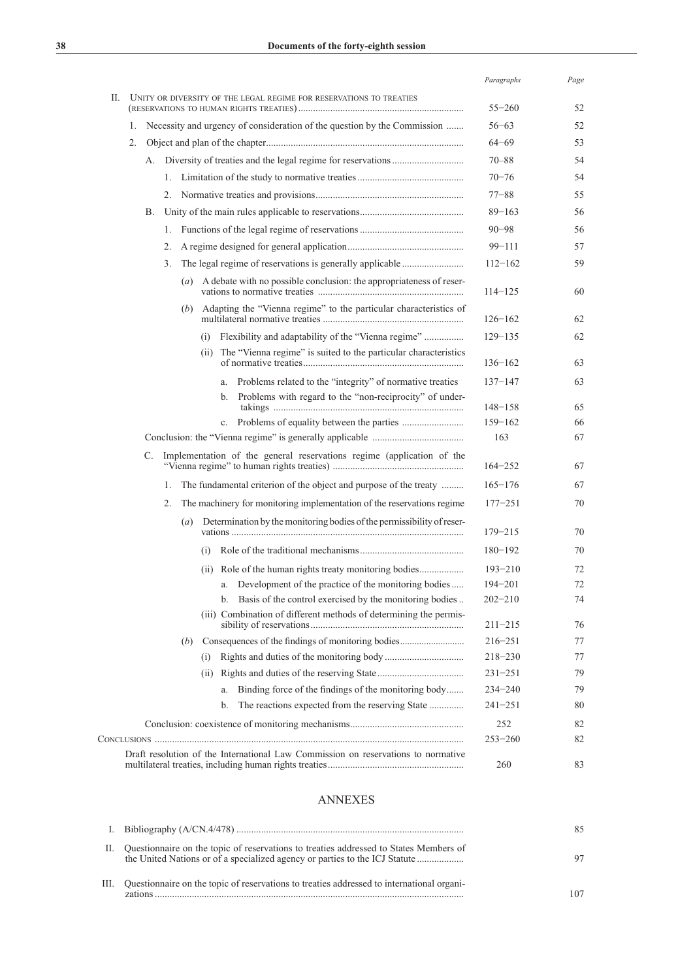|    |                |    |                                                                     |            |                                                                                   | Paragraphs         | Page     |
|----|----------------|----|---------------------------------------------------------------------|------------|-----------------------------------------------------------------------------------|--------------------|----------|
| П. |                |    | UNITY OR DIVERSITY OF THE LEGAL REGIME FOR RESERVATIONS TO TREATIES | $55 - 260$ | 52                                                                                |                    |          |
|    | $\mathbf{1}$ . |    |                                                                     |            | Necessity and urgency of consideration of the question by the Commission          | $56 - 63$          | 52       |
|    | 2.             |    |                                                                     |            |                                                                                   | $64 - 69$          | 53       |
|    |                |    |                                                                     |            |                                                                                   | $70 - 88$          | 54       |
|    |                |    | 1.                                                                  |            |                                                                                   | $70 - 76$          | 54       |
|    |                |    | 2.                                                                  |            |                                                                                   | $77 - 88$          | 55       |
|    |                | В. |                                                                     |            |                                                                                   | $89 - 163$         | 56       |
|    |                |    | 1.                                                                  |            |                                                                                   | $90 - 98$          | 56       |
|    |                |    | 2.                                                                  |            |                                                                                   | $99 - 111$         | 57       |
|    |                |    | 3.                                                                  |            |                                                                                   | $112 - 162$        | 59       |
|    |                |    |                                                                     |            | (a) A debate with no possible conclusion: the appropriateness of reser-           | $114 - 125$        | 60       |
|    |                |    | (b)                                                                 |            | Adapting the "Vienna regime" to the particular characteristics of                 | $126 - 162$        | 62       |
|    |                |    |                                                                     | (i)        | Flexibility and adaptability of the "Vienna regime"                               | $129 - 135$        | 62       |
|    |                |    |                                                                     | (ii)       | The "Vienna regime" is suited to the particular characteristics                   | $136 - 162$        | 63       |
|    |                |    |                                                                     |            | Problems related to the "integrity" of normative treaties<br>a.                   | $137 - 147$        | 63       |
|    |                |    |                                                                     |            | Problems with regard to the "non-reciprocity" of under-<br>b.                     |                    |          |
|    |                |    |                                                                     |            |                                                                                   | 148–158            | 65       |
|    |                |    |                                                                     |            | $c_{-}$                                                                           | $159 - 162$<br>163 | 66<br>67 |
|    |                |    |                                                                     |            |                                                                                   |                    |          |
|    |                | C. |                                                                     |            | Implementation of the general reservations regime (application of the             | $164 - 252$        | 67       |
|    |                |    | 1.                                                                  |            | The fundamental criterion of the object and purpose of the treaty                 | $165 - 176$        | 67       |
|    |                |    | 2.                                                                  |            | The machinery for monitoring implementation of the reservations regime            | $177 - 251$        | 70       |
|    |                |    | (a)                                                                 |            | Determination by the monitoring bodies of the permissibility of reser-            | $179 - 215$        | 70       |
|    |                |    |                                                                     | (i)        |                                                                                   | $180 - 192$        | 70       |
|    |                |    |                                                                     | (ii)       |                                                                                   | $193 - 210$        | 72       |
|    |                |    |                                                                     |            | a. Development of the practice of the monitoring bodies                           | $194 - 201$        | 72       |
|    |                |    |                                                                     |            | b. Basis of the control exercised by the monitoring bodies                        | $202 - 210$        | 74       |
|    |                |    |                                                                     |            | (iii) Combination of different methods of determining the permis-                 | $211 - 215$        | 76       |
|    |                |    | (b)                                                                 |            | Consequences of the findings of monitoring bodies                                 | $216 - 251$        | 77       |
|    |                |    |                                                                     | (i)        |                                                                                   | $218 - 230$        | 77       |
|    |                |    |                                                                     | (ii)       |                                                                                   | $231 - 251$        | 79       |
|    |                |    |                                                                     |            | Binding force of the findings of the monitoring body<br>a.                        | $234 - 240$        | 79       |
|    |                |    |                                                                     |            | The reactions expected from the reserving State<br>b.                             | $241 - 251$        | 80       |
|    |                |    |                                                                     |            |                                                                                   | 252                | 82       |
|    |                |    |                                                                     |            |                                                                                   | $253 - 260$        | 82       |
|    |                |    |                                                                     |            | Draft resolution of the International Law Commission on reservations to normative | 260                | 83       |

# ANNEXES

|    |                                                                                                | 85  |
|----|------------------------------------------------------------------------------------------------|-----|
| Н. | Questionnaire on the topic of reservations to treaties addressed to States Members of          | 97  |
|    | III. Questionnaire on the topic of reservations to treaties addressed to international organi- | 107 |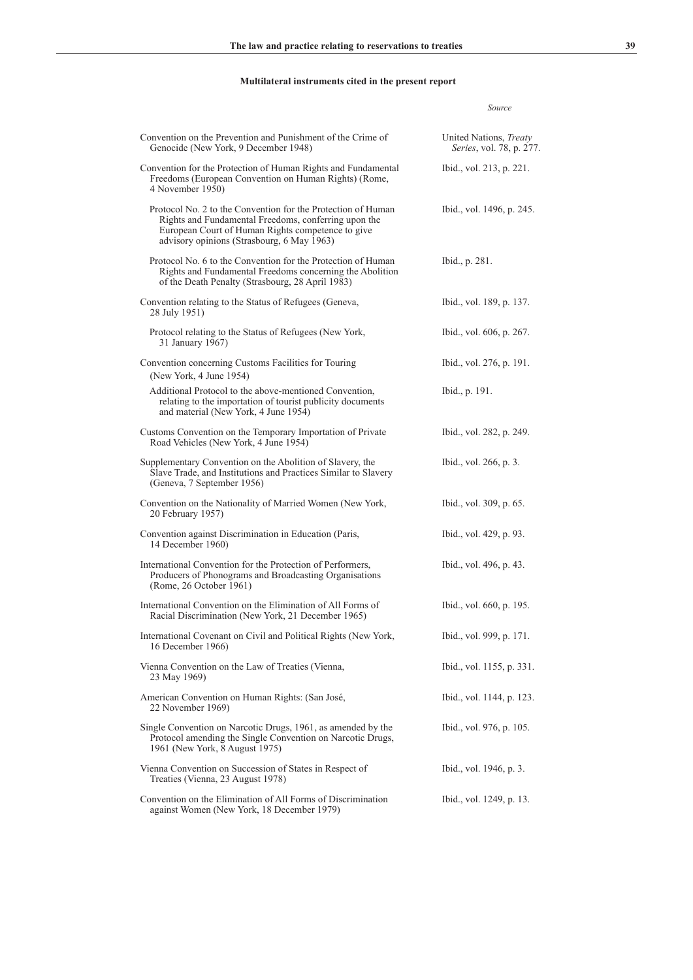# **Multilateral instruments cited in the present report**

| Convention on the Prevention and Punishment of the Crime of<br>Genocide (New York, 9 December 1948)                                                                                                                     | United Nations, Treaty<br>Series, vol. 78, p. 277. |
|-------------------------------------------------------------------------------------------------------------------------------------------------------------------------------------------------------------------------|----------------------------------------------------|
| Convention for the Protection of Human Rights and Fundamental<br>Freedoms (European Convention on Human Rights) (Rome,<br>4 November 1950)                                                                              | Ibid., vol. 213, p. 221.                           |
| Protocol No. 2 to the Convention for the Protection of Human<br>Rights and Fundamental Freedoms, conferring upon the<br>European Court of Human Rights competence to give<br>advisory opinions (Strasbourg, 6 May 1963) | Ibid., vol. 1496, p. 245.                          |
| Protocol No. 6 to the Convention for the Protection of Human<br>Rights and Fundamental Freedoms concerning the Abolition<br>of the Death Penalty (Strasbourg, 28 April 1983)                                            | Ibid., p. 281.                                     |
| Convention relating to the Status of Refugees (Geneva,<br>28 July 1951)                                                                                                                                                 | Ibid., vol. 189, p. 137.                           |
| Protocol relating to the Status of Refugees (New York,<br>31 January 1967)                                                                                                                                              | Ibid., vol. 606, p. 267.                           |
| Convention concerning Customs Facilities for Touring<br>(New York, 4 June 1954)                                                                                                                                         | Ibid., vol. 276, p. 191.                           |
| Additional Protocol to the above-mentioned Convention,<br>relating to the importation of tourist publicity documents<br>and material (New York, 4 June 1954)                                                            | Ibid., p. 191.                                     |
| Customs Convention on the Temporary Importation of Private<br>Road Vehicles (New York, 4 June 1954)                                                                                                                     | Ibid., vol. 282, p. 249.                           |
| Supplementary Convention on the Abolition of Slavery, the<br>Slave Trade, and Institutions and Practices Similar to Slavery<br>(Geneva, 7 September 1956)                                                               | Ibid., vol. 266, p. 3.                             |
| Convention on the Nationality of Married Women (New York,<br>20 February 1957)                                                                                                                                          | Ibid., vol. 309, p. 65.                            |
| Convention against Discrimination in Education (Paris,<br>14 December 1960)                                                                                                                                             | Ibid., vol. 429, p. 93.                            |
| International Convention for the Protection of Performers,<br>Producers of Phonograms and Broadcasting Organisations<br>(Rome, 26 October 1961)                                                                         | Ibid., vol. 496, p. 43.                            |
| International Convention on the Elimination of All Forms of<br>Racial Discrimination (New York, 21 December 1965)                                                                                                       | Ibid., vol. 660, p. 195.                           |
| International Covenant on Civil and Political Rights (New York,<br>16 December 1966)                                                                                                                                    | Ibid., vol. 999, p. 171.                           |
| Vienna Convention on the Law of Treaties (Vienna,<br>23 May 1969)                                                                                                                                                       | Ibid., vol. 1155, p. 331.                          |
| American Convention on Human Rights: (San José,<br>22 November 1969)                                                                                                                                                    | Ibid., vol. 1144, p. 123.                          |
| Single Convention on Narcotic Drugs, 1961, as amended by the<br>Protocol amending the Single Convention on Narcotic Drugs,<br>1961 (New York, 8 August 1975)                                                            | Ibid., vol. 976, p. 105.                           |
| Vienna Convention on Succession of States in Respect of<br>Treaties (Vienna, 23 August 1978)                                                                                                                            | Ibid., vol. 1946, p. 3.                            |
| Convention on the Elimination of All Forms of Discrimination<br>against Women (New York, 18 December 1979)                                                                                                              | Ibid., vol. 1249, p. 13.                           |

*Source*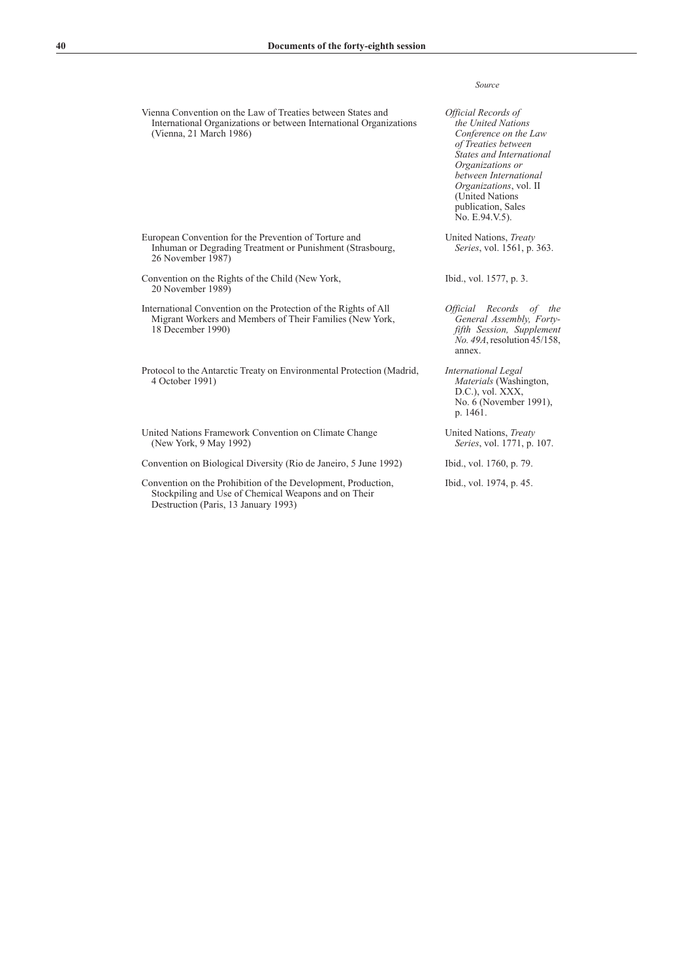Vienna Convention on the Law of Treaties between States and International Organizations or between International Organizations (Vienna, 21 March 1986)

- European Convention for the Prevention of Torture and Inhuman or Degrading Treatment or Punishment (Strasbourg, 26 November 1987)
- Convention on the Rights of the Child (New York, 20 November 1989)
- International Convention on the Protection of the Rights of All Migrant Workers and Members of Their Families (New York, 18 December 1990)
- Protocol to the Antarctic Treaty on Environmental Protection (Madrid, 4 October 1991)

United Nations Framework Convention on Climate Change (New York, 9 May 1992)

Convention on Biological Diversity (Rio de Janeiro, 5 June 1992) Ibid., vol. 1760, p. 79.

Convention on the Prohibition of the Development, Production, Stockpiling and Use of Chemical Weapons and on Their Destruction (Paris, 13 January 1993)

### *Source*

*Official Records of the United Nations Conference on the Law of Treaties between States and International Organizations or between International Organizations*, vol. II (United Nations publication, Sales No. E.94.V.5).

United Nations, *Treaty Series*, vol. 1561, p. 363.

Ibid., vol. 1577, p. 3.

- *Official Records of the General Assembly, Fortyfifth Session, Supplement No. 49A*, resolution 45/158, annex.
- *International Legal Materials* (Washington, D.C.), vol. XXX, No. 6 (November 1991), p. 1461.
- United Nations, *Treaty Series*, vol. 1771, p. 107.

Ibid., vol. 1974, p. 45.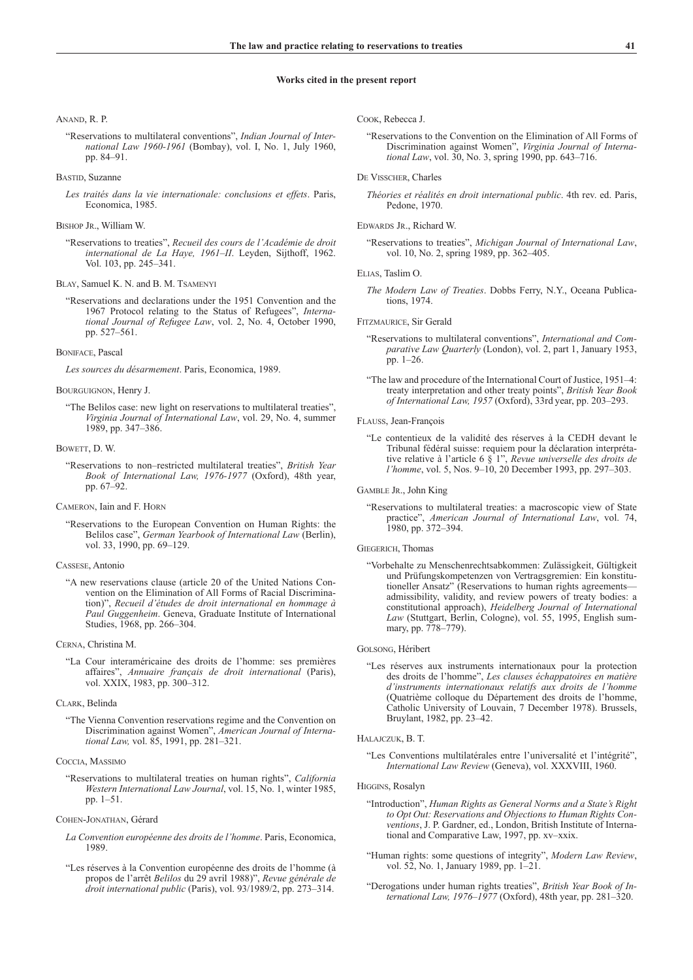### **Works cited in the present report**

#### Anand, R. P.

"Reservations to multilateral conventions", *Indian Journal of International Law 1960-1961* (Bombay), vol. I, No. 1, July 1960, pp. 84–91.

### Bastid, Suzanne

*Les traités dans la vie internationale: conclusions et effets*. Paris, Economica, 1985.

### BISHOP JR., William W.

"Reservations to treaties", *Recueil des cours de l'Académie de droit international de La Haye, 1961–II*. Leyden, Sijthoff, 1962. Vol. 103, pp. 245–341.

Blay, Samuel K. N. and B. M. Tsamenyi

"Reservations and declarations under the 1951 Convention and the 1967 Protocol relating to the Status of Refugees", *International Journal of Refugee Law*, vol. 2, No. 4, October 1990, pp. 527–561.

### Boniface, Pascal

*Les sources du désarmement*. Paris, Economica, 1989.

Bourguignon, Henry J.

#### Bowett, D. W.

"Reservations to non–restricted multilateral treaties", *British Year Book of International Law, 1976-1977* (Oxford), 48th year, pp. 67–92.

### Cameron, Iain and F. Horn

"Reservations to the European Convention on Human Rights: the Belilos case", *German Yearbook of International Law* (Berlin), vol. 33, 1990, pp. 69-129.

### Cassese, Antonio

"A new reservations clause (article 20 of the United Nations Convention on the Elimination of All Forms of Racial Discrimination)", *Recueil d'études de droit international en hommage à Paul Guggenheim*. Geneva, Graduate Institute of International Studies, 1968, pp. 266–304.

#### Cerna, Christina M.

"La Cour interaméricaine des droits de l'homme: ses premières affaires", *Annuaire français de droit international* (Paris), vol. XXIX, 1983, pp. 300-312.

#### CLARK, Belinda

"The Vienna Convention reservations regime and the Convention on Discrimination against Women", *American Journal of International Law,* vol. 85, 1991, pp. 281–321.

#### Coccia, Massimo

"Reservations to multilateral treaties on human rights", *California Western International Law Journal*, vol. 15, No. 1, winter 1985, pp. 1–51.

### Cohen-Jonathan, Gérard

- *La Convention européenne des droits de l'homme*. Paris, Economica, 1989.
- "Les réserves à la Convention européenne des droits de l'homme (à propos de l'arrêt *Belilos* du 29 avril 1988)", *Revue générale de droit international public* (Paris), vol. 93/1989/2, pp. 273–314.

Cook, Rebecca J.

"Reservations to the Convention on the Elimination of All Forms of Discrimination against Women", *Virginia Journal of International Law*, vol. 30, No. 3, spring 1990, pp. 643–716.

#### De Visscher, Charles

*Théories et réalités en droit international public*. 4th rev. ed. Paris, Pedone, 1970.

#### Edwards Jr., Richard W.

"Reservations to treaties", *Michigan Journal of International Law*, vol. 10, No. 2, spring 1989, pp. 362–405.

### Elias, Taslim O.

*The Modern Law of Treaties*. Dobbs Ferry, N.Y., Oceana Publications, 1974.

#### Fitzmaurice, Sir Gerald

- "Reservations to multilateral conventions", *International and Comparative Law Quarterly* (London), vol. 2, part 1, January 1953, pp. 1–26.
- "The law and procedure of the International Court of Justice, 1951–4: treaty interpretation and other treaty points", *British Year Book of International Law, 1957* (Oxford), 33rd year, pp. 203–293.

#### Flauss, Jean-François

- "Le contentieux de la validité des réserves à la CEDH devant le Tribunal fédéral suisse: requiem pour la déclaration interprétative relative à l'article 6 § 1", *Revue universelle des droits de l'homme*, vol. 5, Nos. 9–10, 20 December 1993, pp. 297–303.
- Gamble Jr., John King
	- "Reservations to multilateral treaties: a macroscopic view of State practice", *American Journal of International Law*, vol. 74, 1980, pp. 372–394.

#### GIEGERICH, Thomas

"Vorbehalte zu Menschenrechtsabkommen: Zulässigkeit, Gültigkeit und Prüfungskompetenzen von Vertragsgremien: Ein konstitutioneller Ansatz" (Reservations to human rights agreements admissibility, validity, and review powers of treaty bodies: a constitutional approach), *Heidelberg Journal of International Law* (Stuttgart, Berlin, Cologne), vol. 55, 1995, English summary, pp. 778–779).

#### Golsong, Héribert

"Les réserves aux instruments internationaux pour la protection des droits de l'homme", *Les clauses échappatoires en matière d'instruments internationaux relatifs aux droits de l'homme* (Quatrième colloque du Département des droits de l'homme, Catholic University of Louvain, 7 December 1978). Brussels, Bruylant, 1982, pp. 23–42.

### Halajczuk, B. T.

"Les Conventions multilatérales entre l'universalité et l'intégrité", *International Law Review* (Geneva), vol. XXXVIII, 1960.

### Higgins, Rosalyn

- "Introduction", *Human Rights as General Norms and a State's Right to Opt Out: Reservations and Objections to Human Rights Conventions*, J. P. Gardner, ed., London, British Institute of International and Comparative Law, 1997, pp. xv–xxix.
- "Human rights: some questions of integrity", *Modern Law Review*, vol. 52, No. 1, January 1989, pp. 1–21.
- "Derogations under human rights treaties", *British Year Book of International Law, 1976–1977* (Oxford), 48th year, pp. 281–320.

<sup>&</sup>quot;The Belilos case: new light on reservations to multilateral treaties", *Virginia Journal of International Law*, vol. 29, No. 4, summer 1989, pp. 347–386.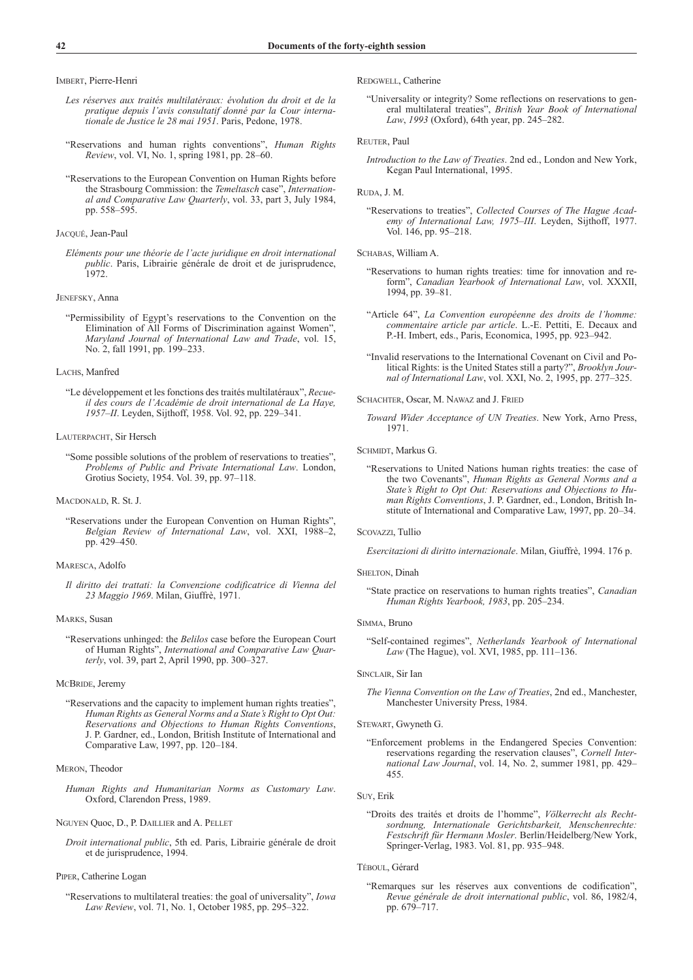Imbert, Pierre-Henri

- *Les réserves aux traités multilatéraux: évolution du droit et de la pratique depuis l'avis consultatif donné par la Cour internationale de Justice le 28 mai 1951*. Paris, Pedone, 1978.
- "Reservations and human rights conventions", *Human Rights Review*, vol. VI, No. 1, spring 1981, pp. 28–60.
- "Reservations to the European Convention on Human Rights before the Strasbourg Commission: the *Temeltasch* case", *International and Comparative Law Quarterly*, vol. 33, part 3, July 1984, pp. 558–595.

### Jacqué, Jean-Paul

*Eléments pour une théorie de l'acte juridique en droit international public*. Paris, Librairie générale de droit et de jurisprudence, 1972.

### JENEFSKY, Anna

"Permissibility of Egypt's reservations to the Convention on the Elimination of All Forms of Discrimination against Women", *Maryland Journal of International Law and Trade*, vol. 15, No. 2, fall 1991, pp. 199–233.

### LACHS, Manfred

"Le développement et les fonctions des traités multilatéraux", *Recueil des cours de l'Académie de droit international de La Haye, 1957–II*. Leyden, Sijthoff, 1958. Vol. 92, pp. 229–341.

### LAUTERPACHT, Sir Hersch

"Some possible solutions of the problem of reservations to treaties", *Problems of Public and Private International Law*. London, Grotius Society, 1954. Vol. 39, pp. 97–118.

### MACDONALD, R. St. J.

"Reservations under the European Convention on Human Rights", *Belgian Review of International Law*, vol. XXI, 1988–2, pp. 429–450.

# Maresca, Adolfo

*Il diritto dei trattati: la Convenzione codificatrice di Vienna del 23 Maggio 1969*. Milan, Giuffrè, 1971.

#### Marks, Susan

"Reservations unhinged: the *Belilos* case before the European Court of Human Rights", *International and Comparative Law Quarterly*, vol. 39, part 2, April 1990, pp. 300–327.

### McBRIDE, Jeremy

"Reservations and the capacity to implement human rights treaties", *Human Rights as General Norms and a State's Right to Opt Out: Reservations and Objections to Human Rights Conventions*, J. P. Gardner, ed., London, British Institute of International and Comparative Law, 1997, pp. 120–184.

### Meron, Theodor

*Human Rights and Humanitarian Norms as Customary Law*. Oxford, Clarendon Press, 1989.

### NGUYEN Quoc, D., P. DAILLIER and A. PELLET

*Droit international public*, 5th ed. Paris, Librairie générale de droit et de jurisprudence, 1994.

#### Piper, Catherine Logan

"Reservations to multilateral treaties: the goal of universality", *Iowa Law Review*, vol. 71, No. 1, October 1985, pp. 295–322.

REDGWELL, Catherine

"Universality or integrity? Some reflections on reservations to general multilateral treaties", *British Year Book of International Law*, *1993* (Oxford), 64th year, pp. 245–282.

### REUTER, Paul

*Introduction to the Law of Treaties*. 2nd ed., London and New York, Kegan Paul International, 1995.

### Ruda, J. M.

"Reservations to treaties", *Collected Courses of The Hague Academy of International Law, 1975–III*. Leyden, Sijthoff, 1977. Vol. 146, pp. 95–218.

### SCHABAS, William A.

- "Reservations to human rights treaties: time for innovation and reform", *Canadian Yearbook of International Law*, vol. XXXII, 1994, pp. 39–81.
- "Article 64", *La Convention européenne des droits de l'homme: commentaire article par article*. L.-E. Pettiti, E. Decaux and P.-H. Imbert, eds., Paris, Economica, 1995, pp. 923–942.
- "Invalid reservations to the International Covenant on Civil and Political Rights: is the United States still a party?", *Brooklyn Journal of International Law*, vol. XXI, No. 2, 1995, pp. 277–325.
- Schachter, Oscar, M. Nawaz and J. Fried
	- *Toward Wider Acceptance of UN Treaties*. New York, Arno Press, 1971.

### SCHMIDT, Markus G.

"Reservations to United Nations human rights treaties: the case of the two Covenants", *Human Rights as General Norms and a State's Right to Opt Out: Reservations and Objections to Human Rights Conventions*, J. P. Gardner, ed., London, British Institute of International and Comparative Law, 1997, pp. 20–34.

#### Scovazzi, Tullio

*Esercitazioni di diritto internazionale*. Milan, Giuffrè, 1994. 176 p.

### SHELTON, Dinah

"State practice on reservations to human rights treaties", *Canadian Human Rights Yearbook, 1983*, pp. 205–234.

#### Simma, Bruno

"Self-contained regimes", *Netherlands Yearbook of International Law* (The Hague), vol. XVI, 1985, pp. 111–136.

#### Sinclair, Sir Ian

*The Vienna Convention on the Law of Treaties*, 2nd ed., Manchester, Manchester University Press, 1984.

### Stewart, Gwyneth G.

"Enforcement problems in the Endangered Species Convention: reservations regarding the reservation clauses", *Cornell International Law Journal*, vol. 14, No. 2, summer 1981, pp. 429– 455.

### Suy, Erik

"Droits des traités et droits de l'homme", *Völkerrecht als Rechtsordnung, Internationale Gerichtsbarkeit, Menschenrechte: Festschrift für Hermann Mosler*. Berlin/Heidelberg/New York, Springer-Verlag, 1983. Vol. 81, pp. 935–948.

#### TÉBOUL, Gérard

"Remarques sur les réserves aux conventions de codification", *Revue générale de droit international public*, vol. 86, 1982/4, pp. 679–717.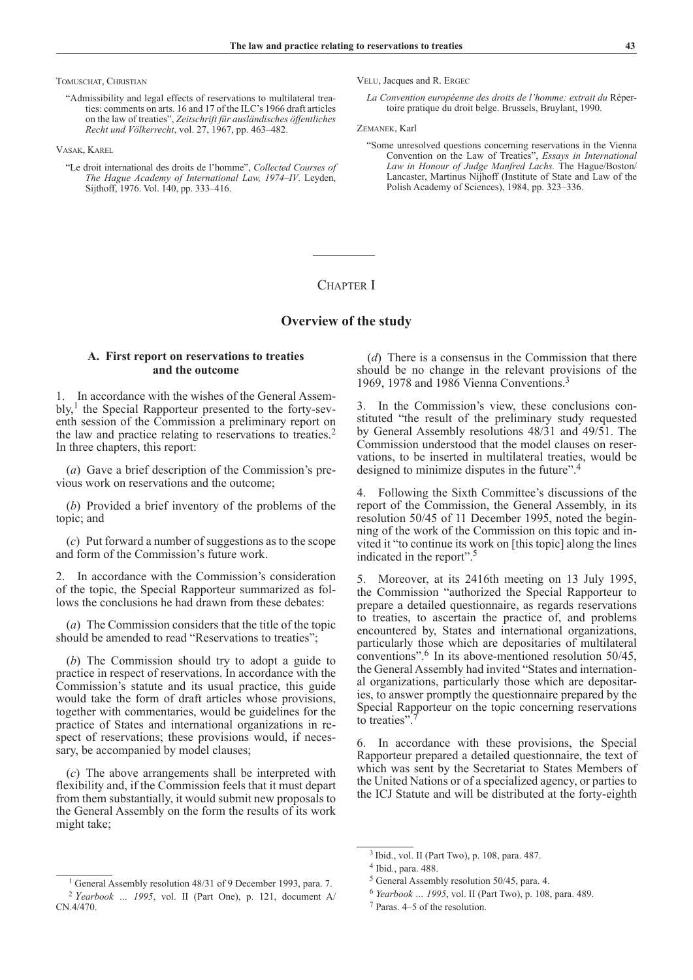Tomuschat, Christian

"Admissibility and legal effects of reservations to multilateral treaties: comments on arts. 16 and 17 of the ILC's 1966 draft articles on the law of treaties", *Zeitschrift für ausländisches öffentliches Recht und Völkerrecht*, vol. 27, 1967, pp. 463–482.

Vasak, Karel

"Le droit international des droits de l'homme", *Collected Courses of The Hague Academy of International Law, 1974–IV*. Leyden, Sijthoff, 1976. Vol. 140, pp. 333–416.

VELU, Jacques and R. ERGEC

*La Convention européenne des droits de l'homme: extrait du* Répertoire pratique du droit belge. Brussels, Bruylant, 1990.

Zemanek, Karl

"Some unresolved questions concerning reservations in the Vienna Convention on the Law of Treaties", *Essays in International Law in Honour of Judge Manfred Lachs.* The Hague/Boston/ Lancaster, Martinus Nijhoff (Institute of State and Law of the Polish Academy of Sciences), 1984, pp. 323–336.

# CHAPTER I

# **Overview of the study**

# **A. First report on reservations to treaties and the outcome**

1. In accordance with the wishes of the General Assem $b\vert v, \vert$  the Special Rapporteur presented to the forty-seventh session of the Commission a preliminary report on the law and practice relating to reservations to treaties.2 In three chapters, this report:

(*a*) Gave a brief description of the Commission's previous work on reservations and the outcome;

(*b*) Provided a brief inventory of the problems of the topic; and

(*c*) Put forward a number of suggestions as to the scope and form of the Commission's future work.

2. In accordance with the Commission's consideration of the topic, the Special Rapporteur summarized as follows the conclusions he had drawn from these debates:

(*a*) The Commission considers that the title of the topic should be amended to read "Reservations to treaties";

(*b*) The Commission should try to adopt a guide to practice in respect of reservations. In accordance with the Commission's statute and its usual practice, this guide would take the form of draft articles whose provisions, together with commentaries, would be guidelines for the practice of States and international organizations in respect of reservations; these provisions would, if necessary, be accompanied by model clauses;

(*c*) The above arrangements shall be interpreted with flexibility and, if the Commission feels that it must depart from them substantially, it would submit new proposals to the General Assembly on the form the results of its work might take;

(*d*) There is a consensus in the Commission that there should be no change in the relevant provisions of the 1969, 1978 and 1986 Vienna Conventions.3

3. In the Commission's view, these conclusions constituted "the result of the preliminary study requested by General Assembly resolutions 48/31 and 49/51. The Commission understood that the model clauses on reservations, to be inserted in multilateral treaties, would be designed to minimize disputes in the future".<sup>4</sup>

4. Following the Sixth Committee's discussions of the report of the Commission, the General Assembly, in its resolution 50/45 of 11 December 1995, noted the beginning of the work of the Commission on this topic and invited it "to continue its work on [this topic] along the lines indicated in the report".5

5. Moreover, at its 2416th meeting on 13 July 1995, the Commission "authorized the Special Rapporteur to prepare a detailed questionnaire, as regards reservations to treaties, to ascertain the practice of, and problems encountered by, States and international organizations, particularly those which are depositaries of multilateral conventions".6 In its above-mentioned resolution 50/45, the General Assembly had invited "States and international organizations, particularly those which are depositaries, to answer promptly the questionnaire prepared by the Special Rapporteur on the topic concerning reservations to treaties".

6. In accordance with these provisions, the Special Rapporteur prepared a detailed questionnaire, the text of which was sent by the Secretariat to States Members of the United Nations or of a specialized agency, or parties to the ICJ Statute and will be distributed at the forty-eighth

<sup>&</sup>lt;sup>1</sup> General Assembly resolution 48/31 of 9 December 1993, para. 7. <sup>2</sup> *Yearbook … 1995*, vol. II (Part One), p. 121, document A/ CN.4/470.

<sup>3</sup> Ibid., vol. II (Part Two), p. 108, para. 487.

<sup>4</sup> Ibid., para. 488.

<sup>5</sup> General Assembly resolution 50/45, para. 4.

<sup>6</sup> *Yearbook … 1995*, vol. II (Part Two), p. 108, para. 489.

<sup>7</sup> Paras. 4–5 of the resolution.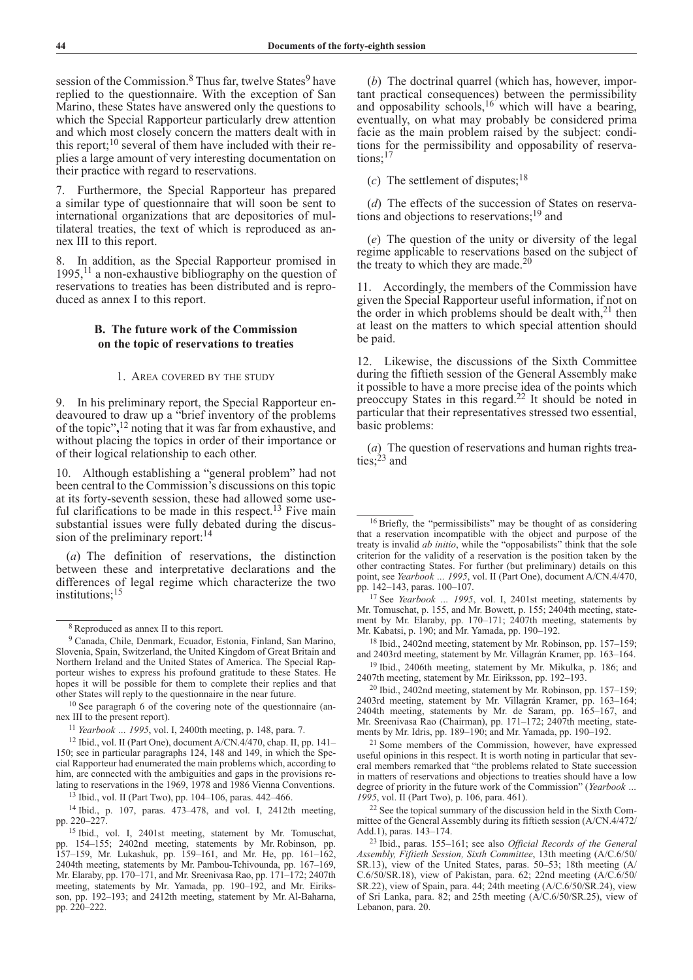session of the Commission.<sup>8</sup> Thus far, twelve States<sup>9</sup> have replied to the questionnaire. With the exception of San Marino, these States have answered only the questions to which the Special Rapporteur particularly drew attention and which most closely concern the matters dealt with in this report; $^{10}$  several of them have included with their replies a large amount of very interesting documentation on their practice with regard to reservations.

7. Furthermore, the Special Rapporteur has prepared a similar type of questionnaire that will soon be sent to international organizations that are depositories of multilateral treaties, the text of which is reproduced as annex III to this report.

8. In addition, as the Special Rapporteur promised in 1995,  $^{11}$  a non-exhaustive bibliography on the question of reservations to treaties has been distributed and is reproduced as annex I to this report.

# **B. The future work of the Commission on the topic of reservations to treaties**

### 1. Area covered by the study

In his preliminary report, the Special Rapporteur endeavoured to draw up a "brief inventory of the problems of the topic"**,** 12 noting that it was far from exhaustive, and without placing the topics in order of their importance or of their logical relationship to each other.

10. Although establishing a "general problem" had not been central to the Commission's discussions on this topic at its forty-seventh session, these had allowed some useful clarifications to be made in this respect.<sup>13</sup> Five main substantial issues were fully debated during the discussion of the preliminary report:<sup>14</sup>

(*a*) The definition of reservations, the distinction between these and interpretative declarations and the differences of legal regime which characterize the two institutions:<sup>15</sup>

<sup>14</sup> Ibid., p. 107, paras. 473–478, and vol. I, 2412th meeting, pp. 220–227.

(*b*) The doctrinal quarrel (which has, however, important practical consequences) between the permissibility and opposability schools,<sup>16</sup> which will have a bearing, eventually, on what may probably be considered prima facie as the main problem raised by the subject: conditions for the permissibility and opposability of reservations;<sup>17</sup>

(*c*) The settlement of disputes;  $18$ 

(*d*) The effects of the succession of States on reservations and objections to reservations;19 and

(*e*) The question of the unity or diversity of the legal regime applicable to reservations based on the subject of the treaty to which they are made.<sup>20</sup>

11. Accordingly, the members of the Commission have given the Special Rapporteur useful information, if not on the order in which problems should be dealt with,  $2<sup>1</sup>$  then at least on the matters to which special attention should be paid.

12. Likewise, the discussions of the Sixth Committee during the fiftieth session of the General Assembly make it possible to have a more precise idea of the points which preoccupy States in this regard.22 It should be noted in particular that their representatives stressed two essential, basic problems:

(*a*) The question of reservations and human rights treaties;<sup>23</sup> and

<sup>18</sup> Ibid., 2402nd meeting, statement by Mr. Robinson, pp. 157–159; and 2403rd meeting, statement by Mr. Villagrán Kramer, pp. 163–164.

<sup>19</sup> Ibid., 2406th meeting, statement by Mr. Mikulka, p. 186; and 2407th meeting, statement by Mr. Eiriksson, pp. 192–193.

<sup>20</sup> Ibid., 2402nd meeting, statement by Mr. Robinson, pp. 157–159; 2403rd meeting, statement by Mr. Villagrán Kramer, pp. 163–164; 2404th meeting, statements by Mr. de Saram, pp. 165–167, and Mr. Sreenivasa Rao (Chairman), pp. 171–172; 2407th meeting, statements by Mr. Idris, pp. 189–190; and Mr. Yamada, pp. 190–192.

<sup>21</sup> Some members of the Commission, however, have expressed useful opinions in this respect. It is worth noting in particular that several members remarked that "the problems related to State succession in matters of reservations and objections to treaties should have a low degree of priority in the future work of the Commission" (*Yearbook … 1995*, vol. II (Part Two), p. 106, para. 461).

<sup>22</sup> See the topical summary of the discussion held in the Sixth Committee of the General Assembly during its fiftieth session (A/CN.4/472/ Add.1), paras. 143–174.

<sup>23</sup> Ibid., paras. 155–161; see also *Official Records of the General Assembly, Fiftieth Session, Sixth Committee*, 13th meeting (A/C.6/50/ SR.13), view of the United States, paras. 50–53; 18th meeting (A/ C.6/50/SR.18), view of Pakistan, para. 62; 22nd meeting (A/C.6/50/ SR.22), view of Spain, para. 44; 24th meeting (A/C.6/50/SR.24), view of Sri Lanka, para. 82; and 25th meeting (A/C.6/50/SR.25), view of Lebanon, para. 20.

<sup>8</sup> Reproduced as annex II to this report.

<sup>9</sup> Canada, Chile, Denmark, Ecuador, Estonia, Finland, San Marino, Slovenia, Spain, Switzerland, the United Kingdom of Great Britain and Northern Ireland and the United States of America. The Special Rapporteur wishes to express his profound gratitude to these States. He hopes it will be possible for them to complete their replies and that other States will reply to the questionnaire in the near future.

<sup>10</sup> See paragraph 6 of the covering note of the questionnaire (annex III to the present report).

<sup>11</sup> *Yearbook … 1995*, vol. I, 2400th meeting, p. 148, para. 7.

<sup>12</sup> Ibid., vol. II (Part One), document A/CN.4/470, chap. II, pp. 141– 150; see in particular paragraphs 124, 148 and 149, in which the Special Rapporteur had enumerated the main problems which, according to him, are connected with the ambiguities and gaps in the provisions relating to reservations in the 1969, 1978 and 1986 Vienna Conventions.

<sup>13</sup> Ibid., vol. II (Part Two), pp. 104–106, paras. 442–466.

<sup>15</sup> Ibid., vol. I, 2401st meeting, statement by Mr. Tomuschat, pp. 154–155; 2402nd meeting, statements by Mr. Robinson, pp. 157–159, Mr. Lukashuk, pp. 159–161, and Mr. He, pp. 161–162, 2404th meeting, statements by Mr. Pambou-Tchivounda, pp. 167–169, Mr. Elaraby, pp. 170–171, and Mr. Sreenivasa Rao, pp. 171–172; 2407th meeting, statements by Mr. Yamada, pp. 190–192, and Mr. Eiriksson, pp. 192–193; and 2412th meeting, statement by Mr. Al-Baharna, pp. 220–222.

<sup>&</sup>lt;sup>16</sup> Briefly, the "permissibilists" may be thought of as considering that a reservation incompatible with the object and purpose of the treaty is invalid *ab initio*, while the "opposabilists" think that the sole criterion for the validity of a reservation is the position taken by the other contracting States. For further (but preliminary) details on this point, see *Yearbook … 1995*, vol. II (Part One), document A/CN.4/470, pp. 142–143, paras. 100–107.

<sup>17</sup> See *Yearbook … 1995*, vol. I, 2401st meeting, statements by Mr. Tomuschat, p. 155, and Mr. Bowett, p. 155; 2404th meeting, statement by Mr. Elaraby, pp. 170–171; 2407th meeting, statements by Mr. Kabatsi, p. 190; and Mr. Yamada, pp. 190–192.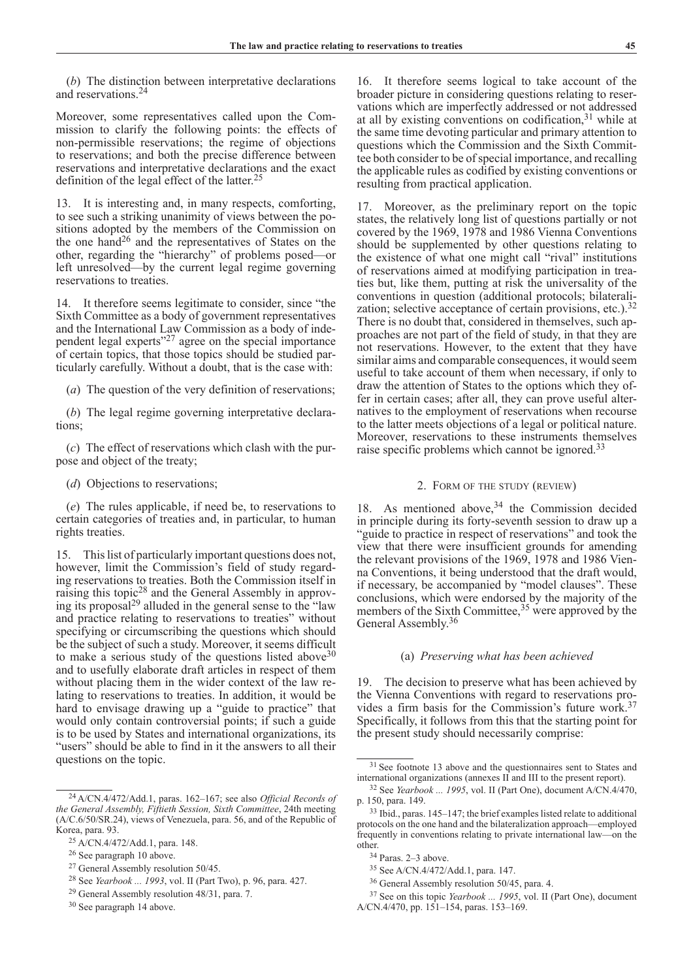(*b*) The distinction between interpretative declarations and reservations.24

Moreover, some representatives called upon the Commission to clarify the following points: the effects of non-permissible reservations; the regime of objections to reservations; and both the precise difference between reservations and interpretative declarations and the exact definition of the legal effect of the latter.<sup>25</sup>

13. It is interesting and, in many respects, comforting, to see such a striking unanimity of views between the positions adopted by the members of the Commission on the one hand<sup>26</sup> and the representatives of States on the other, regarding the "hierarchy" of problems posed—or left unresolved—by the current legal regime governing reservations to treaties.

14. It therefore seems legitimate to consider, since "the Sixth Committee as a body of government representatives and the International Law Commission as a body of independent legal experts $^{27}$  agree on the special importance of certain topics, that those topics should be studied particularly carefully. Without a doubt, that is the case with:

(*a*) The question of the very definition of reservations;

(*b*) The legal regime governing interpretative declarations;

(*c*) The effect of reservations which clash with the purpose and object of the treaty;

(*d*) Objections to reservations;

(*e*) The rules applicable, if need be, to reservations to certain categories of treaties and, in particular, to human rights treaties.

15. This list of particularly important questions does not, however, limit the Commission's field of study regarding reservations to treaties. Both the Commission itself in raising this topic28 and the General Assembly in approving its proposal<sup>29</sup> alluded in the general sense to the "law" and practice relating to reservations to treaties" without specifying or circumscribing the questions which should be the subject of such a study. Moreover, it seems difficult to make a serious study of the questions listed above  $30$ and to usefully elaborate draft articles in respect of them without placing them in the wider context of the law relating to reservations to treaties. In addition, it would be hard to envisage drawing up a "guide to practice" that would only contain controversial points; if such a guide is to be used by States and international organizations, its "users" should be able to find in it the answers to all their questions on the topic.

16. It therefore seems logical to take account of the broader picture in considering questions relating to reservations which are imperfectly addressed or not addressed at all by existing conventions on codification, $31$  while at the same time devoting particular and primary attention to questions which the Commission and the Sixth Committee both consider to be of special importance, and recalling the applicable rules as codified by existing conventions or resulting from practical application.

17. Moreover, as the preliminary report on the topic states, the relatively long list of questions partially or not covered by the 1969, 1978 and 1986 Vienna Conventions should be supplemented by other questions relating to the existence of what one might call "rival" institutions of reservations aimed at modifying participation in treaties but, like them, putting at risk the universality of the conventions in question (additional protocols; bilateralization; selective acceptance of certain provisions, etc.). $32$ There is no doubt that, considered in themselves, such approaches are not part of the field of study, in that they are not reservations. However, to the extent that they have similar aims and comparable consequences, it would seem useful to take account of them when necessary, if only to draw the attention of States to the options which they offer in certain cases; after all, they can prove useful alternatives to the employment of reservations when recourse to the latter meets objections of a legal or political nature. Moreover, reservations to these instruments themselves raise specific problems which cannot be ignored.<sup>33</sup>

# 2. Form of the study (review)

18. As mentioned above,<sup>34</sup> the Commission decided in principle during its forty-seventh session to draw up a "guide to practice in respect of reservations" and took the view that there were insufficient grounds for amending the relevant provisions of the 1969, 1978 and 1986 Vienna Conventions, it being understood that the draft would, if necessary, be accompanied by "model clauses". These conclusions, which were endorsed by the majority of the members of the Sixth Committee,<sup>35</sup> were approved by the General Assembly.<sup>36</sup>

# (a) *Preserving what has been achieved*

19. The decision to preserve what has been achieved by the Vienna Conventions with regard to reservations provides a firm basis for the Commission's future work.37 Specifically, it follows from this that the starting point for the present study should necessarily comprise:

<sup>24</sup>A/CN.4/472/Add.1, paras. 162–167; see also *Official Records of the General Assembly, Fiftieth Session, Sixth Committee*, 24th meeting (A/C.6/50/SR.24), views of Venezuela, para. 56, and of the Republic of Korea, para. 93.

<sup>25</sup> A/CN.4/472/Add.1, para. 148.

<sup>26</sup> See paragraph 10 above.

<sup>27</sup> General Assembly resolution 50/45.

<sup>28</sup> See *Yearbook ... 1993*, vol. II (Part Two), p. 96, para. 427.

<sup>29</sup> General Assembly resolution 48/31, para. 7.

<sup>30</sup> See paragraph 14 above.

<sup>&</sup>lt;sup>31</sup> See footnote 13 above and the questionnaires sent to States and international organizations (annexes II and III to the present report).

<sup>32</sup> See *Yearbook ... 1995*, vol. II (Part One), document A/CN.4/470, p. 150, para. 149.

<sup>33</sup> Ibid., paras. 145–147; the brief examples listed relate to additional protocols on the one hand and the bilateralization approach—employed frequently in conventions relating to private international law—on the other.

<sup>34</sup> Paras. 2–3 above.

<sup>35</sup> See A/CN.4/472/Add.1, para. 147.

<sup>36</sup> General Assembly resolution 50/45, para. 4.

<sup>37</sup> See on this topic *Yearbook ... 1995*, vol. II (Part One), document A/CN.4/470, pp. 151–154, paras. 153–169.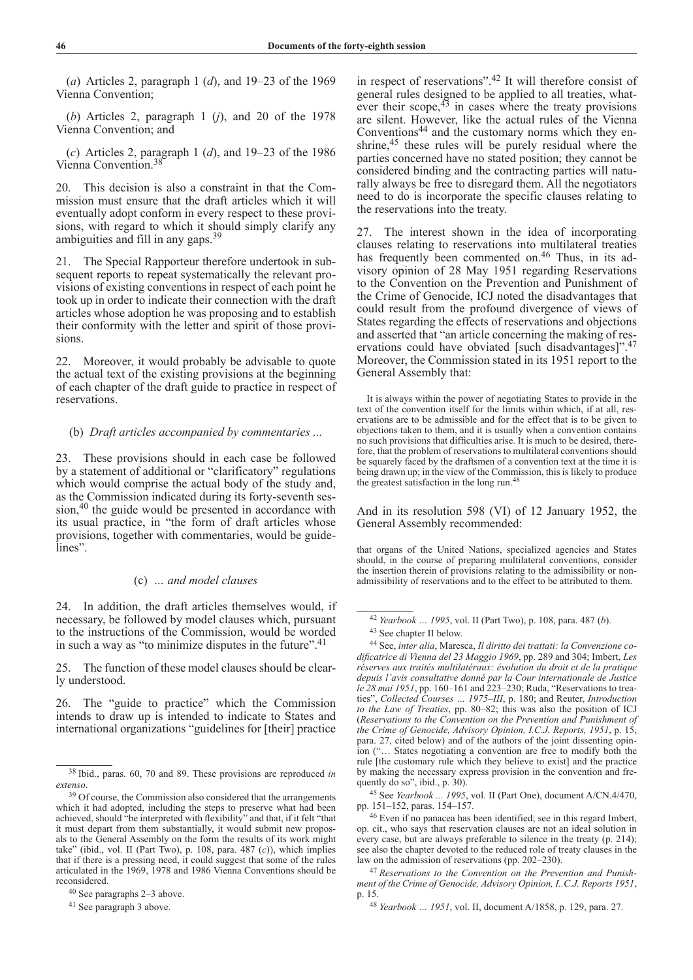(*a*) Articles 2, paragraph 1 (*d*), and 19–23 of the 1969 Vienna Convention;

(*b*) Articles 2, paragraph 1 (*j*), and 20 of the 1978 Vienna Convention; and

(*c*) Articles 2, paragraph 1 (*d*), and 19–23 of the 1986 Vienna Convention.38

20. This decision is also a constraint in that the Commission must ensure that the draft articles which it will eventually adopt conform in every respect to these provisions, with regard to which it should simply clarify any ambiguities and fill in any gaps.39

21. The Special Rapporteur therefore undertook in subsequent reports to repeat systematically the relevant provisions of existing conventions in respect of each point he took up in order to indicate their connection with the draft articles whose adoption he was proposing and to establish their conformity with the letter and spirit of those provisions.

22. Moreover, it would probably be advisable to quote the actual text of the existing provisions at the beginning of each chapter of the draft guide to practice in respect of reservations.

# (b) *Draft articles accompanied by commentaries ...*

23. These provisions should in each case be followed by a statement of additional or "clarificatory" regulations which would comprise the actual body of the study and, as the Commission indicated during its forty-seventh session,<sup>40</sup> the guide would be presented in accordance with its usual practice, in "the form of draft articles whose provisions, together with commentaries, would be guidelines".

# (c) *… and model clauses*

24. In addition, the draft articles themselves would, if necessary, be followed by model clauses which, pursuant to the instructions of the Commission, would be worded in such a way as "to minimize disputes in the future".<sup>41</sup>

25. The function of these model clauses should be clearly understood.

26. The "guide to practice" which the Commission intends to draw up is intended to indicate to States and international organizations "guidelines for [their] practice

<sup>40</sup> See paragraphs 2–3 above.

<sup>41</sup> See paragraph 3 above.

in respect of reservations".42 It will therefore consist of general rules designed to be applied to all treaties, whatever their scope, $43$  in cases where the treaty provisions are silent. However, like the actual rules of the Vienna Conventions44 and the customary norms which they enshrine,<sup>45</sup> these rules will be purely residual where the parties concerned have no stated position; they cannot be considered binding and the contracting parties will naturally always be free to disregard them. All the negotiators need to do is incorporate the specific clauses relating to the reservations into the treaty.

27. The interest shown in the idea of incorporating clauses relating to reservations into multilateral treaties has frequently been commented on.<sup>46</sup> Thus, in its advisory opinion of 28 May 1951 regarding Reservations to the Convention on the Prevention and Punishment of the Crime of Genocide, ICJ noted the disadvantages that could result from the profound divergence of views of States regarding the effects of reservations and objections and asserted that "an article concerning the making of reservations could have obviated [such disadvantages]".<sup>47</sup> Moreover, the Commission stated in its 1951 report to the General Assembly that:

It is always within the power of negotiating States to provide in the text of the convention itself for the limits within which, if at all, reservations are to be admissible and for the effect that is to be given to objections taken to them, and it is usually when a convention contains no such provisions that difficulties arise. It is much to be desired, therefore, that the problem of reservations to multilateral conventions should be squarely faced by the draftsmen of a convention text at the time it is being drawn up; in the view of the Commission, this is likely to produce the greatest satisfaction in the long run.<sup>48</sup>

And in its resolution 598 (VI) of 12 January 1952, the General Assembly recommended:

that organs of the United Nations, specialized agencies and States should, in the course of preparing multilateral conventions, consider the insertion therein of provisions relating to the admissibility or nonadmissibility of reservations and to the effect to be attributed to them.

<sup>45</sup> See *Yearbook ... 1995*, vol. II (Part One), document A/CN.4/470, pp. 151–152, paras. 154–157.

<sup>38</sup> Ibid., paras. 60, 70 and 89. These provisions are reproduced *in extenso*.

<sup>&</sup>lt;sup>39</sup> Of course, the Commission also considered that the arrangements which it had adopted, including the steps to preserve what had been achieved, should "be interpreted with flexibility" and that, if it felt "that it must depart from them substantially, it would submit new proposals to the General Assembly on the form the results of its work might take" (ibid., vol. II (Part Two), p. 108, para. 487 (*c*)), which implies that if there is a pressing need, it could suggest that some of the rules articulated in the 1969, 1978 and 1986 Vienna Conventions should be reconsidered.

<sup>42</sup> *Yearbook … 1995*, vol. II (Part Two), p. 108, para. 487 (*b*). <sup>43</sup> See chapter II below.

<sup>44</sup> See, *inter alia*, Maresca, *Il diritto dei trattati: la Convenzione codificatrice di Vienna del 23 Maggio 1969*, pp. 289 and 304; Imbert, *Les réserves aux traités multilatéraux: évolution du droit et de la pratique depuis l'avis consultative donné par la Cour internationale de Justice le 28 mai 1951*, pp. 160–161 and 223–230; Ruda, "Reservations to treaties", *Collected Courses … 1975–III*, p. 180; and Reuter, *Introduction to the Law of Treaties*, pp. 80–82; this was also the position of ICJ (*Reservations to the Convention on the Prevention and Punishment of the Crime of Genocide, Advisory Opinion, I.C.J. Reports, 1951*, p. 15, para. 27, cited below) and of the authors of the joint dissenting opinion ("… States negotiating a convention are free to modify both the rule [the customary rule which they believe to exist] and the practice by making the necessary express provision in the convention and frequently do so", ibid., p. 30).

<sup>46</sup> Even if no panacea has been identified; see in this regard Imbert, op. cit., who says that reservation clauses are not an ideal solution in every case, but are always preferable to silence in the treaty (p. 214); see also the chapter devoted to the reduced role of treaty clauses in the law on the admission of reservations (pp. 202–230).

<sup>47</sup> *Reservations to the Convention on the Prevention and Punishment of the Crime of Genocide, Advisory Opinion, I..C.J. Reports 1951*, p. 15.

<sup>48</sup> *Yearbook … 1951*, vol. II, document A/1858, p. 129, para. 27.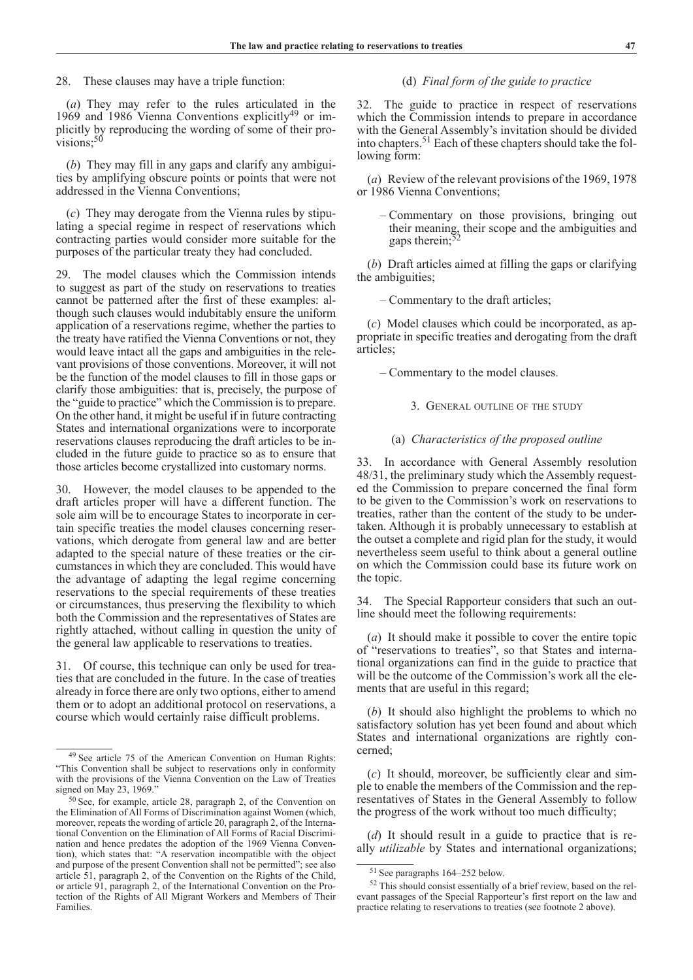28. These clauses may have a triple function:

(*a*) They may refer to the rules articulated in the 1969 and 1986 Vienna Conventions explicitly<sup>49</sup> or implicitly by reproducing the wording of some of their pro $visions;^{50}$ 

(*b*) They may fill in any gaps and clarify any ambiguities by amplifying obscure points or points that were not addressed in the Vienna Conventions;

(*c*) They may derogate from the Vienna rules by stipulating a special regime in respect of reservations which contracting parties would consider more suitable for the purposes of the particular treaty they had concluded.

29. The model clauses which the Commission intends to suggest as part of the study on reservations to treaties cannot be patterned after the first of these examples: although such clauses would indubitably ensure the uniform application of a reservations regime, whether the parties to the treaty have ratified the Vienna Conventions or not, they would leave intact all the gaps and ambiguities in the relevant provisions of those conventions. Moreover, it will not be the function of the model clauses to fill in those gaps or clarify those ambiguities: that is, precisely, the purpose of the "guide to practice" which the Commission is to prepare. On the other hand, it might be useful if in future contracting States and international organizations were to incorporate reservations clauses reproducing the draft articles to be included in the future guide to practice so as to ensure that those articles become crystallized into customary norms.

30. However, the model clauses to be appended to the draft articles proper will have a different function. The sole aim will be to encourage States to incorporate in certain specific treaties the model clauses concerning reservations, which derogate from general law and are better adapted to the special nature of these treaties or the circumstances in which they are concluded. This would have the advantage of adapting the legal regime concerning reservations to the special requirements of these treaties or circumstances, thus preserving the flexibility to which both the Commission and the representatives of States are rightly attached, without calling in question the unity of the general law applicable to reservations to treaties.

31. Of course, this technique can only be used for treaties that are concluded in the future. In the case of treaties already in force there are only two options, either to amend them or to adopt an additional protocol on reservations, a course which would certainly raise difficult problems.

# (d) *Final form of the guide to practice*

32. The guide to practice in respect of reservations which the Commission intends to prepare in accordance with the General Assembly's invitation should be divided into chapters.51 Each of these chapters should take the following form:

(*a*) Review of the relevant provisions of the 1969, 1978 or 1986 Vienna Conventions;

– Commentary on those provisions, bringing out their meaning, their scope and the ambiguities and gaps therein;

(*b*) Draft articles aimed at filling the gaps or clarifying the ambiguities;

– Commentary to the draft articles;

(*c*) Model clauses which could be incorporated, as appropriate in specific treaties and derogating from the draft articles;

– Commentary to the model clauses.

# 3. General outline of the study

### (a) *Characteristics of the proposed outline*

In accordance with General Assembly resolution 48/31, the preliminary study which the Assembly requested the Commission to prepare concerned the final form to be given to the Commission's work on reservations to treaties, rather than the content of the study to be undertaken. Although it is probably unnecessary to establish at the outset a complete and rigid plan for the study, it would nevertheless seem useful to think about a general outline on which the Commission could base its future work on the topic.

34. The Special Rapporteur considers that such an outline should meet the following requirements:

(*a*) It should make it possible to cover the entire topic of "reservations to treaties", so that States and international organizations can find in the guide to practice that will be the outcome of the Commission's work all the elements that are useful in this regard;

(*b*) It should also highlight the problems to which no satisfactory solution has yet been found and about which States and international organizations are rightly concerned;

(*c*) It should, moreover, be sufficiently clear and simple to enable the members of the Commission and the representatives of States in the General Assembly to follow the progress of the work without too much difficulty;

(*d*) It should result in a guide to practice that is really *utilizable* by States and international organizations;

<sup>49</sup> See article 75 of the American Convention on Human Rights: "This Convention shall be subject to reservations only in conformity with the provisions of the Vienna Convention on the Law of Treaties signed on May 23, 1969.'

<sup>50</sup> See, for example, article 28, paragraph 2, of the Convention on the Elimination of All Forms of Discrimination against Women (which, moreover, repeats the wording of article 20, paragraph 2, of the International Convention on the Elimination of All Forms of Racial Discrimination and hence predates the adoption of the 1969 Vienna Convention), which states that: "A reservation incompatible with the object and purpose of the present Convention shall not be permitted"; see also article 51, paragraph 2, of the Convention on the Rights of the Child, or article 91, paragraph 2, of the International Convention on the Protection of the Rights of All Migrant Workers and Members of Their Families.

<sup>51</sup> See paragraphs 164–252 below.

<sup>52</sup> This should consist essentially of a brief review, based on the relevant passages of the Special Rapporteur's first report on the law and practice relating to reservations to treaties (see footnote 2 above).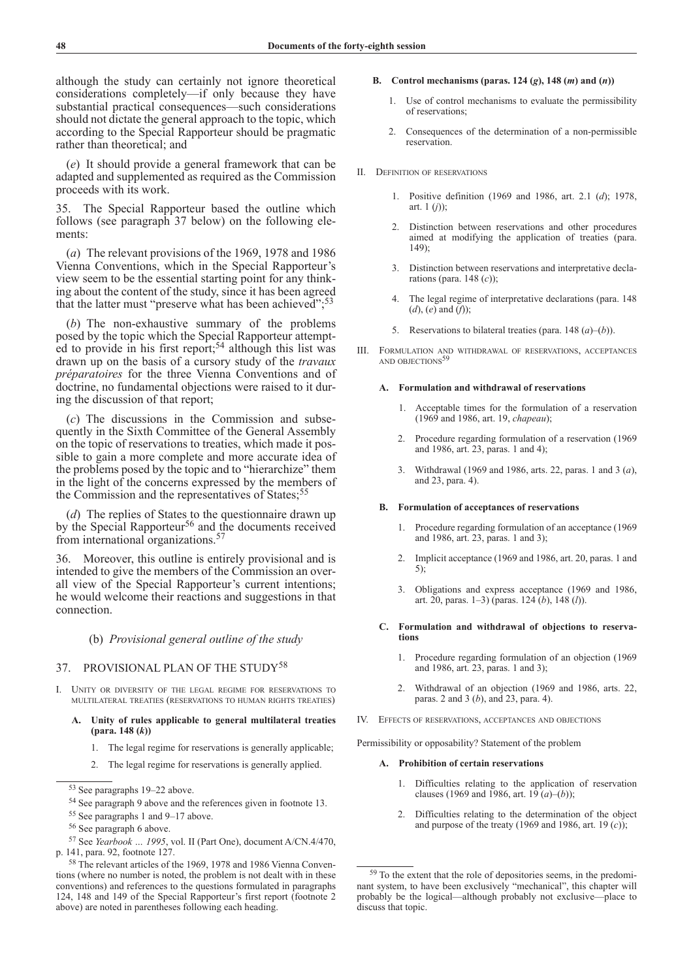although the study can certainly not ignore theoretical considerations completely—if only because they have substantial practical consequences—such considerations should not dictate the general approach to the topic, which according to the Special Rapporteur should be pragmatic rather than theoretical; and

(*e*) It should provide a general framework that can be adapted and supplemented as required as the Commission proceeds with its work.

35. The Special Rapporteur based the outline which follows (see paragraph 37 below) on the following elements:

(*a*) The relevant provisions of the 1969, 1978 and 1986 Vienna Conventions, which in the Special Rapporteur's view seem to be the essential starting point for any thinking about the content of the study, since it has been agreed that the latter must "preserve what has been achieved";<sup>53</sup>

(*b*) The non-exhaustive summary of the problems posed by the topic which the Special Rapporteur attempted to provide in his first report;<sup>54</sup> although this list was drawn up on the basis of a cursory study of the *travaux préparatoires* for the three Vienna Conventions and of doctrine, no fundamental objections were raised to it during the discussion of that report;

(*c*) The discussions in the Commission and subsequently in the Sixth Committee of the General Assembly on the topic of reservations to treaties, which made it possible to gain a more complete and more accurate idea of the problems posed by the topic and to "hierarchize" them in the light of the concerns expressed by the members of the Commission and the representatives of States;<sup>55</sup>

(*d*) The replies of States to the questionnaire drawn up by the Special Rapporteur<sup>56</sup> and the documents received from international organizations.57

36. Moreover, this outline is entirely provisional and is intended to give the members of the Commission an overall view of the Special Rapporteur's current intentions; he would welcome their reactions and suggestions in that connection.

# (b) *Provisional general outline of the study*

# 37. PROVISIONAL PLAN OF THE STUDY<sup>58</sup>

I. Unity or diversity of the legal regime for reservations to multilateral treaties (reservations to human rights treaties)

### I. **A. Unity of rules applicable to general multilateral treaties (para. 148 (***k***))**

- 1. The legal regime for reservations is generally applicable;
- 2. The legal regime for reservations is generally applied.

<sup>55</sup> See paragraphs 1 and 9–17 above.

### I. **B. Control mechanisms (paras. 124 (***g***), 148 (***m***) and (***n***))**

- . **A.** 1. Use of control mechanisms to evaluate the permissibility of reservations;
- . **A.** 2. Consequences of the determination of a non-permissible reservation.
- II. Definition of reservations
	- I. **A.** 1. Positive definition (1969 and 1986, art. 2.1 (*d*); 1978, art.  $1 (i)$ :
	- 2. Distinction between reservations and other procedures aimed at modifying the application of treaties (para. 149);
	- I. **A.** 3. Distinction between reservations and interpretative declarations (para. 148 (*c*));
	- I. **A.** 4. The legal regime of interpretative declarations (para. 148 (*d*), (*e*) and (*f*));
	- 5. Reservations to bilateral treaties (para. 148  $(a)$ – $(b)$ ).
- III. Formulation and withdrawal of reservations, acceptances AND OBJECTIONS $5$

### A. Formulation and withdrawal of reservations

- 1. Acceptable times for the formulation of a reservation (1969 and 1986, art. 19, *chapeau*);
- 2. Procedure regarding formulation of a reservation (1969) and 1986, art. 23, paras. 1 and 4);
- II. **A.** 3. Withdrawal (1969 and 1986, arts. 22, paras. 1 and 3 (*a*), and 23, para. 4).

#### III. **B. Formulation of acceptances of reservations**

- 1. Procedure regarding formulation of an acceptance (1969) and 1986, art. 23, paras. 1 and 3);
- 2. Implicit acceptance (1969 and 1986, art. 20, paras. 1 and 5);
- 3. Obligations and express acceptance (1969 and 1986, art. 20, paras. 1–3) (paras. 124 (*b*), 148 (*l*)).
- C. Formulation and withdrawal of objections to reserva**tions**
	- 1. Procedure regarding formulation of an objection (1969) and 1986, art. 23, paras. 1 and 3);
	- 2. Withdrawal of an objection (1969 and 1986, arts. 22, paras. 2 and 3 (*b*), and 23, para. 4).
- IV. Effects of reservations, acceptances and objections

Permissibility or opposability? Statement of the problem

### III. **A. Prohibition of certain reservations**

- 1. Difficulties relating to the application of reservation clauses (1969 and 1986, art.  $19(a)$ –(*b*));
- 2. Difficulties relating to the determination of the object and purpose of the treaty (1969 and 1986, art. 19 (*c*));

<sup>53</sup> See paragraphs 19–22 above.

<sup>54</sup> See paragraph 9 above and the references given in footnote 13.

<sup>56</sup> See paragraph 6 above.

<sup>57</sup> See *Yearbook … 1995*, vol. II (Part One), document A/CN.4/470, p. 141, para. 92, footnote 127.

<sup>58</sup> The relevant articles of the 1969, 1978 and 1986 Vienna Conventions (where no number is noted, the problem is not dealt with in these conventions) and references to the questions formulated in paragraphs 124, 148 and 149 of the Special Rapporteur's first report (footnote 2 above) are noted in parentheses following each heading.

<sup>59</sup> To the extent that the role of depositories seems, in the predominant system, to have been exclusively "mechanical", this chapter will probably be the logical—although probably not exclusive—place to discuss that topic.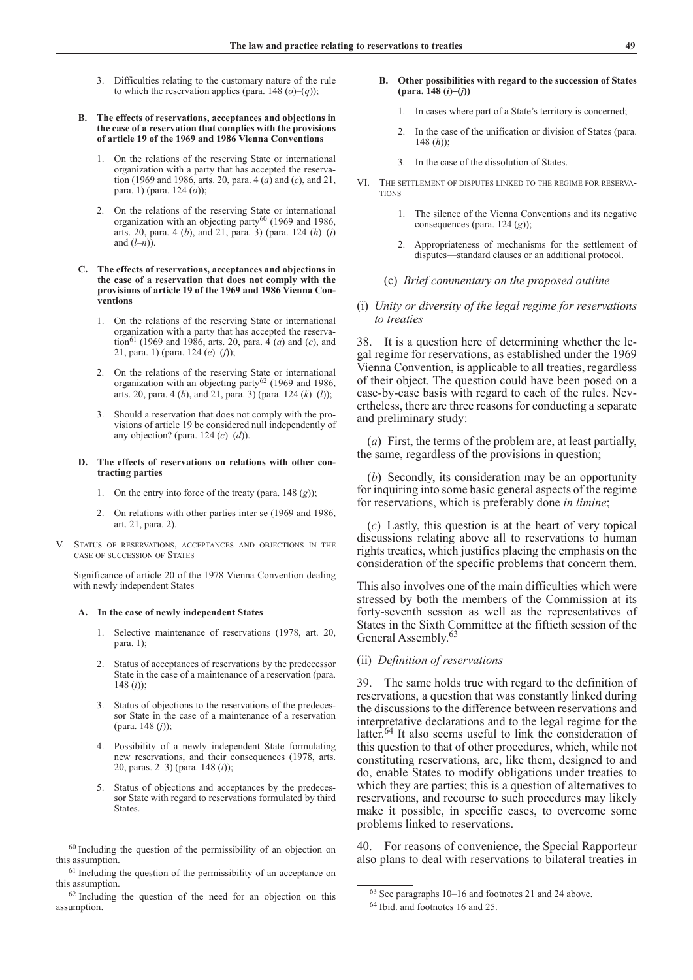- 3. Difficulties relating to the customary nature of the rule to which the reservation applies (para. 148  $(o)$ – $(q)$ );
- **B.** The effects of reservations, acceptances and objections in **the case of a reservation that complies with the provisions of article 19 of the 1969 and 1986 Vienna Conventions**
	- 1. On the relations of the reserving State or international organization with a party that has accepted the reservation (1969 and 1986, arts. 20, para. 4 (*a*) and (*c*), and 21, para. 1) (para. 124 (*o*));
	- 2. On the relations of the reserving State or international organization with an objecting party<sup>60</sup> (1969 and 1986, arts. 20, para. 4 (*b*), and 21, para. 3) (para. 124 (*h*)–(*j*) and (*l*–*n*)).
- C. The effects of reservations, acceptances and objections in **the case of a reservation that does not comply with the provisions of article 19 of the 1969 and 1986 Vienna Conventions**
	- 1. On the relations of the reserving State or international organization with a party that has accepted the reservation<sup>61</sup> (1969 and 1986, arts. 20, para. 4 (*a*) and (*c*), and 21, para. 1) (para. 124 (*e*)–(*f*));
	- 2. On the relations of the reserving State or international organization with an objecting party<sup>62</sup> (1969 and 1986, arts. 20, para. 4 (*b*), and 21, para. 3) (para. 124 (*k*)–(*l*));
	- II. **A.** 3. Should a reservation that does not comply with the provisions of article 19 be considered null independently of any objection? (para. 124 (*c*)–(*d*)).
- **D.** The effects of reservations on relations with other con**tracting parties**
	- 1. On the entry into force of the treaty (para.  $148$  (*g*));
	- 2. On relations with other parties inter se (1969 and 1986, art. 21, para. 2).
- V. Status of reservations, acceptances and objections in the case of succession of States

 Significance of article 20 of the 1978 Vienna Convention dealing with newly independent States

#### A. In the case of newly independent States

- 1. Selective maintenance of reservations (1978, art. 20, para. 1);
- Status of acceptances of reservations by the predecessor State in the case of a maintenance of a reservation (para. 148 (*i*));
- 3. Status of objections to the reservations of the predecessor State in the case of a maintenance of a reservation (para. 148 (*j*));
- II. **A.** 4. Possibility of a newly independent State formulating new reservations, and their consequences (1978, arts. 20, paras. 2–3) (para. 148 (*i*));
- 5. Status of objections and acceptances by the predecessor State with regard to reservations formulated by third States.
- B. Other possibilities with regard to the succession of States **(para. 148 (***i***)–(***j***))**
	- 1. In cases where part of a State's territory is concerned;
	- 2. In the case of the unification or division of States (para. 148 (*h*));
	- 3. In the case of the dissolution of States.
- VI. The settlement of disputes linked to the regime for reserva-**TIONS** 
	- 1. The silence of the Vienna Conventions and its negative consequences (para. 124 (*g*));
	- Appropriateness of mechanisms for the settlement of disputes—standard clauses or an additional protocol.
	- (c) *Brief commentary on the proposed outline*
- (i) *Unity or diversity of the legal regime for reservations to treaties*

38. It is a question here of determining whether the legal regime for reservations, as established under the 1969 Vienna Convention, is applicable to all treaties, regardless of their object. The question could have been posed on a case-by-case basis with regard to each of the rules. Nevertheless, there are three reasons for conducting a separate and preliminary study:

(*a*) First, the terms of the problem are, at least partially, the same, regardless of the provisions in question;

(*b*) Secondly, its consideration may be an opportunity for inquiring into some basic general aspects of the regime for reservations, which is preferably done *in limine*;

(*c*) Lastly, this question is at the heart of very topical discussions relating above all to reservations to human rights treaties, which justifies placing the emphasis on the consideration of the specific problems that concern them.

This also involves one of the main difficulties which were stressed by both the members of the Commission at its forty-seventh session as well as the representatives of States in the Sixth Committee at the fiftieth session of the General Assembly.<sup>63</sup>

# (ii) *Definition of reservations*

39. The same holds true with regard to the definition of reservations, a question that was constantly linked during the discussions to the difference between reservations and interpretative declarations and to the legal regime for the latter.64 It also seems useful to link the consideration of this question to that of other procedures, which, while not constituting reservations, are, like them, designed to and do, enable States to modify obligations under treaties to which they are parties; this is a question of alternatives to reservations, and recourse to such procedures may likely make it possible, in specific cases, to overcome some problems linked to reservations.

40. For reasons of convenience, the Special Rapporteur also plans to deal with reservations to bilateral treaties in

<sup>60</sup> Including the question of the permissibility of an objection on this assumption.

 $<sup>61</sup>$  Including the question of the permissibility of an acceptance on</sup> this assumption.

<sup>62</sup> Including the question of the need for an objection on this assumption.

<sup>63</sup> See paragraphs 10–16 and footnotes 21 and 24 above.

<sup>64</sup> Ibid. and footnotes 16 and 25.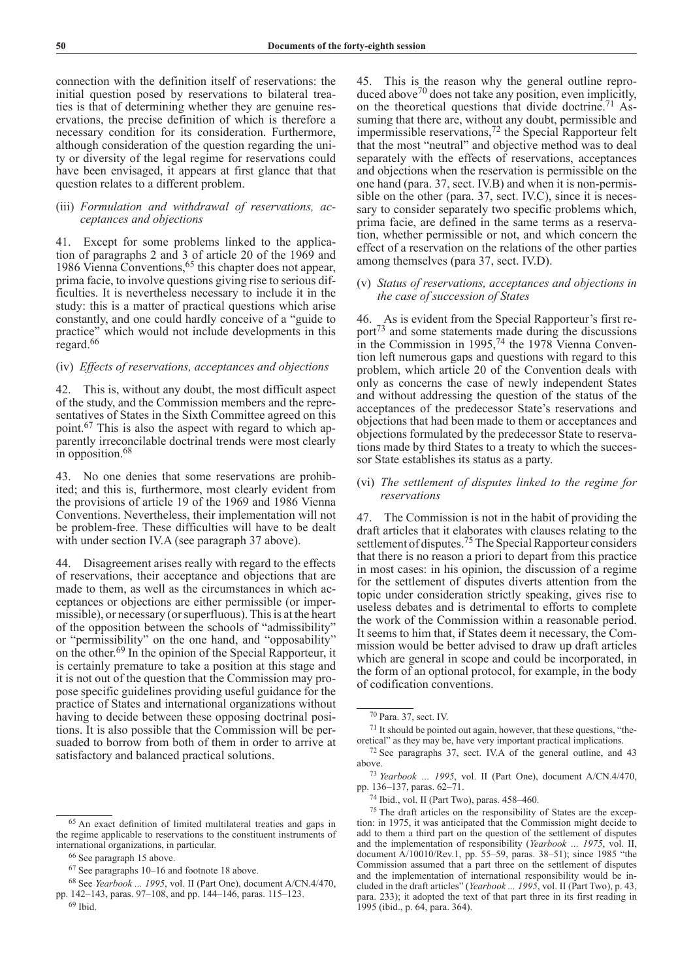connection with the definition itself of reservations: the initial question posed by reservations to bilateral treaties is that of determining whether they are genuine reservations, the precise definition of which is therefore a necessary condition for its consideration. Furthermore, although consideration of the question regarding the unity or diversity of the legal regime for reservations could have been envisaged, it appears at first glance that that question relates to a different problem.

# (iii) *Formulation and withdrawal of reservations, acceptances and objections*

41. Except for some problems linked to the application of paragraphs 2 and 3 of article 20 of the 1969 and 1986 Vienna Conventions,<sup>65</sup> this chapter does not appear, prima facie, to involve questions giving rise to serious difficulties. It is nevertheless necessary to include it in the study: this is a matter of practical questions which arise constantly, and one could hardly conceive of a "guide to practice" which would not include developments in this regard.<sup>66</sup>

# (iv) *Effects of reservations, acceptances and objections*

42. This is, without any doubt, the most difficult aspect of the study, and the Commission members and the representatives of States in the Sixth Committee agreed on this point.67 This is also the aspect with regard to which apparently irreconcilable doctrinal trends were most clearly in opposition.<sup>68</sup>

43. No one denies that some reservations are prohibited; and this is, furthermore, most clearly evident from the provisions of article 19 of the 1969 and 1986 Vienna Conventions. Nevertheless, their implementation will not be problem-free. These difficulties will have to be dealt with under section IV.A (see paragraph 37 above).

44. Disagreement arises really with regard to the effects of reservations, their acceptance and objections that are made to them, as well as the circumstances in which acceptances or objections are either permissible (or impermissible), or necessary (or superfluous). This is at the heart of the opposition between the schools of "admissibility" or "permissibility" on the one hand, and "opposability" on the other.69 In the opinion of the Special Rapporteur, it is certainly premature to take a position at this stage and it is not out of the question that the Commission may propose specific guidelines providing useful guidance for the practice of States and international organizations without having to decide between these opposing doctrinal positions. It is also possible that the Commission will be persuaded to borrow from both of them in order to arrive at satisfactory and balanced practical solutions.

45. This is the reason why the general outline reproduced above<sup>70</sup> does not take any position, even implicitly, on the theoretical questions that divide doctrine.71 Assuming that there are, without any doubt, permissible and impermissible reservations,72 the Special Rapporteur felt that the most "neutral" and objective method was to deal separately with the effects of reservations, acceptances and objections when the reservation is permissible on the one hand (para. 37, sect. IV.B) and when it is non-permissible on the other (para. 37, sect. IV.C), since it is necessary to consider separately two specific problems which, prima facie, are defined in the same terms as a reservation, whether permissible or not, and which concern the effect of a reservation on the relations of the other parties among themselves (para 37, sect. IV.D).

## (v) *Status of reservations, acceptances and objections in the case of succession of States*

46. As is evident from the Special Rapporteur's first report73 and some statements made during the discussions in the Commission in 1995,<sup>74</sup> the 1978 Vienna Convention left numerous gaps and questions with regard to this problem, which article 20 of the Convention deals with only as concerns the case of newly independent States and without addressing the question of the status of the acceptances of the predecessor State's reservations and objections that had been made to them or acceptances and objections formulated by the predecessor State to reservations made by third States to a treaty to which the successor State establishes its status as a party.

# (vi) *The settlement of disputes linked to the regime for reservations*

47. The Commission is not in the habit of providing the draft articles that it elaborates with clauses relating to the settlement of disputes.<sup>75</sup> The Special Rapporteur considers that there is no reason a priori to depart from this practice in most cases: in his opinion, the discussion of a regime for the settlement of disputes diverts attention from the topic under consideration strictly speaking, gives rise to useless debates and is detrimental to efforts to complete the work of the Commission within a reasonable period. It seems to him that, if States deem it necessary, the Commission would be better advised to draw up draft articles which are general in scope and could be incorporated, in the form of an optional protocol, for example, in the body of codification conventions.

<sup>65</sup> An exact definition of limited multilateral treaties and gaps in the regime applicable to reservations to the constituent instruments of international organizations, in particular.

<sup>66</sup> See paragraph 15 above.

<sup>67</sup> See paragraphs 10–16 and footnote 18 above.

<sup>68</sup> See *Yearbook ... 1995*, vol. II (Part One), document A/CN.4/470, pp. 142–143, paras. 97–108, and pp. 144–146, paras. 115–123.

 $69$  Ibid.

<sup>70</sup> Para. 37, sect. IV.

<sup>71</sup> It should be pointed out again, however, that these questions, "theoretical" as they may be, have very important practical implications.

<sup>72</sup> See paragraphs 37, sect. IV.A of the general outline, and 43 above.

<sup>73</sup> *Yearbook … 1995*, vol. II (Part One), document A/CN.4/470, pp. 136–137, paras. 62–71.

<sup>74</sup> Ibid., vol. II (Part Two), paras. 458–460.

<sup>75</sup> The draft articles on the responsibility of States are the exception: in 1975, it was anticipated that the Commission might decide to add to them a third part on the question of the settlement of disputes and the implementation of responsibility (*Yearbook … 1975*, vol. II, document A/10010/Rev.1, pp. 55–59, paras. 38–51); since 1985 "the Commission assumed that a part three on the settlement of disputes and the implementation of international responsibility would be included in the draft articles" (*Yearbook ... 1995*, vol. II (Part Two), p. 43, para. 233); it adopted the text of that part three in its first reading in 1995 (ibid., p. 64, para. 364).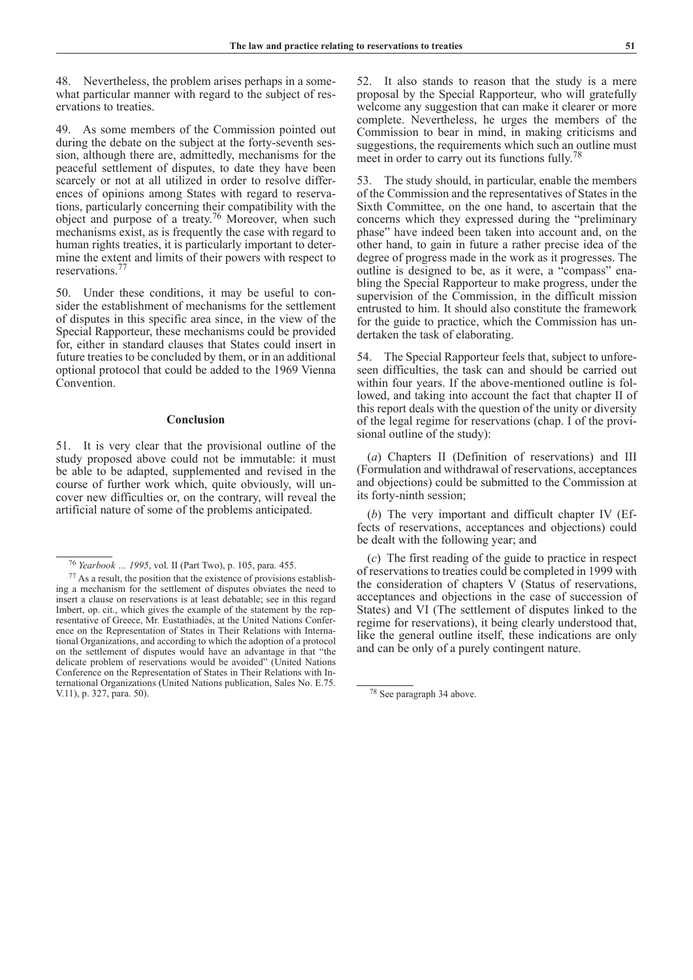48. Nevertheless, the problem arises perhaps in a somewhat particular manner with regard to the subject of reservations to treaties.

49. As some members of the Commission pointed out during the debate on the subject at the forty-seventh session, although there are, admittedly, mechanisms for the peaceful settlement of disputes, to date they have been scarcely or not at all utilized in order to resolve differences of opinions among States with regard to reservations, particularly concerning their compatibility with the object and purpose of a treaty.76 Moreover, when such mechanisms exist, as is frequently the case with regard to human rights treaties, it is particularly important to determine the extent and limits of their powers with respect to reservations.77

50. Under these conditions, it may be useful to consider the establishment of mechanisms for the settlement of disputes in this specific area since, in the view of the Special Rapporteur, these mechanisms could be provided for, either in standard clauses that States could insert in future treaties to be concluded by them, or in an additional optional protocol that could be added to the 1969 Vienna **Convention** 

### **Conclusion**

51. It is very clear that the provisional outline of the study proposed above could not be immutable: it must be able to be adapted, supplemented and revised in the course of further work which, quite obviously, will uncover new difficulties or, on the contrary, will reveal the artificial nature of some of the problems anticipated.

52. It also stands to reason that the study is a mere proposal by the Special Rapporteur, who will gratefully welcome any suggestion that can make it clearer or more complete. Nevertheless, he urges the members of the Commission to bear in mind, in making criticisms and suggestions, the requirements which such an outline must meet in order to carry out its functions fully.78

53. The study should, in particular, enable the members of the Commission and the representatives of States in the Sixth Committee, on the one hand, to ascertain that the concerns which they expressed during the "preliminary phase" have indeed been taken into account and, on the other hand, to gain in future a rather precise idea of the degree of progress made in the work as it progresses. The outline is designed to be, as it were, a "compass" enabling the Special Rapporteur to make progress, under the supervision of the Commission, in the difficult mission entrusted to him. It should also constitute the framework for the guide to practice, which the Commission has undertaken the task of elaborating.

54. The Special Rapporteur feels that, subject to unforeseen difficulties, the task can and should be carried out within four years. If the above-mentioned outline is followed, and taking into account the fact that chapter II of this report deals with the question of the unity or diversity of the legal regime for reservations (chap. I of the provisional outline of the study):

(*a*) Chapters II (Definition of reservations) and III (Formulation and withdrawal of reservations, acceptances and objections) could be submitted to the Commission at its forty-ninth session;

(*b*) The very important and difficult chapter IV (Effects of reservations, acceptances and objections) could be dealt with the following year; and

(*c*) The first reading of the guide to practice in respect of reservations to treaties could be completed in 1999 with the consideration of chapters V (Status of reservations, acceptances and objections in the case of succession of States) and VI (The settlement of disputes linked to the regime for reservations), it being clearly understood that, like the general outline itself, these indications are only and can be only of a purely contingent nature.

<sup>76</sup> *Yearbook … 1995*, vol. II (Part Two), p. 105, para. 455.

<sup>77</sup> As a result, the position that the existence of provisions establishing a mechanism for the settlement of disputes obviates the need to insert a clause on reservations is at least debatable; see in this regard Imbert, op. cit., which gives the example of the statement by the representative of Greece, Mr. Eustathiadès, at the United Nations Conference on the Representation of States in Their Relations with International Organizations, and according to which the adoption of a protocol on the settlement of disputes would have an advantage in that "the delicate problem of reservations would be avoided" (United Nations Conference on the Representation of States in Their Relations with International Organizations (United Nations publication, Sales No. E.75. V.11), p. 327, para. 50).

<sup>78</sup> See paragraph 34 above.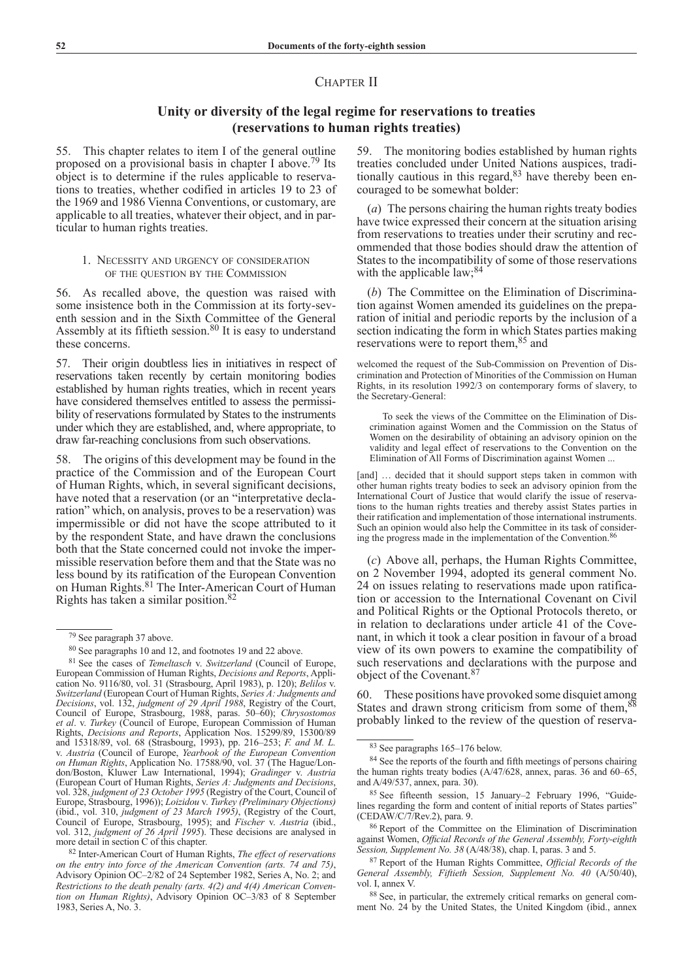# CHAPTER II

# **Unity or diversity of the legal regime for reservations to treaties (reservations to human rights treaties)**

55. This chapter relates to item I of the general outline proposed on a provisional basis in chapter I above.<sup>79</sup> Its object is to determine if the rules applicable to reservations to treaties, whether codified in articles 19 to 23 of the 1969 and 1986 Vienna Conventions, or customary, are applicable to all treaties, whatever their object, and in particular to human rights treaties.

## 1. Necessity and urgency of consideration of the question by the Commission

56. As recalled above, the question was raised with some insistence both in the Commission at its forty-seventh session and in the Sixth Committee of the General Assembly at its fiftieth session.80 It is easy to understand these concerns.

57. Their origin doubtless lies in initiatives in respect of reservations taken recently by certain monitoring bodies established by human rights treaties, which in recent years have considered themselves entitled to assess the permissibility of reservations formulated by States to the instruments under which they are established, and, where appropriate, to draw far-reaching conclusions from such observations.

58. The origins of this development may be found in the practice of the Commission and of the European Court of Human Rights, which, in several significant decisions, have noted that a reservation (or an "interpretative declaration" which, on analysis, proves to be a reservation) was impermissible or did not have the scope attributed to it by the respondent State, and have drawn the conclusions both that the State concerned could not invoke the impermissible reservation before them and that the State was no less bound by its ratification of the European Convention  $\frac{1}{2}$  of  $\frac{1}{2}$  is radio-adopted to the European Convention<br>on Human Rights.<sup>81</sup> The Inter-American Court of Human Rights has taken a similar position.82

59. The monitoring bodies established by human rights treaties concluded under United Nations auspices, traditionally cautious in this regard,<sup>83</sup> have thereby been encouraged to be somewhat bolder:

(*a*) The persons chairing the human rights treaty bodies have twice expressed their concern at the situation arising from reservations to treaties under their scrutiny and recommended that those bodies should draw the attention of States to the incompatibility of some of those reservations with the applicable law; 84

(*b*) The Committee on the Elimination of Discrimination against Women amended its guidelines on the preparation of initial and periodic reports by the inclusion of a section indicating the form in which States parties making reservations were to report them,<sup>85</sup> and

welcomed the request of the Sub-Commission on Prevention of Discrimination and Protection of Minorities of the Commission on Human Rights, in its resolution 1992/3 on contemporary forms of slavery, to the Secretary-General:

To seek the views of the Committee on the Elimination of Discrimination against Women and the Commission on the Status of Women on the desirability of obtaining an advisory opinion on the validity and legal effect of reservations to the Convention on the Elimination of All Forms of Discrimination against Women ...

[and] ... decided that it should support steps taken in common with other human rights treaty bodies to seek an advisory opinion from the International Court of Justice that would clarify the issue of reservations to the human rights treaties and thereby assist States parties in their ratification and implementation of those international instruments. Such an opinion would also help the Committee in its task of considering the progress made in the implementation of the Convention.<sup>86</sup>

(*c*) Above all, perhaps, the Human Rights Committee, on 2 November 1994, adopted its general comment No. 24 on issues relating to reservations made upon ratification or accession to the International Covenant on Civil and Political Rights or the Optional Protocols thereto, or in relation to declarations under article 41 of the Covenant, in which it took a clear position in favour of a broad view of its own powers to examine the compatibility of such reservations and declarations with the purpose and object of the Covenant.87

60. These positions have provoked some disquiet among States and drawn strong criticism from some of them.<sup>88</sup> probably linked to the review of the question of reserva-

<sup>79</sup> See paragraph 37 above.

<sup>80</sup> See paragraphs 10 and 12, and footnotes 19 and 22 above.

<sup>81</sup> See the cases of *Temeltasch* v. *Switzerland* (Council of Europe, European Commission of Human Rights, *Decisions and Reports*, Application No. 9116/80, vol. 31 (Strasbourg, April 1983), p. 120); *Belilos v. Switzerland* (European Court of Human Rights, *Series A: Judgments and Decisions*, vol. 132, *judgment of 29 April 1988*, Registry of the Court, Council of Europe, Strasbourg, 1988, paras. 50–60); *Chrysostomos et al*. v. *Turkey* (Council of Europe, European Commission of Human Rights, *Decisions and Reports*, Application Nos. 15299/89, 15300/89 and 15318/89, vol. 68 (Strasbourg, 1993), pp. 216–253; *F. and M. L.* v. *Austria* (Council of Europe, *Yearbook of the European Convention on Human Rights*, Application No. 17588/90, vol. 37 (The Hague/London/Boston, Kluwer Law International, 1994); *Gradinger* v. *Austria* (European Court of Human Rights, *Series A: Judgments and Decisions*, vol. 328, *judgment of 23 October 1995* (Registry of the Court, Council of Europe, Strasbourg, 1996)); *Loizidou* v. *Turkey (Preliminary Objections)* (ibid., vol. 310, *judgment of 23 March 1995)*, (Registry of the Court, Council of Europe, Strasbourg, 1995); and *Fischer* v. *Austria* (ibid., vol. 312, *judgment of 26 April 1995*). These decisions are analysed in more detail in section C of this chapter.

<sup>82</sup> Inter-American Court of Human Rights, *The effect of reservations on the entry into force of the American Convention (arts. 74 and 75)*, Advisory Opinion OC–2/82 of 24 September 1982, Series A, No. 2; and *Restrictions to the death penalty (arts. 4(2) and 4(4) American Convention on Human Rights)*, Advisory Opinion OC–3/83 of 8 September 1983, Series A, No. 3.

<sup>83</sup> See paragraphs 165–176 below.

<sup>&</sup>lt;sup>84</sup> See the reports of the fourth and fifth meetings of persons chairing the human rights treaty bodies (A/47/628, annex, paras. 36 and 60–65, and A/49/537, annex, para. 30).

<sup>85</sup> See fifteenth session, 15 January–2 February 1996, "Guidelines regarding the form and content of initial reports of States parties" (CEDAW/C/7/Rev.2), para. 9.

<sup>86</sup> Report of the Committee on the Elimination of Discrimination against Women, *Official Records of the General Assembly, Forty-eighth Session, Supplement No. 38* (A/48/38), chap. I, paras. 3 and 5.

<sup>87</sup> Report of the Human Rights Committee, *Official Records of the General Assembly, Fiftieth Session, Supplement No. 40* (A/50/40), vol. I, annex V.

<sup>88</sup> See, in particular, the extremely critical remarks on general comment No. 24 by the United States, the United Kingdom (ibid., annex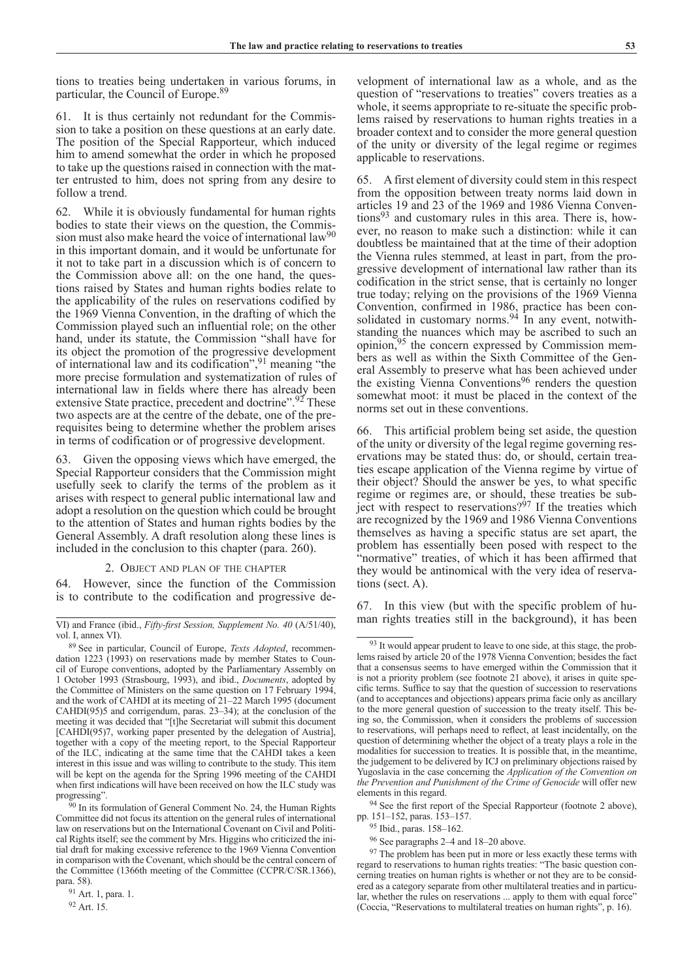tions to treaties being undertaken in various forums, in particular, the Council of Europe.89

61. It is thus certainly not redundant for the Commission to take a position on these questions at an early date. The position of the Special Rapporteur, which induced him to amend somewhat the order in which he proposed to take up the questions raised in connection with the matter entrusted to him, does not spring from any desire to follow a trend.

62. While it is obviously fundamental for human rights bodies to state their views on the question, the Commission must also make heard the voice of international law<sup>90</sup> in this important domain, and it would be unfortunate for it not to take part in a discussion which is of concern to the Commission above all: on the one hand, the questions raised by States and human rights bodies relate to the applicability of the rules on reservations codified by the 1969 Vienna Convention, in the drafting of which the Commission played such an influential role; on the other hand, under its statute, the Commission "shall have for its object the promotion of the progressive development of international law and its codification",91 meaning "the more precise formulation and systematization of rules of international law in fields where there has already been extensive State practice, precedent and doctrine".<sup>92</sup> These two aspects are at the centre of the debate, one of the prerequisites being to determine whether the problem arises in terms of codification or of progressive development.

63. Given the opposing views which have emerged, the Special Rapporteur considers that the Commission might usefully seek to clarify the terms of the problem as it arises with respect to general public international law and adopt a resolution on the question which could be brought to the attention of States and human rights bodies by the General Assembly. A draft resolution along these lines is included in the conclusion to this chapter (para. 260).

### 2. Object and plan of the chapter

64. However, since the function of the Commission is to contribute to the codification and progressive development of international law as a whole, and as the question of "reservations to treaties" covers treaties as a whole, it seems appropriate to re-situate the specific problems raised by reservations to human rights treaties in a broader context and to consider the more general question of the unity or diversity of the legal regime or regimes applicable to reservations.

65. A first element of diversity could stem in this respect from the opposition between treaty norms laid down in articles 19 and 23 of the 1969 and 1986 Vienna Conventions<sup>93</sup> and customary rules in this area. There is, however, no reason to make such a distinction: while it can doubtless be maintained that at the time of their adoption the Vienna rules stemmed, at least in part, from the progressive development of international law rather than its codification in the strict sense, that is certainly no longer true today; relying on the provisions of the 1969 Vienna Convention, confirmed in 1986, practice has been consolidated in customary norms. $94$  In any event, notwithstanding the nuances which may be ascribed to such an opinion,95 the concern expressed by Commission members as well as within the Sixth Committee of the General Assembly to preserve what has been achieved under the existing Vienna Conventions<sup>96</sup> renders the question somewhat moot: it must be placed in the context of the norms set out in these conventions.

66. This artificial problem being set aside, the question of the unity or diversity of the legal regime governing reservations may be stated thus: do, or should, certain treaties escape application of the Vienna regime by virtue of their object? Should the answer be yes, to what specific regime or regimes are, or should, these treaties be subject with respect to reservations?<sup>97</sup> If the treaties which are recognized by the 1969 and 1986 Vienna Conventions themselves as having a specific status are set apart, the problem has essentially been posed with respect to the "normative" treaties, of which it has been affirmed that they would be antinomical with the very idea of reservations (sect. A).

67. In this view (but with the specific problem of human rights treaties still in the background), it has been

<sup>94</sup> See the first report of the Special Rapporteur (footnote 2 above), pp. 151–152, paras. 153–157.

VI) and France (ibid., *Fifty-first Session, Supplement No. 40* (A/51/40), vol. I, annex VI).

<sup>89</sup> See in particular, Council of Europe, *Texts Adopted*, recommendation 1223 (1993) on reservations made by member States to Council of Europe conventions, adopted by the Parliamentary Assembly on 1 October 1993 (Strasbourg, 1993), and ibid., *Documents*, adopted by the Committee of Ministers on the same question on 17 February 1994, and the work of CAHDI at its meeting of 21–22 March 1995 (document CAHDI(95)5 and corrigendum, paras. 23–34); at the conclusion of the meeting it was decided that "[t]he Secretariat will submit this document [CAHDI(95)7, working paper presented by the delegation of Austria], together with a copy of the meeting report, to the Special Rapporteur of the ILC, indicating at the same time that the CAHDI takes a keen interest in this issue and was willing to contribute to the study. This item will be kept on the agenda for the Spring 1996 meeting of the CAHDI when first indications will have been received on how the ILC study was progressing".

<sup>&</sup>lt;sup>90</sup> In its formulation of General Comment No. 24, the Human Rights Committee did not focus its attention on the general rules of international law on reservations but on the International Covenant on Civil and Political Rights itself; see the comment by Mrs. Higgins who criticized the initial draft for making excessive reference to the 1969 Vienna Convention in comparison with the Covenant, which should be the central concern of the Committee (1366th meeting of the Committee (CCPR/C/SR.1366), para. 58).

<sup>91</sup> Art. 1, para. 1.

<sup>92</sup> Art. 15.

<sup>&</sup>lt;sup>93</sup> It would appear prudent to leave to one side, at this stage, the problems raised by article 20 of the 1978 Vienna Convention; besides the fact that a consensus seems to have emerged within the Commission that it is not a priority problem (see footnote 21 above), it arises in quite specific terms. Suffice to say that the question of succession to reservations (and to acceptances and objections) appears prima facie only as ancillary to the more general question of succession to the treaty itself. This being so, the Commission, when it considers the problems of succession to reservations, will perhaps need to reflect, at least incidentally, on the question of determining whether the object of a treaty plays a role in the modalities for succession to treaties. It is possible that, in the meantime, the judgement to be delivered by ICJ on preliminary objections raised by Yugoslavia in the case concerning the *Application of the Convention on the Prevention and Punishment of the Crime of Genocide* will offer new elements in this regard.

<sup>95</sup> Ibid., paras. 158–162.

<sup>96</sup> See paragraphs 2–4 and 18–20 above.

<sup>&</sup>lt;sup>97</sup> The problem has been put in more or less exactly these terms with regard to reservations to human rights treaties: "The basic question concerning treaties on human rights is whether or not they are to be considered as a category separate from other multilateral treaties and in particular, whether the rules on reservations ... apply to them with equal force" (Coccia, "Reservations to multilateral treaties on human rights", p. 16).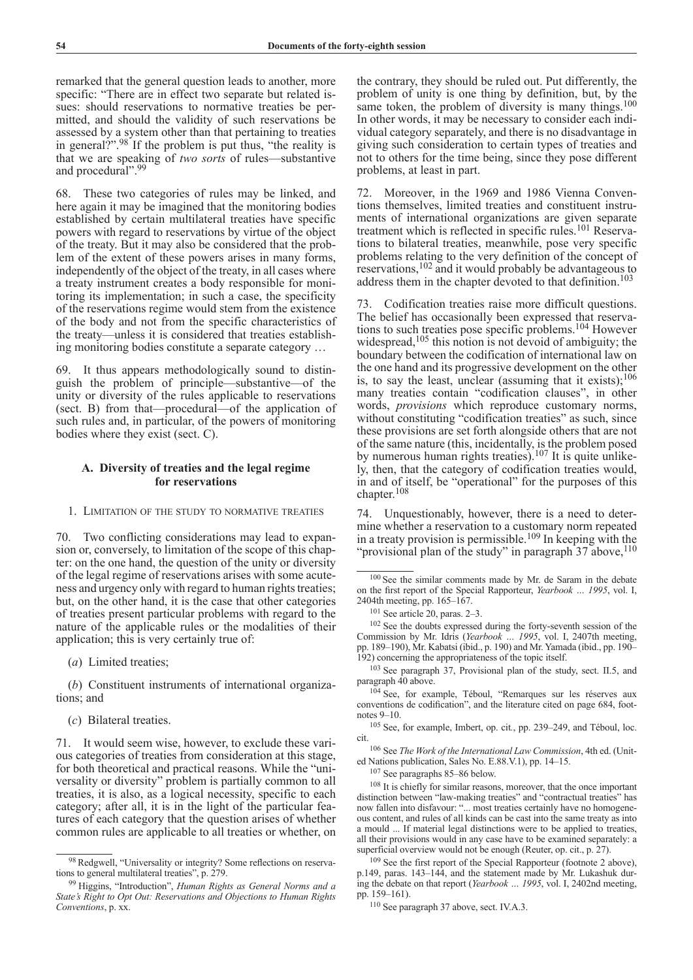remarked that the general question leads to another, more specific: "There are in effect two separate but related issues: should reservations to normative treaties be permitted, and should the validity of such reservations be assessed by a system other than that pertaining to treaties in general?".98 If the problem is put thus, "the reality is that we are speaking of *two sorts* of rules—substantive and procedural".<sup>99</sup>

68. These two categories of rules may be linked, and here again it may be imagined that the monitoring bodies established by certain multilateral treaties have specific powers with regard to reservations by virtue of the object of the treaty. But it may also be considered that the problem of the extent of these powers arises in many forms, independently of the object of the treaty, in all cases where a treaty instrument creates a body responsible for monitoring its implementation; in such a case, the specificity of the reservations regime would stem from the existence of the body and not from the specific characteristics of the treaty—unless it is considered that treaties establishing monitoring bodies constitute a separate category …

69. It thus appears methodologically sound to distinguish the problem of principle—substantive—of the unity or diversity of the rules applicable to reservations (sect. B) from that—procedural—of the application of such rules and, in particular, of the powers of monitoring bodies where they exist (sect. C).

# **A. Diversity of treaties and the legal regime for reservations**

### 1. Limitation of the study to normative treaties

70. Two conflicting considerations may lead to expansion or, conversely, to limitation of the scope of this chapter: on the one hand, the question of the unity or diversity of the legal regime of reservations arises with some acuteness and urgency only with regard to human rights treaties; but, on the other hand, it is the case that other categories of treaties present particular problems with regard to the nature of the applicable rules or the modalities of their application; this is very certainly true of:

(*a*) Limited treaties;

(*b*) Constituent instruments of international organizations; and

(*c*) Bilateral treaties.

71. It would seem wise, however, to exclude these various categories of treaties from consideration at this stage, for both theoretical and practical reasons. While the "universality or diversity" problem is partially common to all treaties, it is also, as a logical necessity, specific to each category; after all, it is in the light of the particular features of each category that the question arises of whether common rules are applicable to all treaties or whether, on

the contrary, they should be ruled out. Put differently, the problem of unity is one thing by definition, but, by the same token, the problem of diversity is many things.<sup>100</sup> In other words, it may be necessary to consider each individual category separately, and there is no disadvantage in giving such consideration to certain types of treaties and not to others for the time being, since they pose different problems, at least in part.

72. Moreover, in the 1969 and 1986 Vienna Conventions themselves, limited treaties and constituent instruments of international organizations are given separate treatment which is reflected in specific rules.101 Reservations to bilateral treaties, meanwhile, pose very specific problems relating to the very definition of the concept of reservations,102 and it would probably be advantageous to address them in the chapter devoted to that definition.<sup>103</sup>

73. Codification treaties raise more difficult questions. The belief has occasionally been expressed that reservations to such treaties pose specific problems.104 However widespread,  $105$  this notion is not devoid of ambiguity; the boundary between the codification of international law on the one hand and its progressive development on the other is, to say the least, unclear (assuming that it exists); $106$ many treaties contain "codification clauses", in other words, *provisions* which reproduce customary norms, without constituting "codification treaties" as such, since these provisions are set forth alongside others that are not of the same nature (this, incidentally, is the problem posed by numerous human rights treaties).<sup>107</sup> It is quite unlikely, then, that the category of codification treaties would, in and of itself, be "operational" for the purposes of this chapter.<sup>108</sup>

74. Unquestionably, however, there is a need to determine whether a reservation to a customary norm repeated in a treaty provision is permissible. 109 In keeping with the "provisional plan of the study" in paragraph 37 above, 110

<sup>100</sup> See the similar comments made by Mr. de Saram in the debate on the first report of the Special Rapporteur, *Yearbook … 1995*, vol. I, 2404th meeting, pp. 165–167.

<sup>101</sup> See article 20, paras. 2–3.

<sup>102</sup> See the doubts expressed during the forty-seventh session of the Commission by Mr. Idris (*Yearbook … 1995*, vol. I, 2407th meeting, pp. 189–190), Mr. Kabatsi (ibid., p. 190) and Mr. Yamada (ibid., pp. 190– 192) concerning the appropriateness of the topic itself.

<sup>103</sup> See paragraph 37, Provisional plan of the study, sect. II.5, and paragraph 40 above.

<sup>104</sup> See, for example, Téboul, "Remarques sur les réserves aux conventions de codification", and the literature cited on page 684, footnotes 9–10.

<sup>105</sup> See, for example, Imbert, op. cit*.*, pp. 239–249, and Téboul, loc.

cit.106 See *The Work of the International Law Commission*, 4th ed. (United Nations publication, Sales No. E.88.V.1), pp. 14–15.

 $107$  See paragraphs 85–86 below.<br> $108$  It is chiefly for similar reasons, moreover, that the once important distinction between "law-making treaties" and "contractual treaties" has now fallen into disfavour: "... most treaties certainly have no homogeneous content, and rules of all kinds can be cast into the same treaty as into a mould ... If material legal distinctions were to be applied to treaties, all their provisions would in any case have to be examined separately: a superficial overview would not be enough (Reuter, op. cit., p. 27).

<sup>109</sup> See the first report of the Special Rapporteur (footnote 2 above), p.149, paras. 143–144, and the statement made by Mr. Lukashuk during the debate on that report (*Yearbook … 1995*, vol. I, 2402nd meeting, pp. 159–161).

<sup>110</sup> See paragraph 37 above, sect. IV.A.3.

<sup>98</sup> Redgwell, "Universality or integrity? Some reflections on reservations to general multilateral treaties", p. 279.

<sup>99</sup> Higgins, "Introduction", *Human Rights as General Norms and a State's Right to Opt Out: Reservations and Objections to Human Rights Conventions*, p. xx.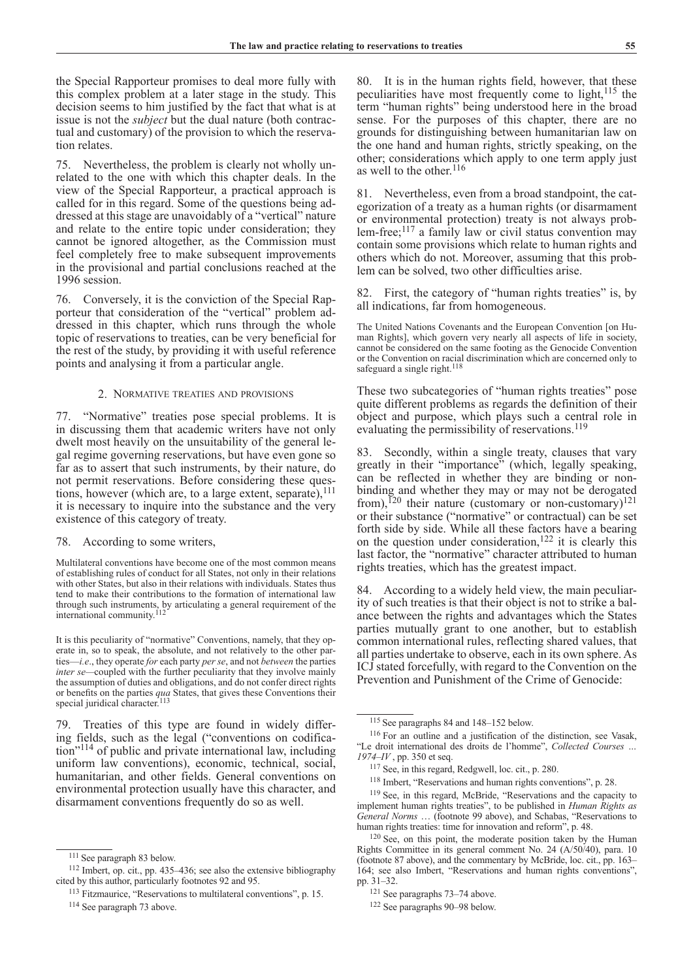the Special Rapporteur promises to deal more fully with this complex problem at a later stage in the study. This decision seems to him justified by the fact that what is at issue is not the *subject* but the dual nature (both contractual and customary) of the provision to which the reservation relates.

75. Nevertheless, the problem is clearly not wholly unrelated to the one with which this chapter deals. In the view of the Special Rapporteur, a practical approach is called for in this regard. Some of the questions being addressed at this stage are unavoidably of a "vertical" nature and relate to the entire topic under consideration; they cannot be ignored altogether, as the Commission must feel completely free to make subsequent improvements in the provisional and partial conclusions reached at the 1996 session.

76. Conversely, it is the conviction of the Special Rapporteur that consideration of the "vertical" problem addressed in this chapter, which runs through the whole topic of reservations to treaties, can be very beneficial for the rest of the study, by providing it with useful reference points and analysing it from a particular angle.

### 2. Normative treaties and provisions

77. "Normative" treaties pose special problems. It is in discussing them that academic writers have not only dwelt most heavily on the unsuitability of the general legal regime governing reservations, but have even gone so far as to assert that such instruments, by their nature, do not permit reservations. Before considering these questions, however (which are, to a large extent, separate),<sup>111</sup> it is necessary to inquire into the substance and the very existence of this category of treaty.

### 78. According to some writers,

Multilateral conventions have become one of the most common means of establishing rules of conduct for all States, not only in their relations with other States, but also in their relations with individuals. States thus tend to make their contributions to the formation of international law through such instruments, by articulating a general requirement of the international community.112

It is this peculiarity of "normative" Conventions, namely, that they operate in, so to speak, the absolute, and not relatively to the other parties—*i.e*., they operate *for* each party *per se*, and not *between* the parties *inter se—*coupled with the further peculiarity that they involve mainly the assumption of duties and obligations, and do not confer direct rights or benefits on the parties *qua* States, that gives these Conventions their special juridical character.<sup>113</sup>

79. Treaties of this type are found in widely differing fields, such as the legal ("conventions on codification"114 of public and private international law, including uniform law conventions), economic, technical, social, humanitarian, and other fields. General conventions on environmental protection usually have this character, and disarmament conventions frequently do so as well.

80. It is in the human rights field, however, that these peculiarities have most frequently come to light,<sup>115</sup> the term "human rights" being understood here in the broad sense. For the purposes of this chapter, there are no grounds for distinguishing between humanitarian law on the one hand and human rights, strictly speaking, on the other; considerations which apply to one term apply just as well to the other.<sup>116</sup>

81. Nevertheless, even from a broad standpoint, the categorization of a treaty as a human rights (or disarmament or environmental protection) treaty is not always problem-free; $^{117}$  a family law or civil status convention may contain some provisions which relate to human rights and others which do not. Moreover, assuming that this problem can be solved, two other difficulties arise.

82. First, the category of "human rights treaties" is, by all indications, far from homogeneous.

The United Nations Covenants and the European Convention [on Human Rights], which govern very nearly all aspects of life in society, cannot be considered on the same footing as the Genocide Convention or the Convention on racial discrimination which are concerned only to safeguard a single right.<sup>118</sup>

These two subcategories of "human rights treaties" pose quite different problems as regards the definition of their object and purpose, which plays such a central role in evaluating the permissibility of reservations.<sup>119</sup>

83. Secondly, within a single treaty, clauses that vary greatly in their "importance" (which, legally speaking, can be reflected in whether they are binding or nonbinding and whether they may or may not be derogated from),<sup>120</sup> their nature (customary or non-customary)<sup>121</sup> or their substance ("normative" or contractual) can be set forth side by side. While all these factors have a bearing on the question under consideration,<sup>122</sup> it is clearly this last factor, the "normative" character attributed to human rights treaties, which has the greatest impact.

84. According to a widely held view, the main peculiarity of such treaties is that their object is not to strike a balance between the rights and advantages which the States parties mutually grant to one another, but to establish common international rules, reflecting shared values, that all parties undertake to observe, each in its own sphere. As ICJ stated forcefully, with regard to the Convention on the Prevention and Punishment of the Crime of Genocide:

<sup>111</sup> See paragraph 83 below.

<sup>112</sup> Imbert, op. cit., pp. 435–436; see also the extensive bibliography cited by this author, particularly footnotes 92 and 95.

<sup>113</sup> Fitzmaurice, "Reservations to multilateral conventions", p. 15.

<sup>114</sup> See paragraph 73 above.

<sup>115</sup> See paragraphs 84 and 148–152 below.

<sup>116</sup> For an outline and a justification of the distinction, see Vasak, "Le droit international des droits de l'homme", *Collected Courses … 1974–IV* , pp. 350 et seq.

<sup>117</sup> See, in this regard, Redgwell, loc. cit., p. 280.

<sup>118</sup> Imbert, "Reservations and human rights conventions", p. 28.

<sup>119</sup> See, in this regard, McBride, "Reservations and the capacity to implement human rights treaties", to be published in *Human Rights as General Norms* … (footnote 99 above), and Schabas, "Reservations to human rights treaties: time for innovation and reform", p. 48.

<sup>120</sup> See, on this point, the moderate position taken by the Human Rights Committee in its general comment No. 24 (A/50/40), para. 10 (footnote 87 above), and the commentary by McBride, loc. cit., pp. 163– 164; see also Imbert, "Reservations and human rights conventions", pp. 31–32.

<sup>121</sup> See paragraphs 73–74 above.

<sup>122</sup> See paragraphs 90–98 below.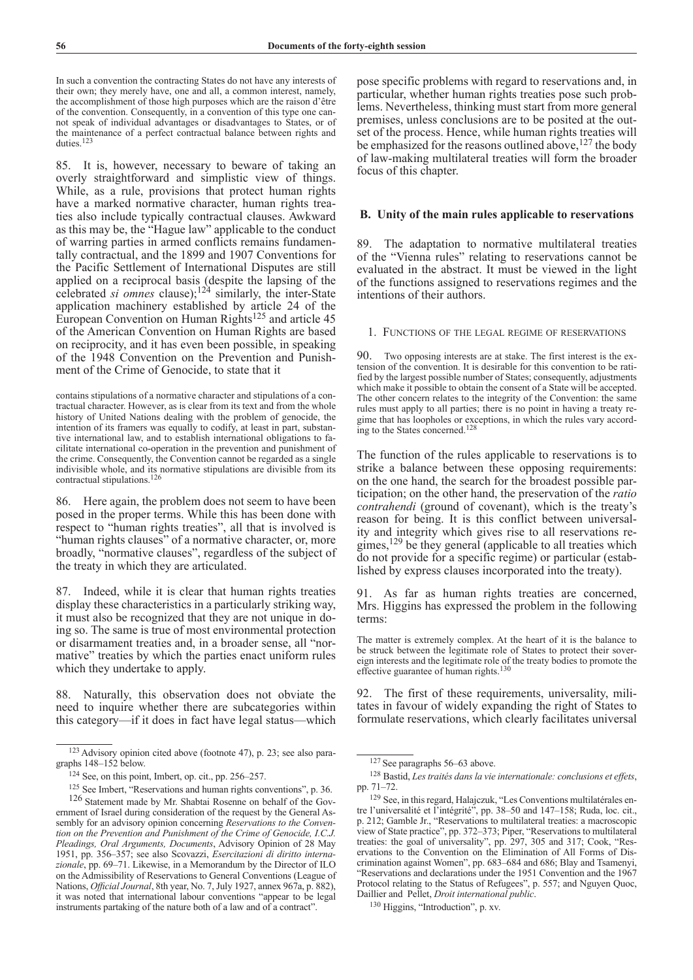In such a convention the contracting States do not have any interests of their own; they merely have, one and all, a common interest, namely, the accomplishment of those high purposes which are the raison d'être of the convention. Consequently, in a convention of this type one cannot speak of individual advantages or disadvantages to States, or of the maintenance of a perfect contractual balance between rights and duties.<sup>12</sup>

85. It is, however, necessary to beware of taking an overly straightforward and simplistic view of things. While, as a rule, provisions that protect human rights have a marked normative character, human rights treaties also include typically contractual clauses. Awkward as this may be, the "Hague law" applicable to the conduct of warring parties in armed conflicts remains fundamentally contractual, and the 1899 and 1907 Conventions for the Pacific Settlement of International Disputes are still applied on a reciprocal basis (despite the lapsing of the celebrated *si omnes* clause);124 similarly, the inter-State application machinery established by article 24 of the European Convention on Human Rights125 and article 45 of the American Convention on Human Rights are based on reciprocity, and it has even been possible, in speaking of the 1948 Convention on the Prevention and Punishment of the Crime of Genocide, to state that it

86. Here again, the problem does not seem to have been posed in the proper terms. While this has been done with respect to "human rights treaties", all that is involved is "human rights clauses" of a normative character, or, more broadly, "normative clauses", regardless of the subject of the treaty in which they are articulated.

87. Indeed, while it is clear that human rights treaties display these characteristics in a particularly striking way, it must also be recognized that they are not unique in doing so. The same is true of most environmental protection or disarmament treaties and, in a broader sense, all "normative" treaties by which the parties enact uniform rules which they undertake to apply.

88. Naturally, this observation does not obviate the need to inquire whether there are subcategories within this category—if it does in fact have legal status—which pose specific problems with regard to reservations and, in particular, whether human rights treaties pose such problems. Nevertheless, thinking must start from more general premises, unless conclusions are to be posited at the outset of the process. Hence, while human rights treaties will be emphasized for the reasons outlined above,  $127$  the body of law-making multilateral treaties will form the broader focus of this chapter.

# **B. Unity of the main rules applicable to reservations**

89. The adaptation to normative multilateral treaties of the "Vienna rules" relating to reservations cannot be evaluated in the abstract. It must be viewed in the light of the functions assigned to reservations regimes and the intentions of their authors.

### 1. Functions of the legal regime of reservations

90. Two opposing interests are at stake. The first interest is the extension of the convention. It is desirable for this convention to be ratified by the largest possible number of States; consequently, adjustments which make it possible to obtain the consent of a State will be accepted. The other concern relates to the integrity of the Convention: the same rules must apply to all parties; there is no point in having a treaty regime that has loopholes or exceptions, in which the rules vary according to the States concerned.<sup>128</sup>

The function of the rules applicable to reservations is to strike a balance between these opposing requirements: on the one hand, the search for the broadest possible participation; on the other hand, the preservation of the *ratio contrahendi* (ground of covenant), which is the treaty's reason for being. It is this conflict between universality and integrity which gives rise to all reservations regimes,<sup>129</sup> be they general (applicable to all treaties which do not provide for a specific regime) or particular (established by express clauses incorporated into the treaty).

91. As far as human rights treaties are concerned, Mrs. Higgins has expressed the problem in the following terms:

92. The first of these requirements, universality, militates in favour of widely expanding the right of States to formulate reservations, which clearly facilitates universal

contains stipulations of a normative character and stipulations of a contractual character. However, as is clear from its text and from the whole history of United Nations dealing with the problem of genocide, the intention of its framers was equally to codify, at least in part, substantive international law, and to establish international obligations to facilitate international co-operation in the prevention and punishment of the crime. Consequently, the Convention cannot be regarded as a single indivisible whole, and its normative stipulations are divisible from its contractual stipulations.126

<sup>123</sup>Advisory opinion cited above (footnote 47), p. 23; see also paragraphs 148–152 below.

<sup>124</sup> See, on this point, Imbert, op. cit., pp. 256–257.

<sup>125</sup> See Imbert, "Reservations and human rights conventions", p. 36. <sup>126</sup> Statement made by Mr. Shabtai Rosenne on behalf of the Government of Israel during consideration of the request by the General Assembly for an advisory opinion concerning *Reservations to the Convention on the Prevention and Punishment of the Crime of Genocide, I.C.J. Pleadings, Oral Arguments, Documents*, Advisory Opinion of 28 May 1951, pp. 356–357; see also Scovazzi, *Esercitazioni di diritto internazionale*, pp. 69–71. Likewise, in a Memorandum by the Director of ILO on the Admissibility of Reservations to General Conventions (League of Nations, *Official Journal*, 8th year, No. 7, July 1927, annex 967a, p. 882), it was noted that international labour conventions "appear to be legal instruments partaking of the nature both of a law and of a contract".

The matter is extremely complex. At the heart of it is the balance to be struck between the legitimate role of States to protect their sovereign interests and the legitimate role of the treaty bodies to promote the effective guarantee of human rights.<sup>130</sup>

<sup>127</sup> See paragraphs 56–63 above.

<sup>128</sup> Bastid, *Les traités dans la vie internationale: conclusions et effets*, pp. 71–72.

<sup>129</sup> See, in this regard, Halajczuk, "Les Conventions multilatérales entre l'universalité et l'intégrité", pp. 38–50 and 147–158; Ruda, loc. cit., p. 212; Gamble Jr., "Reservations to multilateral treaties: a macroscopic view of State practice", pp. 372–373; Piper, "Reservations to multilateral treaties: the goal of universality", pp. 297, 305 and 317; Cook, "Reservations to the Convention on the Elimination of All Forms of Discrimination against Women", pp. 683–684 and 686; Blay and Tsamenyi, "Reservations and declarations under the 1951 Convention and the 1967 Protocol relating to the Status of Refugees", p. 557; and Nguyen Quoc, Daillier and Pellet, *Droit international public*. 130 Higgins, "Introduction", p. xv.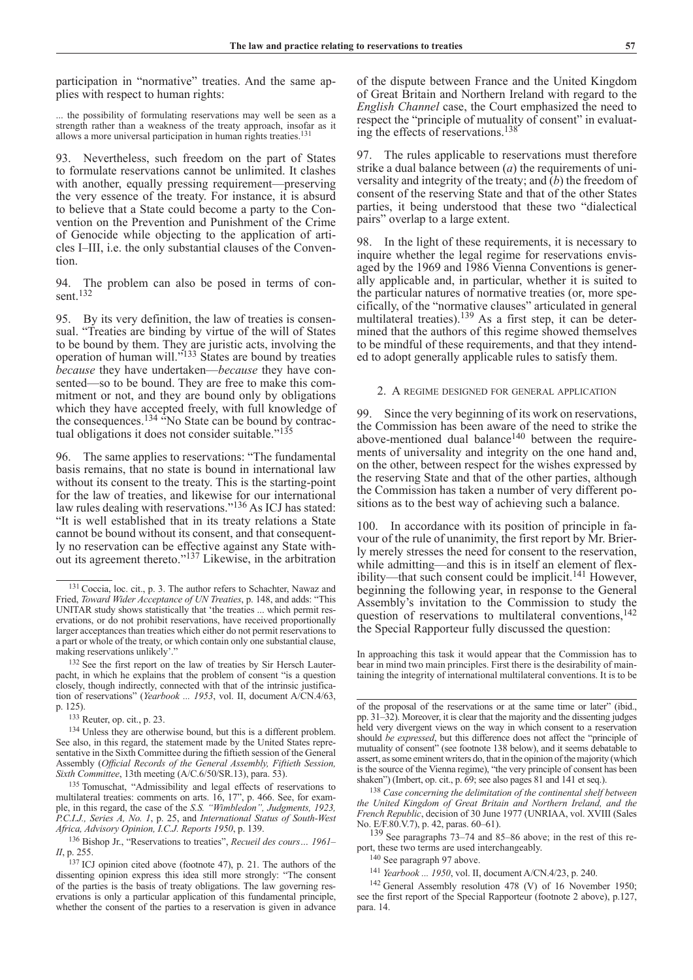participation in "normative" treaties. And the same applies with respect to human rights:

... the possibility of formulating reservations may well be seen as a strength rather than a weakness of the treaty approach, insofar as it allows a more universal participation in human rights treaties.<sup>131</sup>

93. Nevertheless, such freedom on the part of States to formulate reservations cannot be unlimited. It clashes with another, equally pressing requirement—preserving the very essence of the treaty. For instance, it is absurd to believe that a State could become a party to the Convention on the Prevention and Punishment of the Crime of Genocide while objecting to the application of articles I–III, i.e. the only substantial clauses of the Convention.

94. The problem can also be posed in terms of consent.<sup>132</sup>

95. By its very definition, the law of treaties is consensual. "Treaties are binding by virtue of the will of States to be bound by them. They are juristic acts, involving the operation of human will."<sup>133</sup> States are bound by treaties *because* they have undertaken—*because* they have consented—so to be bound. They are free to make this commitment or not, and they are bound only by obligations which they have accepted freely, with full knowledge of the consequences.<sup>134</sup> "No State can be bound by contractual obligations it does not consider suitable."<sup>135</sup>

96. The same applies to reservations: "The fundamental basis remains, that no state is bound in international law without its consent to the treaty. This is the starting-point for the law of treaties, and likewise for our international law rules dealing with reservations."<sup>136</sup> As ICJ has stated: "It is well established that in its treaty relations a State cannot be bound without its consent, and that consequently no reservation can be effective against any State without its agreement thereto."137 Likewise, in the arbitration of the dispute between France and the United Kingdom of Great Britain and Northern Ireland with regard to the *English Channel* case, the Court emphasized the need to respect the "principle of mutuality of consent" in evaluating the effects of reservations.138

97. The rules applicable to reservations must therefore strike a dual balance between (*a*) the requirements of universality and integrity of the treaty; and (*b*) the freedom of consent of the reserving State and that of the other States parties, it being understood that these two "dialectical pairs" overlap to a large extent.

98. In the light of these requirements, it is necessary to inquire whether the legal regime for reservations envisaged by the 1969 and 1986 Vienna Conventions is generally applicable and, in particular, whether it is suited to the particular natures of normative treaties (or, more specifically, of the "normative clauses" articulated in general multilateral treaties).<sup>139</sup> As a first step, it can be determined that the authors of this regime showed themselves to be mindful of these requirements, and that they intended to adopt generally applicable rules to satisfy them.

2. A regime designed for general application

99. Since the very beginning of its work on reservations, the Commission has been aware of the need to strike the above-mentioned dual balance $140$  between the requirements of universality and integrity on the one hand and, on the other, between respect for the wishes expressed by the reserving State and that of the other parties, although the Commission has taken a number of very different positions as to the best way of achieving such a balance.

100. In accordance with its position of principle in favour of the rule of unanimity, the first report by Mr. Brierly merely stresses the need for consent to the reservation, while admitting—and this is in itself an element of flexibility—that such consent could be implicit.141 However, beginning the following year, in response to the General Assembly's invitation to the Commission to study the question of reservations to multilateral conventions,<sup>142</sup> the Special Rapporteur fully discussed the question:

In approaching this task it would appear that the Commission has to bear in mind two main principles. First there is the desirability of maintaining the integrity of international multilateral conventions. It is to be

<sup>139</sup> See paragraphs 73–74 and 85–86 above; in the rest of this report, these two terms are used interchangeably.

<sup>140</sup> See paragraph 97 above.

<sup>141</sup> *Yearbook ... 1950*, vol. II, document A/CN.4/23, p. 240.

<sup>131</sup> Coccia, loc. cit., p. 3. The author refers to Schachter, Nawaz and Fried, *Toward Wider Acceptance of UN Treaties*, p. 148, and adds: "This UNITAR study shows statistically that 'the treaties ... which permit reservations, or do not prohibit reservations, have received proportionally larger acceptances than treaties which either do not permit reservations to a part or whole of the treaty, or which contain only one substantial clause, making reservations unlikely'.

<sup>132</sup> See the first report on the law of treaties by Sir Hersch Lauterpacht, in which he explains that the problem of consent "is a question closely, though indirectly, connected with that of the intrinsic justification of reservations" (*Yearbook ... 1953*, vol. II, document A/CN.4/63, p. 125).

<sup>133</sup> Reuter, op. cit., p. 23.

<sup>134</sup> Unless they are otherwise bound, but this is a different problem. See also, in this regard, the statement made by the United States representative in the Sixth Committee during the fiftieth session of the General Assembly (*Official Records of the General Assembly, Fiftieth Session,* 

<sup>&</sup>lt;sup>135</sup> Tomuschat, "Admissibility and legal effects of reservations to multilateral treaties: comments on arts. 16, 17", p. 466. See, for example, in this regard, the case of the *S.S. "Wimbledon", Judgments, 1923, P.C.I.J., Series A, No. 1*, p. 25, and *International Status of South-West Africa, Advisory Opinion, I.C.J. Reports 1950*, p. 139.

<sup>136</sup> Bishop Jr., "Reservations to treaties", *Recueil des cours… 1961– II*, p. 255.

<sup>137</sup> ICJ opinion cited above (footnote 47), p. 21. The authors of the dissenting opinion express this idea still more strongly: "The consent of the parties is the basis of treaty obligations. The law governing reservations is only a particular application of this fundamental principle, whether the consent of the parties to a reservation is given in advance

of the proposal of the reservations or at the same time or later" (ibid., pp. 31–32). Moreover, it is clear that the majority and the dissenting judges held very divergent views on the way in which consent to a reservation should *be expressed*, but this difference does not affect the "principle of mutuality of consent" (see footnote 138 below), and it seems debatable to assert, as some eminent writers do, that in the opinion of the majority (which is the source of the Vienna regime), "the very principle of consent has been shaken") (Imbert, op. cit., p. 69; see also pages 81 and 141 et seq.).

<sup>138</sup> *Case concerning the delimitation of the continental shelf between the United Kingdom of Great Britain and Northern Ireland, and the French Republic*, decision of 30 June 1977 (UNRIAA, vol. XVIII (Sales No. E/F.80.V.7), p. 42, paras. 60–61).

<sup>142</sup> General Assembly resolution 478 (V) of 16 November 1950; see the first report of the Special Rapporteur (footnote 2 above), p.127, para. 14.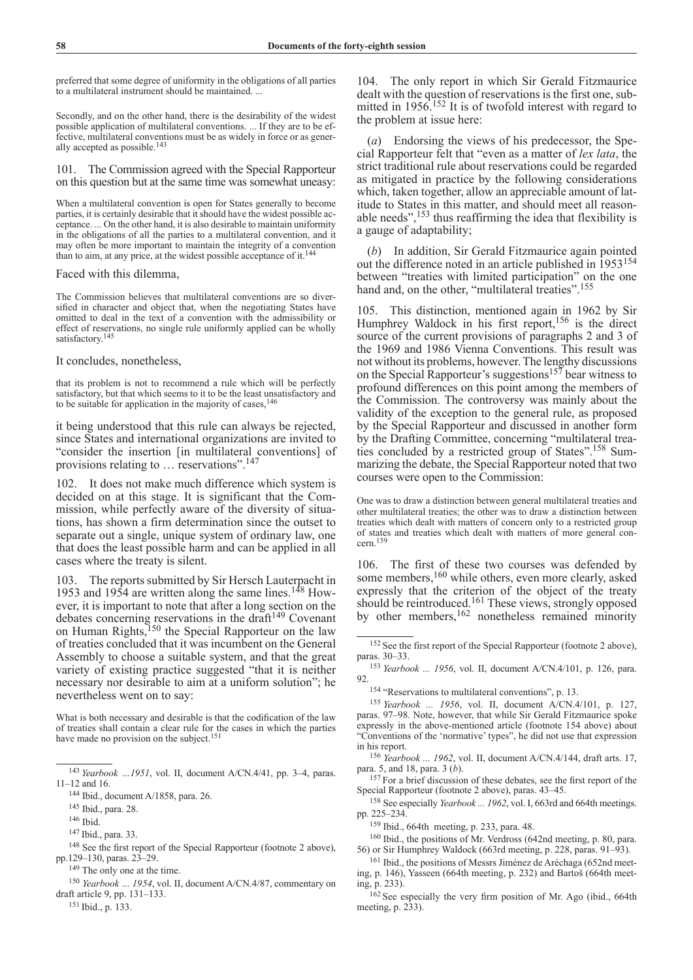preferred that some degree of uniformity in the obligations of all parties to a multilateral instrument should be maintained. ...

Secondly, and on the other hand, there is the desirability of the widest possible application of multilateral conventions. ... If they are to be effective, multilateral conventions must be as widely in force or as generally accepted as possible.143

101. The Commission agreed with the Special Rapporteur on this question but at the same time was somewhat uneasy:

When a multilateral convention is open for States generally to become parties, it is certainly desirable that it should have the widest possible acceptance. ... On the other hand, it is also desirable to maintain uniformity in the obligations of all the parties to a multilateral convention, and it may often be more important to maintain the integrity of a convention than to aim, at any price, at the widest possible acceptance of it.<sup>14</sup>

## Faced with this dilemma,

The Commission believes that multilateral conventions are so diversified in character and object that, when the negotiating States have omitted to deal in the text of a convention with the admissibility or effect of reservations, no single rule uniformly applied can be wholly satisfactory.<sup>145</sup>

## It concludes, nonetheless,

that its problem is not to recommend a rule which will be perfectly satisfactory, but that which seems to it to be the least unsatisfactory and to be suitable for application in the majority of cases,<sup>146</sup>

it being understood that this rule can always be rejected, since States and international organizations are invited to "consider the insertion [in multilateral conventions] of provisions relating to … reservations".147

102. It does not make much difference which system is decided on at this stage. It is significant that the Commission, while perfectly aware of the diversity of situations, has shown a firm determination since the outset to separate out a single, unique system of ordinary law, one that does the least possible harm and can be applied in all cases where the treaty is silent.

103. The reports submitted by Sir Hersch Lauterpacht in 1953 and 1954 are written along the same lines.<sup>148</sup> However, it is important to note that after a long section on the debates concerning reservations in the draft<sup>149</sup> Covenant on Human Rights,<sup>150</sup> the Special Rapporteur on the law of treaties concluded that it was incumbent on the General Assembly to choose a suitable system, and that the great variety of existing practice suggested "that it is neither necessary nor desirable to aim at a uniform solution"; he nevertheless went on to say:

What is both necessary and desirable is that the codification of the law of treaties shall contain a clear rule for the cases in which the parties have made no provision on the subject.<sup>151</sup>

<sup>149</sup> The only one at the time.

<sup>151</sup> Ibid., p. 133.

104. The only report in which Sir Gerald Fitzmaurice dealt with the question of reservations is the first one, submitted in  $1956$ <sup>152</sup> It is of twofold interest with regard to the problem at issue here:

(*a*) Endorsing the views of his predecessor, the Special Rapporteur felt that "even as a matter of *lex lata*, the strict traditional rule about reservations could be regarded as mitigated in practice by the following considerations which, taken together, allow an appreciable amount of latitude to States in this matter, and should meet all reasonable needs",153 thus reaffirming the idea that flexibility is a gauge of adaptability;

(*b*) In addition, Sir Gerald Fitzmaurice again pointed out the difference noted in an article published in 1953154 between "treaties with limited participation" on the one hand and, on the other, "multilateral treaties".<sup>155</sup>

105. This distinction, mentioned again in 1962 by Sir Humphrey Waldock in his first report, $156$  is the direct source of the current provisions of paragraphs 2 and 3 of the 1969 and 1986 Vienna Conventions. This result was not without its problems, however. The lengthy discussions on the Special Rapporteur's suggestions<sup>157</sup> bear witness to profound differences on this point among the members of the Commission. The controversy was mainly about the validity of the exception to the general rule, as proposed by the Special Rapporteur and discussed in another form by the Drafting Committee, concerning "multilateral treaties concluded by a restricted group of States".158 Summarizing the debate, the Special Rapporteur noted that two courses were open to the Commission:

One was to draw a distinction between general multilateral treaties and other multilateral treaties; the other was to draw a distinction between treaties which dealt with matters of concern only to a restricted group of states and treaties which dealt with matters of more general concern.159

106. The first of these two courses was defended by some members,<sup>160</sup> while others, even more clearly, asked expressly that the criterion of the object of the treaty should be reintroduced.<sup>161</sup> These views, strongly opposed by other members,<sup>162</sup> nonetheless remained minority

<sup>153</sup> *Yearbook ... 1956*, vol. II, document A/CN.4/101, p. 126, para. 92.<br><sup>154</sup> "Reservations to multilateral conventions", p. 13.

<sup>156</sup> *Yearbook ... 1962*, vol. II, document A/CN.4/144, draft arts. 17, para. 5, and 18, para. 3 (*b*).

<sup>157</sup> For a brief discussion of these debates, see the first report of the Special Rapporteur (footnote 2 above), paras. 43–45.

<sup>158</sup> See especially *Yearbook ... 1962*, vol. I, 663rd and 664th meetings. pp. 225–234.

<sup>159</sup> Ibid., 664th meeting, p. 233, para. 48.

<sup>160</sup> Ibid., the positions of Mr. Verdross (642nd meeting, p. 80, para. 56) or Sir Humphrey Waldock (663rd meeting, p. 228, paras. 91–93).

<sup>161</sup> Ibid., the positions of Messrs Jiménez de Aréchaga (652nd meeting, p. 146), Yasseen (664th meeting, p. 232) and Bartoš (664th meeting, p. 233).

<sup>162</sup> See especially the very firm position of Mr. Ago (ibid., 664th meeting, p. 233).

<sup>143</sup> *Yearbook …1951*, vol. II, document A/CN.4/41, pp. 3–4, paras. 11–12 and 16.

<sup>144</sup> Ibid., document A/1858, para. 26.

<sup>145</sup> Ibid., para. 28.

<sup>146</sup> Ibid.

<sup>147</sup> Ibid., para. 33.

<sup>148</sup> See the first report of the Special Rapporteur (footnote 2 above), pp.129–130, paras. 23*–*29.

<sup>150</sup> *Yearbook … 1954*, vol. II, document A/CN.4/87, commentary on draft article 9, pp. 131–133.

<sup>152</sup> See the first report of the Special Rapporteur (footnote 2 above), paras. 30–33.

<sup>155</sup> *Yearbook ... 1956*, vol. II, document A/CN.4/101, p. 127, paras. 97–98. Note, however, that while Sir Gerald Fitzmaurice spoke expressly in the above-mentioned article (footnote 154 above) about "Conventions of the 'normative' types", he did not use that expression in his report.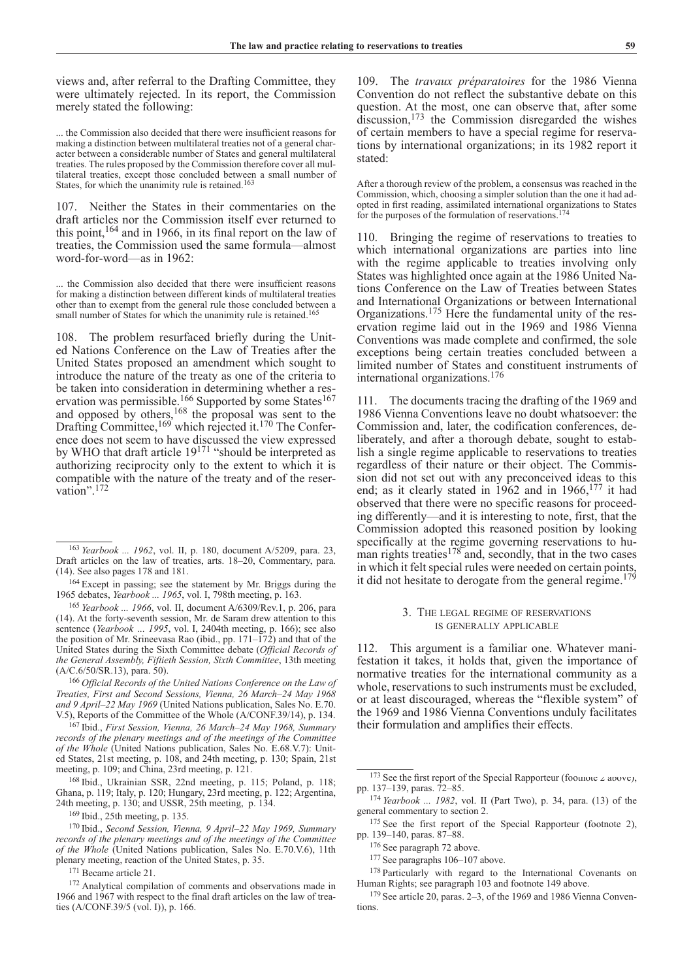views and, after referral to the Drafting Committee, they were ultimately rejected. In its report, the Commission merely stated the following:

... the Commission also decided that there were insufficient reasons for making a distinction between multilateral treaties not of a general character between a considerable number of States and general multilateral treaties. The rules proposed by the Commission therefore cover all multilateral treaties, except those concluded between a small number of States, for which the unanimity rule is retained.<sup>163</sup>

107. Neither the States in their commentaries on the draft articles nor the Commission itself ever returned to this point,<sup>164</sup> and in 1966, in its final report on the law of treaties, the Commission used the same formula—almost word-for-word—as in 1962:

... the Commission also decided that there were insufficient reasons for making a distinction between different kinds of multilateral treaties other than to exempt from the general rule those concluded between a small number of States for which the unanimity rule is retained.<sup>16</sup>

108. The problem resurfaced briefly during the United Nations Conference on the Law of Treaties after the United States proposed an amendment which sought to introduce the nature of the treaty as one of the criteria to be taken into consideration in determining whether a reservation was permissible.<sup>166</sup> Supported by some States<sup>167</sup> and opposed by others,  $168$  the proposal was sent to the Drafting Committee,<sup>169</sup> which rejected it.<sup>170</sup> The Conference does not seem to have discussed the view expressed by WHO that draft article 19<sup>171</sup> "should be interpreted as authorizing reciprocity only to the extent to which it is compatible with the nature of the treaty and of the reservation".<sup>172</sup>

<sup>166</sup> *Official Records of the United Nations Conference on the Law of Treaties, First and Second Sessions, Vienna, 26 March–24 May 1968 and 9 April–22 May 1969* (United Nations publication, Sales No. E.70. V.5), Reports of the Committee of the Whole (A/CONF.39/14), p. 134.

<sup>167</sup> Ibid., *First Session, Vienna, 26 March–24 May 1968, Summary records of the plenary meetings and of the meetings of the Committee of the Whole* (United Nations publication, Sales No. E.68.V.7): United States, 21st meeting, p. 108, and 24th meeting, p. 130; Spain, 21st meeting, p. 109; and China, 23rd meeting, p. 121.

<sup>168</sup> Ibid., Ukrainian SSR, 22nd meeting, p. 115; Poland, p. 118; Ghana, p. 119; Italy, p. 120; Hungary, 23rd meeting, p. 122; Argentina, 24th meeting, p. 130; and USSR, 25th meeting, p. 134.

<sup>169</sup> Ibid., 25th meeting, p. 135.

<sup>170</sup> Ibid., *Second Session, Vienna, 9 April–22 May 1969, Summary records of the plenary meetings and of the meetings of the Committee of the Whole* (United Nations publication, Sales No. E.70.V.6), 11th plenary meeting, reaction of the United States, p. 35.

<sup>171</sup> Became article 21.

<sup>172</sup> Analytical compilation of comments and observations made in 1966 and 1967 with respect to the final draft articles on the law of treaties (A/CONF.39/5 (vol. I)), p. 166.

109. The *travaux préparatoires* for the 1986 Vienna Convention do not reflect the substantive debate on this question. At the most, one can observe that, after some discussion,<sup>173</sup> the Commission disregarded the wishes of certain members to have a special regime for reservations by international organizations; in its 1982 report it stated:

After a thorough review of the problem, a consensus was reached in the Commission, which, choosing a simpler solution than the one it had adopted in first reading, assimilated international organizations to States for the purposes of the formulation of reservations.174

110. Bringing the regime of reservations to treaties to which international organizations are parties into line with the regime applicable to treaties involving only States was highlighted once again at the 1986 United Nations Conference on the Law of Treaties between States and International Organizations or between International Organizations.175 Here the fundamental unity of the reservation regime laid out in the 1969 and 1986 Vienna Conventions was made complete and confirmed, the sole exceptions being certain treaties concluded between a limited number of States and constituent instruments of international organizations.176

111. The documents tracing the drafting of the 1969 and 1986 Vienna Conventions leave no doubt whatsoever: the Commission and, later, the codification conferences, deliberately, and after a thorough debate, sought to establish a single regime applicable to reservations to treaties regardless of their nature or their object. The Commission did not set out with any preconceived ideas to this end; as it clearly stated in  $1962$  and in  $1966$ , <sup>177</sup> it had observed that there were no specific reasons for proceeding differently—and it is interesting to note, first, that the Commission adopted this reasoned position by looking specifically at the regime governing reservations to human rights treaties<sup>178</sup> and, secondly, that in the two cases in which it felt special rules were needed on certain points, it did not hesitate to derogate from the general regime.<sup>179</sup>

## 3. The legal regime of reservations is generally applicable

112. This argument is a familiar one. Whatever manifestation it takes, it holds that, given the importance of normative treaties for the international community as a whole, reservations to such instruments must be excluded, or at least discouraged, whereas the "flexible system" of the 1969 and 1986 Vienna Conventions unduly facilitates their formulation and amplifies their effects.

<sup>174</sup> *Yearbook ... 1982*, vol. II (Part Two), p. 34, para. (13) of the general commentary to section 2.

<sup>175</sup> See the first report of the Special Rapporteur (footnote 2), pp. 139–140, paras. 87–88.

<sup>176</sup> See paragraph 72 above.

<sup>177</sup> See paragraphs 106–107 above.

<sup>178</sup> Particularly with regard to the International Covenants on Human Rights; see paragraph 103 and footnote 149 above.

<sup>179</sup> See article 20, paras. 2–3, of the 1969 and 1986 Vienna Conventions.

<sup>163</sup> *Yearbook ... 1962*, vol. II, p. 180, document A/5209, para. 23, Draft articles on the law of treaties, arts. 18–20, Commentary, para. (14). See also pages 178 and 181.

<sup>164</sup> Except in passing; see the statement by Mr. Briggs during the 1965 debates, *Yearbook ... 1965*, vol. I, 798th meeting, p. 163.

<sup>165</sup> *Yearbook ... 1966*, vol. II, document A/6309/Rev.1, p. 206, para (14). At the forty-seventh session, Mr. de Saram drew attention to this sentence (*Yearbook … 1995*, vol. I, 2404th meeting, p. 166); see also the position of Mr. Srineevasa Rao (ibid., pp. 171–172) and that of the United States during the Sixth Committee debate (*Official Records of the General Assembly, Fiftieth Session, Sixth Committee*, 13th meeting (A/C.6/50/SR.13), para. 50).

<sup>&</sup>lt;sup>173</sup> See the first report of the Special Rapporteur (footnote  $\angle$  above), pp. 137–139, paras. 72–85.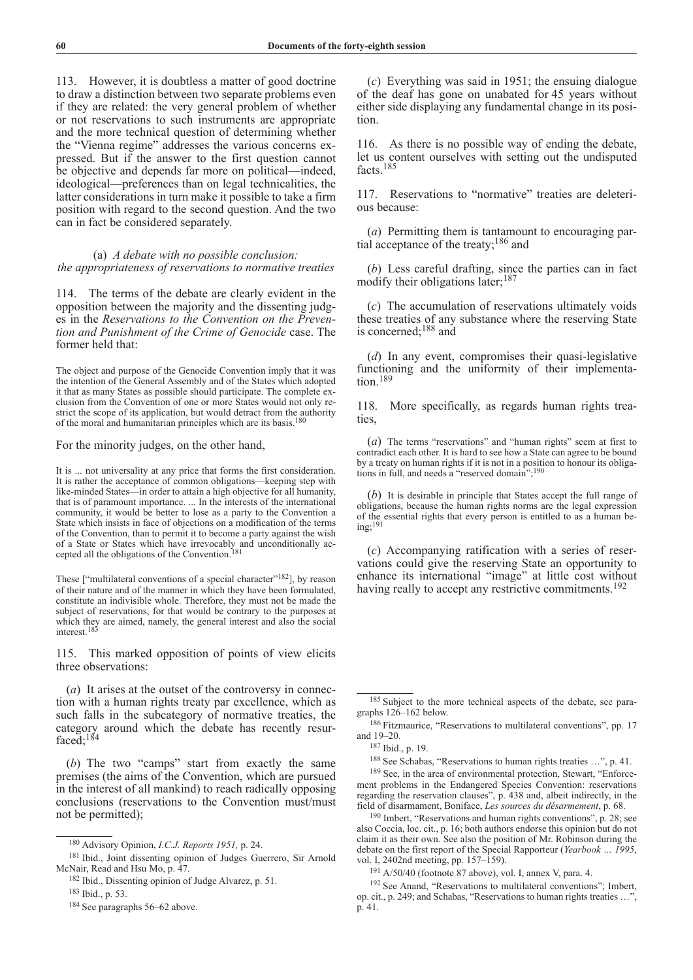113. However, it is doubtless a matter of good doctrine to draw a distinction between two separate problems even if they are related: the very general problem of whether or not reservations to such instruments are appropriate and the more technical question of determining whether the "Vienna regime" addresses the various concerns expressed. But if the answer to the first question cannot be objective and depends far more on political—indeed, ideological—preferences than on legal technicalities, the latter considerations in turn make it possible to take a firm position with regard to the second question. And the two can in fact be considered separately.

# (a) *A debate with no possible conclusion: the appropriateness of reservations to normative treaties*

114. The terms of the debate are clearly evident in the opposition between the majority and the dissenting judges in the *Reservations to the Convention on the Prevention and Punishment of the Crime of Genocide* case. The former held that:

The object and purpose of the Genocide Convention imply that it was the intention of the General Assembly and of the States which adopted it that as many States as possible should participate. The complete exclusion from the Convention of one or more States would not only restrict the scope of its application, but would detract from the authority of the moral and humanitarian principles which are its basis.<sup>180</sup>

For the minority judges, on the other hand,

It is ... not universality at any price that forms the first consideration. It is rather the acceptance of common obligations—keeping step with like-minded States—in order to attain a high objective for all humanity, that is of paramount importance. ... In the interests of the international community, it would be better to lose as a party to the Convention a State which insists in face of objections on a modification of the terms of the Convention, than to permit it to become a party against the wish of a State or States which have irrevocably and unconditionally accepted all the obligations of the Convention.<sup>181</sup>

These ["multilateral conventions of a special character"<sup>182</sup>], by reason of their nature and of the manner in which they have been formulated, constitute an indivisible whole. Therefore, they must not be made the subject of reservations, for that would be contrary to the purposes at which they are aimed, namely, the general interest and also the social interest.<sup>183</sup>

115. This marked opposition of points of view elicits three observations:

(*a*) It arises at the outset of the controversy in connection with a human rights treaty par excellence, which as such falls in the subcategory of normative treaties, the category around which the debate has recently resurfaced:<sup>184</sup>

(*b*) The two "camps" start from exactly the same premises (the aims of the Convention, which are pursued in the interest of all mankind) to reach radically opposing conclusions (reservations to the Convention must/must not be permitted);

(*c*) Everything was said in 1951; the ensuing dialogue of the deaf has gone on unabated for 45 years without either side displaying any fundamental change in its position.

116. As there is no possible way of ending the debate, let us content ourselves with setting out the undisputed facts.185

117. Reservations to "normative" treaties are deleterious because:

(*a*) Permitting them is tantamount to encouraging partial acceptance of the treaty;186 and

(*b*) Less careful drafting, since the parties can in fact modify their obligations later;<sup>187</sup>

(*c*) The accumulation of reservations ultimately voids these treaties of any substance where the reserving State is concerned;188 and

(*d*) In any event, compromises their quasi-legislative functioning and the uniformity of their implementation.<sup>189</sup>

118. More specifically, as regards human rights treaties,

(*a*) The terms "reservations" and "human rights" seem at first to contradict each other. It is hard to see how a State can agree to be bound by a treaty on human rights if it is not in a position to honour its obligations in full, and needs a "reserved domain";<sup>190</sup>

(*b*) It is desirable in principle that States accept the full range of obligations, because the human rights norms are the legal expression of the essential rights that every person is entitled to as a human being;191

(*c*) Accompanying ratification with a series of reservations could give the reserving State an opportunity to enhance its international "image" at little cost without having really to accept any restrictive commitments.<sup>192</sup>

<sup>190</sup> Imbert, "Reservations and human rights conventions", p. 28; see also Coccia, loc. cit., p. 16; both authors endorse this opinion but do not claim it as their own. See also the position of Mr. Robinson during the debate on the first report of the Special Rapporteur (*Yearbook … 1995*, vol. I, 2402nd meeting, pp. 157–159).

<sup>191</sup> A/50/40 (footnote 87 above), vol. I, annex V, para. 4.

<sup>192</sup> See Anand, "Reservations to multilateral conventions"; Imbert, op. cit., p. 249; and Schabas, "Reservations to human rights treaties …", p. 41.

<sup>180</sup> Advisory Opinion, *I.C.J. Reports 1951,* p. 24.

<sup>181</sup> Ibid., Joint dissenting opinion of Judges Guerrero, Sir Arnold McNair, Read and Hsu Mo, p. 47.

<sup>182</sup> Ibid., Dissenting opinion of Judge Alvarez, p. 51.

<sup>183</sup> Ibid., p. 53.

<sup>184</sup> See paragraphs 56–62 above.

<sup>185</sup> Subject to the more technical aspects of the debate, see paragraphs 126–162 below.

<sup>186</sup> Fitzmaurice, "Reservations to multilateral conventions", pp. 17 and 19–20.

<sup>187</sup> Ibid., p. 19.

<sup>188</sup> See Schabas, "Reservations to human rights treaties …", p. 41.

<sup>189</sup> See, in the area of environmental protection, Stewart, "Enforcement problems in the Endangered Species Convention: reservations regarding the reservation clauses", p. 438 and, albeit indirectly, in the field of disarmament, Boniface, *Les sources du désarmement*, p. 68.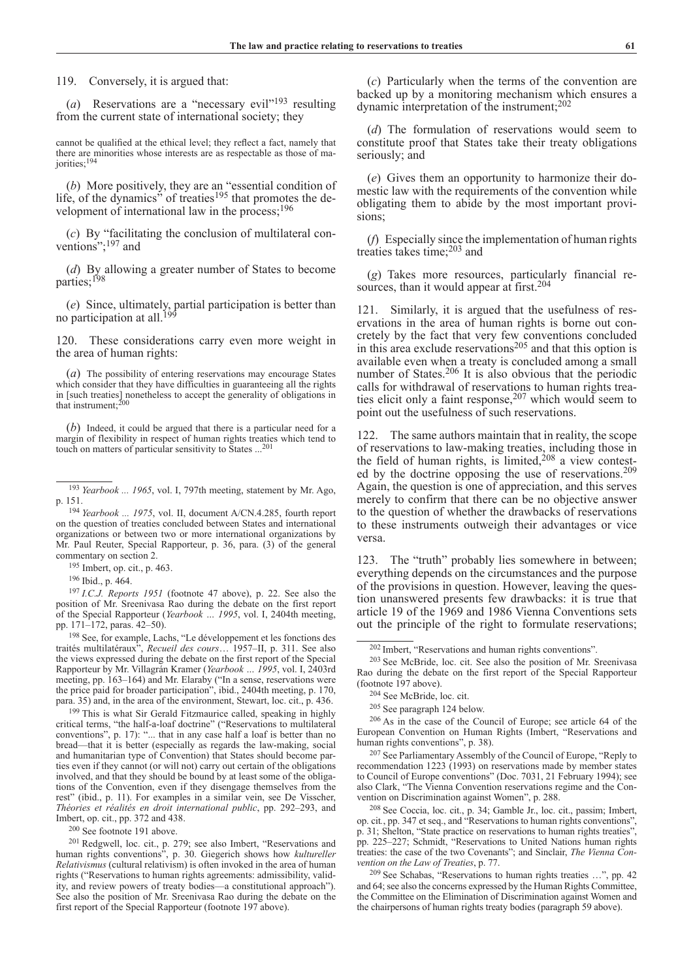119. Conversely, it is argued that:

(*a*) Reservations are a "necessary evil<sup>"193</sup> resulting from the current state of international society; they

cannot be qualified at the ethical level; they reflect a fact, namely that there are minorities whose interests are as respectable as those of majorities;<sup>194</sup>

(*b*) More positively, they are an "essential condition of life, of the dynamics" of treaties<sup>195</sup> that promotes the development of international law in the process;<sup>196</sup>

(*c*) By "facilitating the conclusion of multilateral conventions";<sup>197</sup> and

(*d*) By allowing a greater number of States to become parties;198

(*e*) Since, ultimately, partial participation is better than no participation at all.<sup>199</sup>

120. These considerations carry even more weight in the area of human rights:

(*a*) The possibility of entering reservations may encourage States which consider that they have difficulties in guaranteeing all the rights in [such treaties] nonetheless to accept the generality of obligations in that instrument;<sup>200</sup>

(*b*) Indeed, it could be argued that there is a particular need for a margin of flexibility in respect of human rights treaties which tend to touch on matters of particular sensitivity to States ...<sup>201</sup>

<sup>194</sup> *Yearbook ... 1975*, vol. II, document A/CN.4.285, fourth report on the question of treaties concluded between States and international organizations or between two or more international organizations by Mr. Paul Reuter, Special Rapporteur, p. 36, para. (3) of the general commentary on section 2.

<sup>195</sup> Imbert, op. cit., p. 463.

<sup>196</sup> Ibid., p. 464.

<sup>197</sup> *I.C.J. Reports 1951* (footnote 47 above), p. 22. See also the position of Mr. Sreenivasa Rao during the debate on the first report of the Special Rapporteur (*Yearbook … 1995*, vol. I, 2404th meeting, pp. 171–172, paras. 42–50).

<sup>198</sup> See, for example, Lachs, "Le développement et les fonctions des traités multilatéraux", *Recueil des cours*… 1957–II, p. 311. See also the views expressed during the debate on the first report of the Special Rapporteur by Mr. Villagrán Kramer (*Yearbook … 1995*, vol. I, 2403rd meeting, pp. 163–164) and Mr. Elaraby ("In a sense, reservations were the price paid for broader participation", ibid., 2404th meeting, p. 170, para. 35) and, in the area of the environment, Stewart, loc. cit., p. 436.

<sup>199</sup> This is what Sir Gerald Fitzmaurice called, speaking in highly critical terms, "the half-a-loaf doctrine" ("Reservations to multilateral conventions", p. 17): "... that in any case half a loaf is better than no bread—that it is better (especially as regards the law-making, social and humanitarian type of Convention) that States should become parties even if they cannot (or will not) carry out certain of the obligations involved, and that they should be bound by at least some of the obligations of the Convention, even if they disengage themselves from the rest" (ibid., p. 11). For examples in a similar vein, see De Visscher, *Théories et réalités en droit international public*, pp. 292–293, and Imbert, op. cit., pp. 372 and 438.

<sup>200</sup> See footnote 191 above.

<sup>201</sup> Redgwell, loc. cit., p. 279; see also Imbert, "Reservations and human rights conventions", p. 30. Giegerich shows how *kultureller Relativismus* (cultural relativism) is often invoked in the area of human rights ("Reservations to human rights agreements: admissibility, validity, and review powers of treaty bodies—a constitutional approach"). See also the position of Mr. Sreenivasa Rao during the debate on the first report of the Special Rapporteur (footnote 197 above).

(*c*) Particularly when the terms of the convention are backed up by a monitoring mechanism which ensures a dynamic interpretation of the instrument;202

(*d*) The formulation of reservations would seem to constitute proof that States take their treaty obligations seriously; and

(*e*) Gives them an opportunity to harmonize their domestic law with the requirements of the convention while obligating them to abide by the most important provisions;

(*f*) Especially since the implementation of human rights treaties takes time;203 and

(*g*) Takes more resources, particularly financial resources, than it would appear at first.<sup>204</sup>

121. Similarly, it is argued that the usefulness of reservations in the area of human rights is borne out concretely by the fact that very few conventions concluded in this area exclude reservations<sup>205</sup> and that this option is available even when a treaty is concluded among a small number of States.<sup>206</sup> It is also obvious that the periodic calls for withdrawal of reservations to human rights treaties elicit only a faint response,  $207$  which would seem to point out the usefulness of such reservations.

122. The same authors maintain that in reality, the scope of reservations to law-making treaties, including those in the field of human rights, is limited,  $208$  a view contested by the doctrine opposing the use of reservations.<sup>209</sup> Again, the question is one of appreciation, and this serves merely to confirm that there can be no objective answer to the question of whether the drawbacks of reservations to these instruments outweigh their advantages or vice versa.

123. The "truth" probably lies somewhere in between; everything depends on the circumstances and the purpose of the provisions in question. However, leaving the question unanswered presents few drawbacks: it is true that article 19 of the 1969 and 1986 Vienna Conventions sets out the principle of the right to formulate reservations;

<sup>203</sup> See McBride, loc. cit. See also the position of Mr. Sreenivasa Rao during the debate on the first report of the Special Rapporteur (footnote 197 above).

<sup>208</sup> See Coccia, loc. cit., p. 34; Gamble Jr., loc. cit., passim; Imbert, op. cit*.*, pp. 347 et seq., and "Reservations to human rights conventions", p. 31; Shelton, "State practice on reservations to human rights treaties" pp. 225–227; Schmidt, "Reservations to United Nations human rights treaties: the case of the two Covenants"; and Sinclair, *The Vienna Convention on the Law of Treaties*, p. 77.

<sup>209</sup> See Schabas, "Reservations to human rights treaties …", pp. 42 and 64; see also the concerns expressed by the Human Rights Committee, the Committee on the Elimination of Discrimination against Women and the chairpersons of human rights treaty bodies (paragraph 59 above).

<sup>193</sup> *Yearbook ... 1965*, vol. I, 797th meeting, statement by Mr. Ago, p. 151.

<sup>202</sup> Imbert, "Reservations and human rights conventions".

<sup>204</sup> See McBride, loc. cit.

<sup>205</sup> See paragraph 124 below.

<sup>206</sup> As in the case of the Council of Europe; see article 64 of the European Convention on Human Rights (Imbert, "Reservations and human rights conventions", p. 38).

<sup>207</sup> See Parliamentary Assembly of the Council of Europe, "Reply to recommendation 1223 (1993) on reservations made by member states to Council of Europe conventions" (Doc. 7031, 21 February 1994); see also Clark, "The Vienna Convention reservations regime and the Convention on Discrimination against Women", p. 288.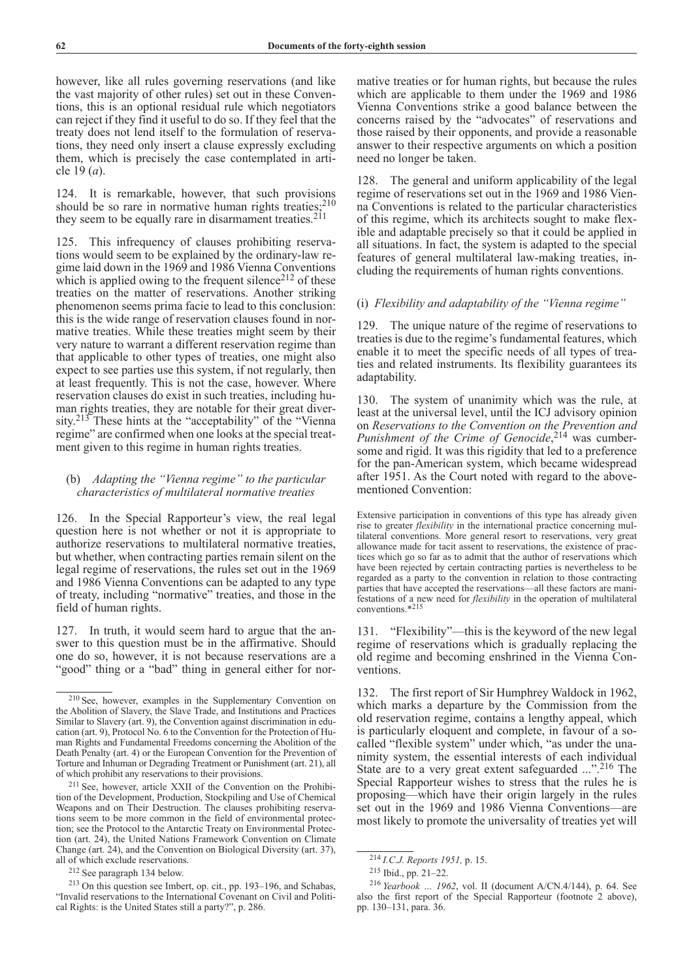however, like all rules governing reservations (and like the vast majority of other rules) set out in these Conventions, this is an optional residual rule which negotiators can reject if they find it useful to do so. If they feel that the treaty does not lend itself to the formulation of reservations, they need only insert a clause expressly excluding them, which is precisely the case contemplated in article 19 (*a*).

124. It is remarkable, however, that such provisions should be so rare in normative human rights treaties; $210$ they seem to be equally rare in disarmament treaties.<sup>211</sup>

125. This infrequency of clauses prohibiting reservations would seem to be explained by the ordinary-law regime laid down in the 1969 and 1986 Vienna Conventions which is applied owing to the frequent silence $2^{12}$  of these treaties on the matter of reservations. Another striking phenomenon seems prima facie to lead to this conclusion: this is the wide range of reservation clauses found in normative treaties. While these treaties might seem by their very nature to warrant a different reservation regime than that applicable to other types of treaties, one might also expect to see parties use this system, if not regularly, then at least frequently. This is not the case, however. Where reservation clauses do exist in such treaties, including human rights treaties, they are notable for their great diversity.<sup>213</sup> These hints at the "acceptability" of the "Vienna" regime" are confirmed when one looks at the special treatment given to this regime in human rights treaties.

# (b) *Adapting the "Vienna regime" to the particular characteristics of multilateral normative treaties*

126. In the Special Rapporteur's view, the real legal question here is not whether or not it is appropriate to authorize reservations to multilateral normative treaties, but whether, when contracting parties remain silent on the legal regime of reservations, the rules set out in the 1969 and 1986 Vienna Conventions can be adapted to any type of treaty, including "normative" treaties, and those in the field of human rights.

127. In truth, it would seem hard to argue that the answer to this question must be in the affirmative. Should one do so, however, it is not because reservations are a "good" thing or a "bad" thing in general either for nor-

<sup>212</sup> See paragraph 134 below.

mative treaties or for human rights, but because the rules which are applicable to them under the 1969 and 1986 Vienna Conventions strike a good balance between the concerns raised by the "advocates" of reservations and those raised by their opponents, and provide a reasonable answer to their respective arguments on which a position need no longer be taken.

128. The general and uniform applicability of the legal regime of reservations set out in the 1969 and 1986 Vienna Conventions is related to the particular characteristics of this regime, which its architects sought to make flexible and adaptable precisely so that it could be applied in all situations. In fact, the system is adapted to the special features of general multilateral law-making treaties, including the requirements of human rights conventions.

# (i) *Flexibility and adaptability of the "Vienna regime"*

The unique nature of the regime of reservations to treaties is due to the regime's fundamental features, which enable it to meet the specific needs of all types of treaties and related instruments. Its flexibility guarantees its adaptability.

130. The system of unanimity which was the rule, at least at the universal level, until the ICJ advisory opinion on *Reservations to the Convention on the Prevention and Punishment of the Crime of Genocide*, 214 was cumbersome and rigid. It was this rigidity that led to a preference for the pan-American system, which became widespread after 1951. As the Court noted with regard to the abovementioned Convention:

Extensive participation in conventions of this type has already given rise to greater *flexibility* in the international practice concerning multilateral conventions. More general resort to reservations, very great allowance made for tacit assent to reservations, the existence of practices which go so far as to admit that the author of reservations which have been rejected by certain contracting parties is nevertheless to be regarded as a party to the convention in relation to those contracting parties that have accepted the reservations—all these factors are manifestations of a new need for *flexibility* in the operation of multilateral conventions.\*<sup>215</sup>

131. "Flexibility"—this is the keyword of the new legal regime of reservations which is gradually replacing the old regime and becoming enshrined in the Vienna Conventions.

132. The first report of Sir Humphrey Waldock in 1962, which marks a departure by the Commission from the old reservation regime, contains a lengthy appeal, which is particularly eloquent and complete, in favour of a socalled "flexible system" under which, "as under the unanimity system, the essential interests of each individual State are to a very great extent safeguarded ...".216 The Special Rapporteur wishes to stress that the rules he is proposing—which have their origin largely in the rules set out in the 1969 and 1986 Vienna Conventions—are most likely to promote the universality of treaties yet will

<sup>210</sup> See, however, examples in the Supplementary Convention on the Abolition of Slavery, the Slave Trade, and Institutions and Practices Similar to Slavery (art. 9), the Convention against discrimination in education (art. 9), Protocol No. 6 to the Convention for the Protection of Human Rights and Fundamental Freedoms concerning the Abolition of the Death Penalty (art. 4) or the European Convention for the Prevention of Torture and Inhuman or Degrading Treatment or Punishment (art. 21), all of which prohibit any reservations to their provisions.

<sup>211</sup> See, however, article XXII of the Convention on the Prohibition of the Development, Production, Stockpiling and Use of Chemical Weapons and on Their Destruction. The clauses prohibiting reservations seem to be more common in the field of environmental protection; see the Protocol to the Antarctic Treaty on Environmental Protection (art. 24), the United Nations Framework Convention on Climate Change (art. 24), and the Convention on Biological Diversity (art. 37), all of which exclude reservations.

<sup>213</sup> On this question see Imbert, op. cit., pp. 193–196, and Schabas, "Invalid reservations to the International Covenant on Civil and Political Rights: is the United States still a party?", p. 286.

<sup>214</sup> *I.C.J. Reports 1951,* p. 15.

<sup>215</sup> Ibid., pp. 21–22.

<sup>216</sup> *Yearbook … 1962*, vol. II (document A/CN.4/144), p. 64. See also the first report of the Special Rapporteur (footnote 2 above), pp. 130–131, para. 36.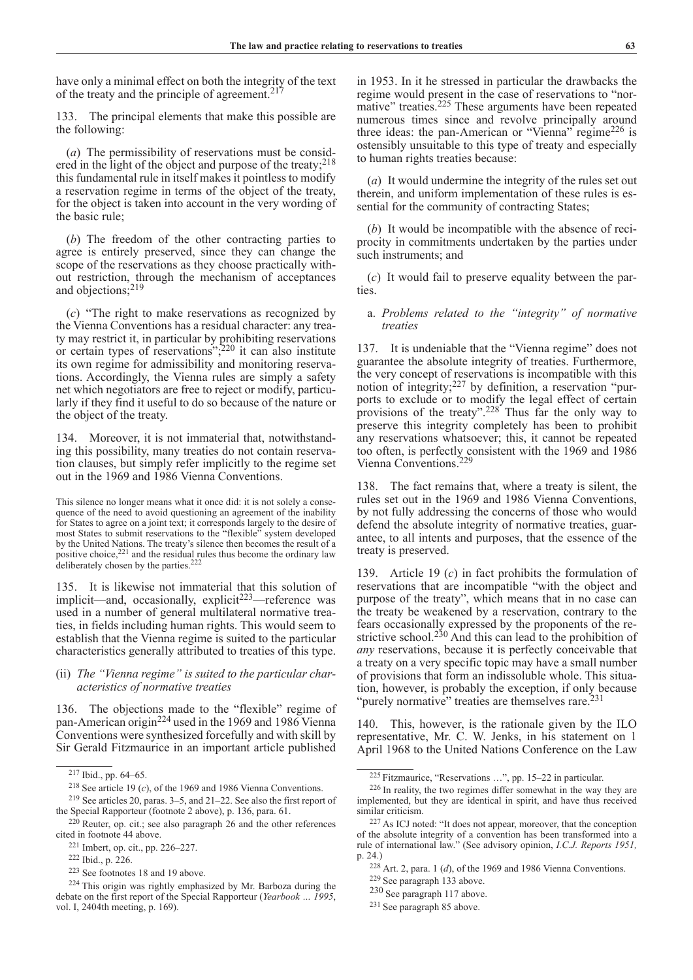have only a minimal effect on both the integrity of the text of the treaty and the principle of agreement.<sup>217</sup>

133. The principal elements that make this possible are the following:

(*a*) The permissibility of reservations must be considered in the light of the object and purpose of the treaty;<sup>218</sup> this fundamental rule in itself makes it pointless to modify a reservation regime in terms of the object of the treaty, for the object is taken into account in the very wording of the basic rule;

(*b*) The freedom of the other contracting parties to agree is entirely preserved, since they can change the scope of the reservations as they choose practically without restriction, through the mechanism of acceptances and objections;219

(*c*) "The right to make reservations as recognized by the Vienna Conventions has a residual character: any treaty may restrict it, in particular by prohibiting reservations or certain types of reservations"; $^{220}$  it can also institute its own regime for admissibility and monitoring reservations. Accordingly, the Vienna rules are simply a safety net which negotiators are free to reject or modify, particularly if they find it useful to do so because of the nature or the object of the treaty.

134. Moreover, it is not immaterial that, notwithstanding this possibility, many treaties do not contain reservation clauses, but simply refer implicitly to the regime set out in the 1969 and 1986 Vienna Conventions.

This silence no longer means what it once did: it is not solely a consequence of the need to avoid questioning an agreement of the inability for States to agree on a joint text; it corresponds largely to the desire of most States to submit reservations to the "flexible" system developed by the United Nations. The treaty's silence then becomes the result of a positive choice, $2^{21}$  and the residual rules thus become the ordinary law deliberately chosen by the parties.<sup>222</sup>

135. It is likewise not immaterial that this solution of implicit—and, occasionally, explicit<sup> $223$ </sup>—reference was used in a number of general multilateral normative treaties, in fields including human rights. This would seem to establish that the Vienna regime is suited to the particular characteristics generally attributed to treaties of this type.

# (ii) *The "Vienna regime" is suited to the particular characteristics of normative treaties*

136. The objections made to the "flexible" regime of pan-American origin224 used in the 1969 and 1986 Vienna Conventions were synthesized forcefully and with skill by Sir Gerald Fitzmaurice in an important article published

in 1953. In it he stressed in particular the drawbacks the regime would present in the case of reservations to "normative" treaties.225 These arguments have been repeated numerous times since and revolve principally around three ideas: the pan-American or "Vienna" regime<sup>226</sup> is ostensibly unsuitable to this type of treaty and especially to human rights treaties because:

(*a*) It would undermine the integrity of the rules set out therein, and uniform implementation of these rules is essential for the community of contracting States;

(*b*) It would be incompatible with the absence of reciprocity in commitments undertaken by the parties under such instruments; and

(*c*) It would fail to preserve equality between the parties.

# a. *Problems related to the "integrity" of normative treaties*

137. It is undeniable that the "Vienna regime" does not guarantee the absolute integrity of treaties. Furthermore, the very concept of reservations is incompatible with this notion of integrity;227 by definition, a reservation "purports to exclude or to modify the legal effect of certain provisions of the treaty". $228$  Thus far the only way to preserve this integrity completely has been to prohibit any reservations whatsoever; this, it cannot be repeated too often, is perfectly consistent with the 1969 and 1986 Vienna Conventions.229

138. The fact remains that, where a treaty is silent, the rules set out in the 1969 and 1986 Vienna Conventions, by not fully addressing the concerns of those who would defend the absolute integrity of normative treaties, guarantee, to all intents and purposes, that the essence of the treaty is preserved.

139. Article 19 (*c*) in fact prohibits the formulation of reservations that are incompatible "with the object and purpose of the treaty", which means that in no case can the treaty be weakened by a reservation, contrary to the fears occasionally expressed by the proponents of the restrictive school.<sup>230</sup> And this can lead to the prohibition of *any* reservations, because it is perfectly conceivable that a treaty on a very specific topic may have a small number of provisions that form an indissoluble whole. This situation, however, is probably the exception, if only because "purely normative" treaties are themselves rare.<sup>231</sup>

140. This, however, is the rationale given by the ILO representative, Mr. C. W. Jenks, in his statement on 1 April 1968 to the United Nations Conference on the Law

<sup>230</sup> See paragraph 117 above.

<sup>217</sup> Ibid., pp. 64–65.

<sup>218</sup> See article 19 (*c*), of the 1969 and 1986 Vienna Conventions.

<sup>219</sup> See articles 20, paras. 3–5, and 21–22. See also the first report of the Special Rapporteur (footnote 2 above), p. 136, para. 61.

 $220$  Reuter, op. cit.; see also paragraph 26 and the other references cited in footnote 44 above.

<sup>221</sup> Imbert, op. cit., pp. 226–227.

<sup>222</sup> Ibid., p. 226.

<sup>223</sup> See footnotes 18 and 19 above.

<sup>224</sup> This origin was rightly emphasized by Mr. Barboza during the debate on the first report of the Special Rapporteur (*Yearbook … 1995*, vol. I, 2404th meeting, p. 169).

<sup>225</sup> Fitzmaurice, "Reservations …", pp. 15–22 in particular.

<sup>226</sup> In reality, the two regimes differ somewhat in the way they are implemented, but they are identical in spirit, and have thus received similar criticism.

<sup>227</sup> As ICJ noted: "It does not appear, moreover, that the conception of the absolute integrity of a convention has been transformed into a rule of international law." (See advisory opinion, *I.C.J. Reports 1951,* p. 24.)

<sup>228</sup> Art. 2, para. 1 (*d*), of the 1969 and 1986 Vienna Conventions.

<sup>229</sup> See paragraph 133 above.

<sup>231</sup> See paragraph 85 above.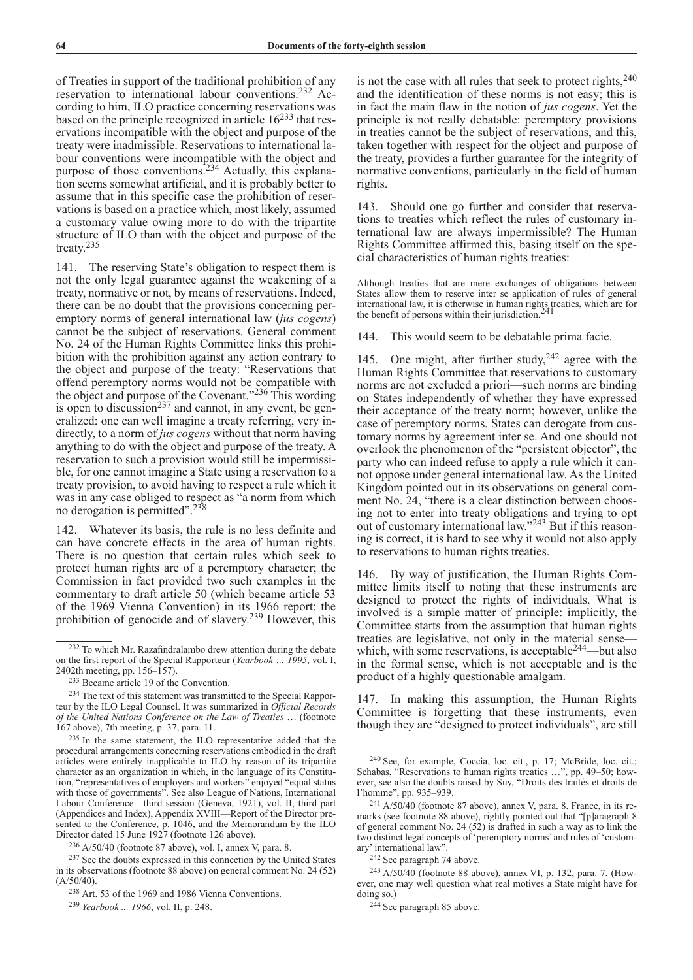of Treaties in support of the traditional prohibition of any reservation to international labour conventions.232 According to him, ILO practice concerning reservations was based on the principle recognized in article  $16^{233}$  that reservations incompatible with the object and purpose of the treaty were inadmissible. Reservations to international labour conventions were incompatible with the object and purpose of those conventions.234 Actually, this explanation seems somewhat artificial, and it is probably better to assume that in this specific case the prohibition of reservations is based on a practice which, most likely, assumed a customary value owing more to do with the tripartite structure of ILO than with the object and purpose of the treaty.<sup>235</sup>

141. The reserving State's obligation to respect them is not the only legal guarantee against the weakening of a treaty, normative or not, by means of reservations. Indeed, there can be no doubt that the provisions concerning peremptory norms of general international law (*jus cogens*) cannot be the subject of reservations. General comment No. 24 of the Human Rights Committee links this prohibition with the prohibition against any action contrary to the object and purpose of the treaty: "Reservations that offend peremptory norms would not be compatible with the object and purpose of the Covenant."236 This wording is open to discussion<sup>237</sup> and cannot, in any event, be generalized: one can well imagine a treaty referring, very indirectly, to a norm of *jus cogens* without that norm having anything to do with the object and purpose of the treaty. A reservation to such a provision would still be impermissible, for one cannot imagine a State using a reservation to a treaty provision, to avoid having to respect a rule which it was in any case obliged to respect as "a norm from which no derogation is permitted".238

142. Whatever its basis, the rule is no less definite and can have concrete effects in the area of human rights. There is no question that certain rules which seek to protect human rights are of a peremptory character; the Commission in fact provided two such examples in the commentary to draft article 50 (which became article 53 of the 1969 Vienna Convention) in its 1966 report: the prohibition of genocide and of slavery.<sup>239</sup> However, this

is not the case with all rules that seek to protect rights, $240$ and the identification of these norms is not easy; this is in fact the main flaw in the notion of *jus cogens*. Yet the principle is not really debatable: peremptory provisions in treaties cannot be the subject of reservations, and this, taken together with respect for the object and purpose of the treaty, provides a further guarantee for the integrity of normative conventions, particularly in the field of human rights.

143. Should one go further and consider that reservations to treaties which reflect the rules of customary international law are always impermissible? The Human Rights Committee affirmed this, basing itself on the special characteristics of human rights treaties:

Although treaties that are mere exchanges of obligations between States allow them to reserve inter se application of rules of general international law, it is otherwise in human rights treaties, which are for the benefit of persons within their jurisdiction.

144. This would seem to be debatable prima facie.

145. One might, after further study,  $242$  agree with the Human Rights Committee that reservations to customary norms are not excluded a priori—such norms are binding on States independently of whether they have expressed their acceptance of the treaty norm; however, unlike the case of peremptory norms, States can derogate from customary norms by agreement inter se. And one should not overlook the phenomenon of the "persistent objector", the party who can indeed refuse to apply a rule which it cannot oppose under general international law. As the United Kingdom pointed out in its observations on general comment No. 24, "there is a clear distinction between choosing not to enter into treaty obligations and trying to opt out of customary international law."243 But if this reasoning is correct, it is hard to see why it would not also apply to reservations to human rights treaties.

146. By way of justification, the Human Rights Committee limits itself to noting that these instruments are designed to protect the rights of individuals. What is involved is a simple matter of principle: implicitly, the Committee starts from the assumption that human rights treaties are legislative, not only in the material sense which, with some reservations, is acceptable<sup>244</sup>—but also in the formal sense, which is not acceptable and is the product of a highly questionable amalgam.

147. In making this assumption, the Human Rights Committee is forgetting that these instruments, even though they are "designed to protect individuals", are still

 $232$  To which Mr. Razafindralambo drew attention during the debate on the first report of the Special Rapporteur (*Yearbook … 1995*, vol. I, 2402th meeting, pp. 156–157).

<sup>233</sup> Became article 19 of the Convention.

<sup>&</sup>lt;sup>234</sup> The text of this statement was transmitted to the Special Rapporteur by the ILO Legal Counsel. It was summarized in *Official Records of the United Nations Conference on the Law of Treaties* … (footnote 167 above), 7th meeting, p. 37, para. 11.

<sup>235</sup> In the same statement, the ILO representative added that the procedural arrangements concerning reservations embodied in the draft articles were entirely inapplicable to ILO by reason of its tripartite character as an organization in which, in the language of its Constitution, "representatives of employers and workers" enjoyed "equal status with those of governments". See also League of Nations, International Labour Conference—third session (Geneva, 1921), vol. II, third part (Appendices and Index), Appendix XVIII—Report of the Director presented to the Conference, p. 1046, and the Memorandum by the ILO Director dated 15 June 1927 (footnote 126 above).

<sup>236</sup> A/50/40 (footnote 87 above), vol. I, annex V, para. 8.

<sup>237</sup> See the doubts expressed in this connection by the United States in its observations (footnote 88 above) on general comment No. 24 (52)  $(A/50/40)$ 

<sup>238</sup> Art. 53 of the 1969 and 1986 Vienna Conventions.

<sup>239</sup> *Yearbook ... 1966*, vol. II, p. 248.

<sup>240</sup> See, for example, Coccia, loc. cit., p. 17; McBride, loc. cit.; Schabas, "Reservations to human rights treaties …", pp. 49–50; however, see also the doubts raised by Suy, "Droits des traités et droits de l'homme", pp. 935–939.

 $241$  A/50/40 (footnote 87 above), annex V, para. 8. France, in its remarks (see footnote 88 above), rightly pointed out that "[p]aragraph 8 of general comment No. 24  $(52)$  is drafted in such a way as to link the two distinct legal concepts of 'peremptory norms' and rules of 'customary' international law".

<sup>242</sup> See paragraph 74 above.

<sup>243</sup> A/50/40 (footnote 88 above), annex VI, p. 132, para. 7. (However, one may well question what real motives a State might have for doing so.)<br><sup>244</sup> See paragraph 85 above.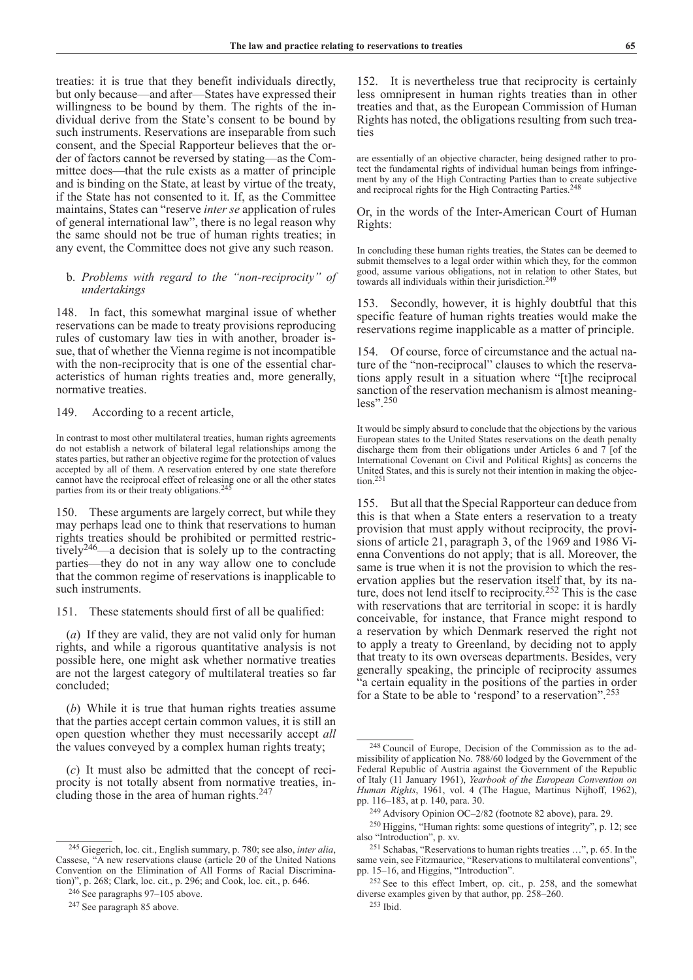treaties: it is true that they benefit individuals directly, but only because—and after—States have expressed their willingness to be bound by them. The rights of the individual derive from the State's consent to be bound by such instruments. Reservations are inseparable from such consent, and the Special Rapporteur believes that the order of factors cannot be reversed by stating—as the Committee does—that the rule exists as a matter of principle and is binding on the State, at least by virtue of the treaty, if the State has not consented to it. If, as the Committee maintains, States can "reserve *inter se* application of rules of general international law", there is no legal reason why the same should not be true of human rights treaties; in any event, the Committee does not give any such reason.

# b. *Problems with regard to the "non-reciprocity" of undertakings*

148. In fact, this somewhat marginal issue of whether reservations can be made to treaty provisions reproducing rules of customary law ties in with another, broader issue, that of whether the Vienna regime is not incompatible with the non-reciprocity that is one of the essential characteristics of human rights treaties and, more generally, normative treaties.

# 149. According to a recent article,

In contrast to most other multilateral treaties, human rights agreements do not establish a network of bilateral legal relationships among the states parties, but rather an objective regime for the protection of values accepted by all of them. A reservation entered by one state therefore cannot have the reciprocal effect of releasing one or all the other states parties from its or their treaty obligations.<sup>24</sup>

150. These arguments are largely correct, but while they may perhaps lead one to think that reservations to human rights treaties should be prohibited or permitted restrictively246—a decision that is solely up to the contracting parties—they do not in any way allow one to conclude that the common regime of reservations is inapplicable to such instruments.

151. These statements should first of all be qualified:

(*a*) If they are valid, they are not valid only for human rights, and while a rigorous quantitative analysis is not possible here, one might ask whether normative treaties are not the largest category of multilateral treaties so far concluded;

(*b*) While it is true that human rights treaties assume that the parties accept certain common values, it is still an open question whether they must necessarily accept *all* the values conveyed by a complex human rights treaty;

(*c*) It must also be admitted that the concept of reciprocity is not totally absent from normative treaties, including those in the area of human rights.<sup>247</sup>

152. It is nevertheless true that reciprocity is certainly less omnipresent in human rights treaties than in other treaties and that, as the European Commission of Human Rights has noted, the obligations resulting from such treaties

are essentially of an objective character, being designed rather to protect the fundamental rights of individual human beings from infringement by any of the High Contracting Parties than to create subjective and reciprocal rights for the High Contracting Parties.<sup>248</sup>

Or, in the words of the Inter-American Court of Human Rights:

In concluding these human rights treaties, the States can be deemed to submit themselves to a legal order within which they, for the common good, assume various obligations, not in relation to other States, but towards all individuals within their jurisdiction.<sup>249</sup>

153. Secondly, however, it is highly doubtful that this specific feature of human rights treaties would make the reservations regime inapplicable as a matter of principle.

154. Of course, force of circumstance and the actual nature of the "non-reciprocal" clauses to which the reservations apply result in a situation where "[t]he reciprocal sanction of the reservation mechanism is almost meaningless".250

It would be simply absurd to conclude that the objections by the various European states to the United States reservations on the death penalty discharge them from their obligations under Articles 6 and 7 [of the International Covenant on Civil and Political Rights] as concerns the United States, and this is surely not their intention in making the objection.<sup>251</sup>

155. But all that the Special Rapporteur can deduce from this is that when a State enters a reservation to a treaty provision that must apply without reciprocity, the provisions of article 21, paragraph 3, of the 1969 and 1986 Vienna Conventions do not apply; that is all. Moreover, the same is true when it is not the provision to which the reservation applies but the reservation itself that, by its nature, does not lend itself to reciprocity.<sup>252</sup> This is the case with reservations that are territorial in scope: it is hardly conceivable, for instance, that France might respond to a reservation by which Denmark reserved the right not to apply a treaty to Greenland, by deciding not to apply that treaty to its own overseas departments. Besides, very generally speaking, the principle of reciprocity assumes "a certain equality in the positions of the parties in order for a State to be able to 'respond' to a reservation".253

<sup>245</sup> Giegerich, loc. cit., English summary, p. 780; see also, *inter alia*, Cassese, "A new reservations clause (article 20 of the United Nations Convention on the Elimination of All Forms of Racial Discrimination)", p. 268; Clark, loc. cit., p. 296; and Cook, loc. cit., p. 646.

<sup>246</sup> See paragraphs 97–105 above.

<sup>247</sup> See paragraph 85 above.

<sup>248</sup> Council of Europe, Decision of the Commission as to the admissibility of application No. 788/60 lodged by the Government of the Federal Republic of Austria against the Government of the Republic of Italy (11 January 1961), *Yearbook of the European Convention on Human Rights*, 1961, vol. 4 (The Hague, Martinus Nijhoff, 1962), pp. 116–183, at p. 140, para. 30.

<sup>249</sup> Advisory Opinion OC–2/82 (footnote 82 above), para. 29.

<sup>250</sup> Higgins, "Human rights: some questions of integrity", p. 12; see also "Introduction", p. xv.

<sup>251</sup> Schabas, "Reservations to human rights treaties …", p. 65. In the same vein, see Fitzmaurice, "Reservations to multilateral conventions", pp. 15–16, and Higgins, "Introduction".

<sup>252</sup> See to this effect Imbert, op. cit., p. 258, and the somewhat diverse examples given by that author, pp. 258–260.

<sup>253</sup> Ibid.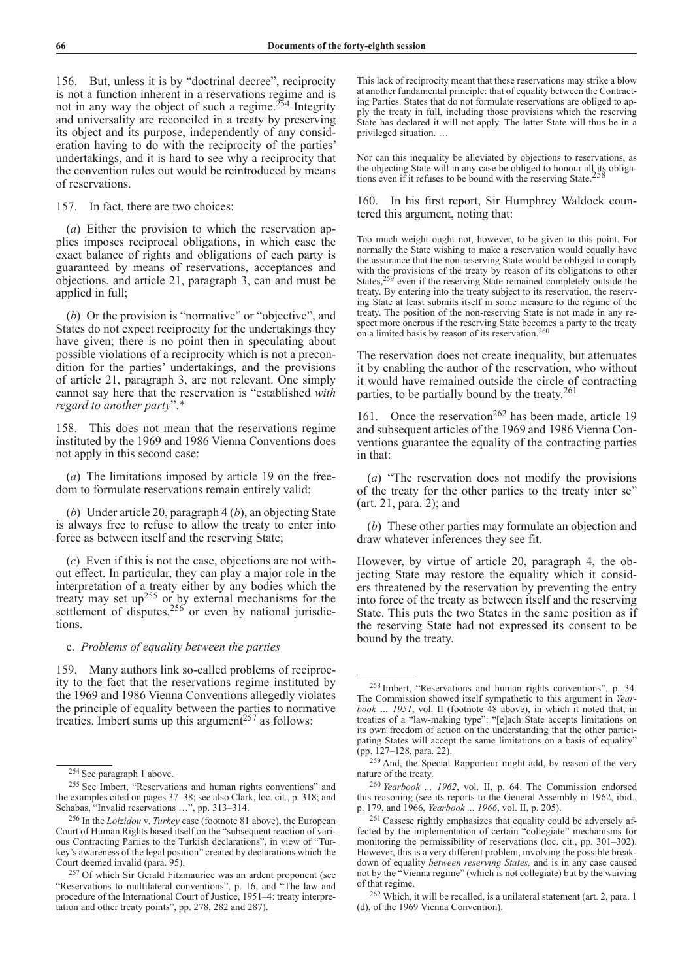156. But, unless it is by "doctrinal decree", reciprocity is not a function inherent in a reservations regime and is not in any way the object of such a regime.254 Integrity and universality are reconciled in a treaty by preserving its object and its purpose, independently of any consideration having to do with the reciprocity of the parties' undertakings, and it is hard to see why a reciprocity that the convention rules out would be reintroduced by means of reservations.

157. In fact, there are two choices:

(*a*) Either the provision to which the reservation applies imposes reciprocal obligations, in which case the exact balance of rights and obligations of each party is guaranteed by means of reservations, acceptances and objections, and article 21, paragraph 3, can and must be applied in full;

(*b*) Or the provision is "normative" or "objective", and States do not expect reciprocity for the undertakings they have given; there is no point then in speculating about possible violations of a reciprocity which is not a precondition for the parties' undertakings, and the provisions of article 21, paragraph 3, are not relevant. One simply cannot say here that the reservation is "established *with regard to another party*".\*

158. This does not mean that the reservations regime instituted by the 1969 and 1986 Vienna Conventions does not apply in this second case:

(*a*) The limitations imposed by article 19 on the freedom to formulate reservations remain entirely valid;

(*b*) Under article 20, paragraph 4 (*b*), an objecting State is always free to refuse to allow the treaty to enter into force as between itself and the reserving State;

(*c*) Even if this is not the case, objections are not without effect. In particular, they can play a major role in the interpretation of a treaty either by any bodies which the treaty may set  $up^{255}$  or by external mechanisms for the settlement of disputes, $256$  or even by national jurisdictions.

# c. *Problems of equality between the parties*

159. Many authors link so-called problems of reciprocity to the fact that the reservations regime instituted by the 1969 and 1986 Vienna Conventions allegedly violates the principle of equality between the parties to normative treaties. Imbert sums up this argument<sup>257</sup> as follows:

This lack of reciprocity meant that these reservations may strike a blow at another fundamental principle: that of equality between the Contracting Parties. States that do not formulate reservations are obliged to apply the treaty in full, including those provisions which the reserving State has declared it will not apply. The latter State will thus be in a privileged situation. …

Nor can this inequality be alleviated by objections to reservations, as the objecting State will in any case be obliged to honour all its obligations even if it refuses to be bound with the reserving State.

160. In his first report, Sir Humphrey Waldock countered this argument, noting that:

Too much weight ought not, however, to be given to this point. For normally the State wishing to make a reservation would equally have the assurance that the non-reserving State would be obliged to comply with the provisions of the treaty by reason of its obligations to other States,<sup>259</sup> even if the reserving State remained completely outside the treaty. By entering into the treaty subject to its reservation, the reserving State at least submits itself in some measure to the régime of the treaty. The position of the non-reserving State is not made in any respect more onerous if the reserving State becomes a party to the treaty on a limited basis by reason of its reservation.260

The reservation does not create inequality, but attenuates it by enabling the author of the reservation, who without it would have remained outside the circle of contracting parties, to be partially bound by the treaty.<sup>261</sup>

161. Once the reservation<sup>262</sup> has been made, article 19 and subsequent articles of the 1969 and 1986 Vienna Conventions guarantee the equality of the contracting parties in that:

(*a*) "The reservation does not modify the provisions of the treaty for the other parties to the treaty inter se" (art. 21, para. 2); and

(*b*) These other parties may formulate an objection and draw whatever inferences they see fit.

However, by virtue of article 20, paragraph 4, the objecting State may restore the equality which it considers threatened by the reservation by preventing the entry into force of the treaty as between itself and the reserving State. This puts the two States in the same position as if the reserving State had not expressed its consent to be bound by the treaty.

<sup>254</sup> See paragraph 1 above.

<sup>255</sup> See Imbert, "Reservations and human rights conventions" and the examples cited on pages 37–38; see also Clark, loc. cit., p. 318; and Schabas, "Invalid reservations …", pp. 313–314.

<sup>256</sup> In the *Loizidou* v. *Turkey* case (footnote 81 above), the European Court of Human Rights based itself on the "subsequent reaction of various Contracting Parties to the Turkish declarations", in view of "Turkey's awareness of the legal position" created by declarations which the

<sup>&</sup>lt;sup>257</sup> Of which Sir Gerald Fitzmaurice was an ardent proponent (see "Reservations to multilateral conventions", p. 16, and "The law and procedure of the International Court of Justice, 1951–4: treaty interpretation and other treaty points", pp. 278, 282 and 287).

<sup>258</sup> Imbert, "Reservations and human rights conventions", p. 34. The Commission showed itself sympathetic to this argument in *Yearbook … 1951*, vol. II (footnote 48 above), in which it noted that, in treaties of a "law-making type": "[e]ach State accepts limitations on its own freedom of action on the understanding that the other participating States will accept the same limitations on a basis of equality" (pp. 127–128, para. 22).

<sup>259</sup> And, the Special Rapporteur might add, by reason of the very nature of the treaty.

<sup>260</sup> *Yearbook ... 1962*, vol. II, p. 64. The Commission endorsed this reasoning (see its reports to the General Assembly in 1962, ibid., p. 179, and 1966, *Yearbook ... 1966*, vol. II, p. 205).

<sup>261</sup> Cassese rightly emphasizes that equality could be adversely affected by the implementation of certain "collegiate" mechanisms for monitoring the permissibility of reservations (loc. cit., pp. 301–302). However, this is a very different problem, involving the possible breakdown of equality *between reserving States,* and is in any case caused not by the "Vienna regime" (which is not collegiate) but by the waiving of that regime.

<sup>262</sup> Which, it will be recalled, is a unilateral statement (art. 2, para. 1 (d), of the 1969 Vienna Convention).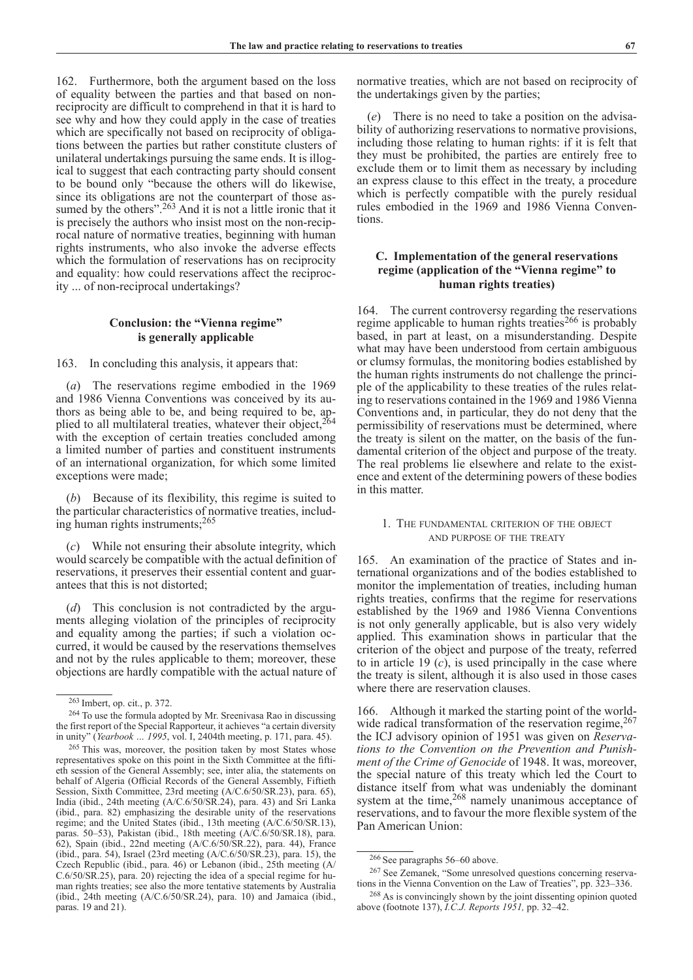162. Furthermore, both the argument based on the loss of equality between the parties and that based on nonreciprocity are difficult to comprehend in that it is hard to see why and how they could apply in the case of treaties which are specifically not based on reciprocity of obligations between the parties but rather constitute clusters of unilateral undertakings pursuing the same ends. It is illogical to suggest that each contracting party should consent to be bound only "because the others will do likewise, since its obligations are not the counterpart of those assumed by the others".<sup>263</sup> And it is not a little ironic that it is precisely the authors who insist most on the non-reciprocal nature of normative treaties, beginning with human rights instruments, who also invoke the adverse effects which the formulation of reservations has on reciprocity and equality: how could reservations affect the reciprocity ... of non-reciprocal undertakings?

# **Conclusion: the "Vienna regime" is generally applicable**

163. In concluding this analysis, it appears that:

(*a*) The reservations regime embodied in the 1969 and 1986 Vienna Conventions was conceived by its authors as being able to be, and being required to be, applied to all multilateral treaties, whatever their object.<sup>264</sup> with the exception of certain treaties concluded among a limited number of parties and constituent instruments of an international organization, for which some limited exceptions were made;

(*b*) Because of its flexibility, this regime is suited to the particular characteristics of normative treaties, including human rights instruments;265

(*c*) While not ensuring their absolute integrity, which would scarcely be compatible with the actual definition of reservations, it preserves their essential content and guarantees that this is not distorted;

(*d*) This conclusion is not contradicted by the arguments alleging violation of the principles of reciprocity and equality among the parties; if such a violation occurred, it would be caused by the reservations themselves and not by the rules applicable to them; moreover, these objections are hardly compatible with the actual nature of normative treaties, which are not based on reciprocity of the undertakings given by the parties;

(*e*) There is no need to take a position on the advisability of authorizing reservations to normative provisions, including those relating to human rights: if it is felt that they must be prohibited, the parties are entirely free to exclude them or to limit them as necessary by including an express clause to this effect in the treaty, a procedure which is perfectly compatible with the purely residual rules embodied in the 1969 and 1986 Vienna Conventions.

# **C. Implementation of the general reservations regime (application of the "Vienna regime" to human rights treaties)**

164. The current controversy regarding the reservations regime applicable to human rights treaties<sup>266</sup> is probably based, in part at least, on a misunderstanding. Despite what may have been understood from certain ambiguous or clumsy formulas, the monitoring bodies established by the human rights instruments do not challenge the principle of the applicability to these treaties of the rules relating to reservations contained in the 1969 and 1986 Vienna Conventions and, in particular, they do not deny that the permissibility of reservations must be determined, where the treaty is silent on the matter, on the basis of the fundamental criterion of the object and purpose of the treaty. The real problems lie elsewhere and relate to the existence and extent of the determining powers of these bodies in this matter.

## 1. The fundamental criterion of the object and purpose of the treaty

165. An examination of the practice of States and international organizations and of the bodies established to monitor the implementation of treaties, including human rights treaties, confirms that the regime for reservations established by the 1969 and 1986 Vienna Conventions is not only generally applicable, but is also very widely applied. This examination shows in particular that the criterion of the object and purpose of the treaty, referred to in article 19 (*c*), is used principally in the case where the treaty is silent, although it is also used in those cases where there are reservation clauses.

166. Although it marked the starting point of the worldwide radical transformation of the reservation regime, 267 the ICJ advisory opinion of 1951 was given on *Reservations to the Convention on the Prevention and Punishment of the Crime of Genocide* of 1948. It was, moreover, the special nature of this treaty which led the Court to distance itself from what was undeniably the dominant system at the time, $268$  namely unanimous acceptance of reservations, and to favour the more flexible system of the Pan American Union:

<sup>267</sup> See Zemanek, "Some unresolved questions concerning reservations in the Vienna Convention on the Law of Treaties", pp. 323–336.

<sup>263</sup> Imbert, op. cit., p. 372.

<sup>264</sup> To use the formula adopted by Mr. Sreenivasa Rao in discussing the first report of the Special Rapporteur, it achieves "a certain diversity in unity" (*Yearbook … 1995*, vol. I, 2404th meeting, p. 171, para. 45).

<sup>265</sup> This was, moreover, the position taken by most States whose representatives spoke on this point in the Sixth Committee at the fiftieth session of the General Assembly; see, inter alia, the statements on behalf of Algeria (Official Records of the General Assembly, Fiftieth Session, Sixth Committee, 23rd meeting (A/C.6/50/SR.23), para. 65), India (ibid., 24th meeting (A/C.6/50/SR.24), para. 43) and Sri Lanka (ibid., para. 82) emphasizing the desirable unity of the reservations regime; and the United States (ibid., 13th meeting (A/C.6/50/SR.13), paras. 50–53), Pakistan (ibid., 18th meeting (A/C.6/50/SR.18), para. 62), Spain (ibid., 22nd meeting (A/C.6/50/SR.22), para. 44), France (ibid., para. 54), Israel (23rd meeting (A/C.6/50/SR.23), para. 15), the Czech Republic (ibid., para. 46) or Lebanon (ibid., 25th meeting (A/ C.6/50/SR.25), para. 20) rejecting the idea of a special regime for human rights treaties; see also the more tentative statements by Australia (ibid., 24th meeting (A/C.6/50/SR.24), para. 10) and Jamaica (ibid., paras. 19 and 21).

<sup>266</sup> See paragraphs 56–60 above.

<sup>268</sup> As is convincingly shown by the joint dissenting opinion quoted above (footnote 137), *I.C.J. Reports 1951,* pp. 32–42.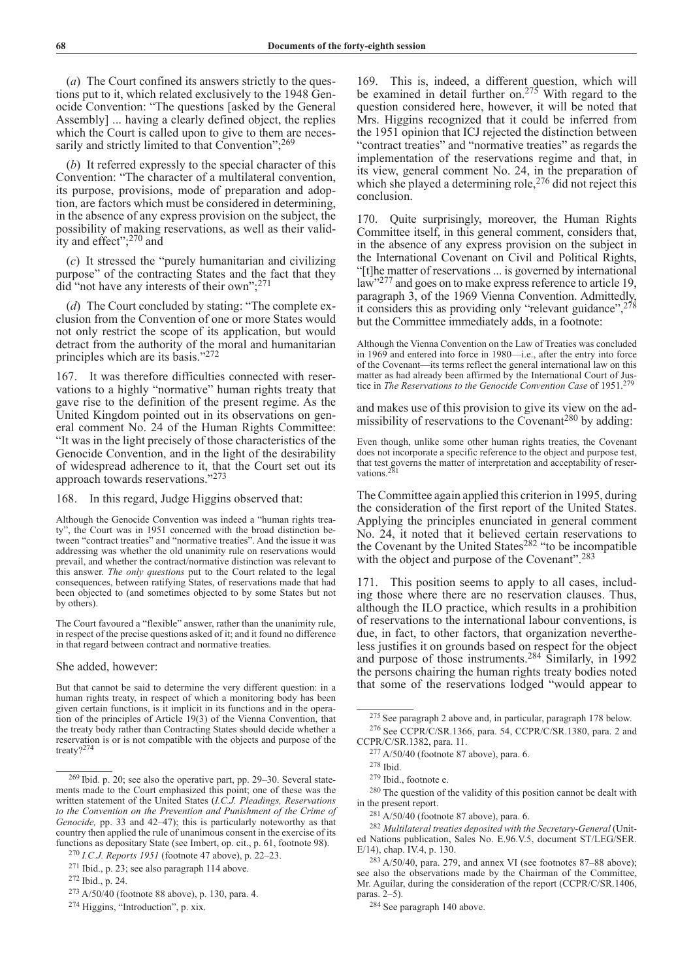(*a*) The Court confined its answers strictly to the questions put to it, which related exclusively to the 1948 Genocide Convention: "The questions [asked by the General Assembly] ... having a clearly defined object, the replies which the Court is called upon to give to them are necessarily and strictly limited to that Convention";<sup>269</sup>

(*b*) It referred expressly to the special character of this Convention: "The character of a multilateral convention, its purpose, provisions, mode of preparation and adoption, are factors which must be considered in determining, in the absence of any express provision on the subject, the possibility of making reservations, as well as their validity and effect"; $^{270}$  and

(*c*) It stressed the "purely humanitarian and civilizing purpose" of the contracting States and the fact that they did "not have any interests of their own";271

(*d*) The Court concluded by stating: "The complete exclusion from the Convention of one or more States would not only restrict the scope of its application, but would detract from the authority of the moral and humanitarian principles which are its basis."272

167. It was therefore difficulties connected with reservations to a highly "normative" human rights treaty that gave rise to the definition of the present regime. As the United Kingdom pointed out in its observations on general comment No. 24 of the Human Rights Committee: "It was in the light precisely of those characteristics of the Genocide Convention, and in the light of the desirability of widespread adherence to it, that the Court set out its approach towards reservations."273

168. In this regard, Judge Higgins observed that:

Although the Genocide Convention was indeed a "human rights treaty", the Court was in 1951 concerned with the broad distinction between "contract treaties" and "normative treaties". And the issue it was addressing was whether the old unanimity rule on reservations would prevail, and whether the contract/normative distinction was relevant to this answer. *The only questions* put to the Court related to the legal consequences, between ratifying States, of reservations made that had been objected to (and sometimes objected to by some States but not by others).

The Court favoured a "flexible" answer, rather than the unanimity rule, in respect of the precise questions asked of it; and it found no difference in that regard between contract and normative treaties.

### She added, however:

But that cannot be said to determine the very different question: in a human rights treaty, in respect of which a monitoring body has been given certain functions, is it implicit in its functions and in the operation of the principles of Article 19(3) of the Vienna Convention, that the treaty body rather than Contracting States should decide whether a reservation is or is not compatible with the objects and purpose of the treaty?<sup>274</sup>

169. This is, indeed, a different question, which will be examined in detail further on.<sup>275</sup> With regard to the question considered here, however, it will be noted that Mrs. Higgins recognized that it could be inferred from the 1951 opinion that ICJ rejected the distinction between "contract treaties" and "normative treaties" as regards the implementation of the reservations regime and that, in its view, general comment No. 24, in the preparation of which she played a determining role,<sup>276</sup> did not reject this conclusion.

170. Quite surprisingly, moreover, the Human Rights Committee itself, in this general comment, considers that, in the absence of any express provision on the subject in the International Covenant on Civil and Political Rights, "[t]he matter of reservations ... is governed by international law"<sup>277</sup> and goes on to make express reference to article 19, paragraph 3, of the 1969 Vienna Convention. Admittedly, it considers this as providing only "relevant guidance", $278$ but the Committee immediately adds, in a footnote:

Although the Vienna Convention on the Law of Treaties was concluded in 1969 and entered into force in 1980—i.e., after the entry into force of the Covenant—its terms reflect the general international law on this matter as had already been affirmed by the International Court of Justice in *The Reservations to the Genocide Convention Case* of 1951.<sup>279</sup>

and makes use of this provision to give its view on the admissibility of reservations to the Covenant<sup>280</sup> by adding:

Even though, unlike some other human rights treaties, the Covenant does not incorporate a specific reference to the object and purpose test, that test governs the matter of interpretation and acceptability of reservations.<sup>2</sup>

The Committee again applied this criterion in 1995, during the consideration of the first report of the United States. Applying the principles enunciated in general comment No. 24, it noted that it believed certain reservations to the Covenant by the United States<sup>282</sup> "to be incompatible with the object and purpose of the Covenant".<sup>283</sup>

171. This position seems to apply to all cases, including those where there are no reservation clauses. Thus, although the ILO practice, which results in a prohibition of reservations to the international labour conventions, is due, in fact, to other factors, that organization nevertheless justifies it on grounds based on respect for the object and purpose of those instruments.284 Similarly, in 1992 the persons chairing the human rights treaty bodies noted that some of the reservations lodged "would appear to

<sup>269</sup> Ibid. p. 20; see also the operative part, pp. 29–30. Several statements made to the Court emphasized this point; one of these was the written statement of the United States (*I.C.J. Pleadings, Reservations*  to the Convention on the Prevention and Punishment of the Crime of *Genocide,* pp. 33 and 42–47); this is particularly noteworthy as that country then applied the rule of unanimous consent in the exercise of its functions as depositary State (see Imbert, op. cit., p. 61, footnote 98).

<sup>270</sup> *I.C.J. Reports 1951* (footnote 47 above), p. 22–23.

<sup>271</sup> Ibid., p. 23; see also paragraph 114 above.

<sup>272</sup> Ibid., p. 24.

<sup>273</sup> A/50/40 (footnote 88 above), p. 130, para. 4.

<sup>274</sup> Higgins, "Introduction", p. xix.

<sup>275</sup> See paragraph 2 above and, in particular, paragraph 178 below.

<sup>276</sup> See CCPR/C/SR.1366, para. 54, CCPR/C/SR.1380, para. 2 and CCPR/C/SR.1382, para. 11.

<sup>277</sup> A/50/40 (footnote 87 above), para. 6.

<sup>278</sup> Ibid.

<sup>279</sup> Ibid., footnote e.

<sup>280</sup> The question of the validity of this position cannot be dealt with in the present report.

<sup>281</sup> A/50/40 (footnote 87 above), para. 6.

<sup>282</sup> *Multilateral treaties deposited with the Secretary-General* (United Nations publication, Sales No. E.96.V.5, document ST/LEG/SER. E/14), chap. IV.4, p. 130.

 $283$  A/50/40, para. 279, and annex VI (see footnotes 87–88 above); see also the observations made by the Chairman of the Committee, Mr. Aguilar, during the consideration of the report (CCPR/C/SR.1406, paras. 2–5).

<sup>284</sup> See paragraph 140 above.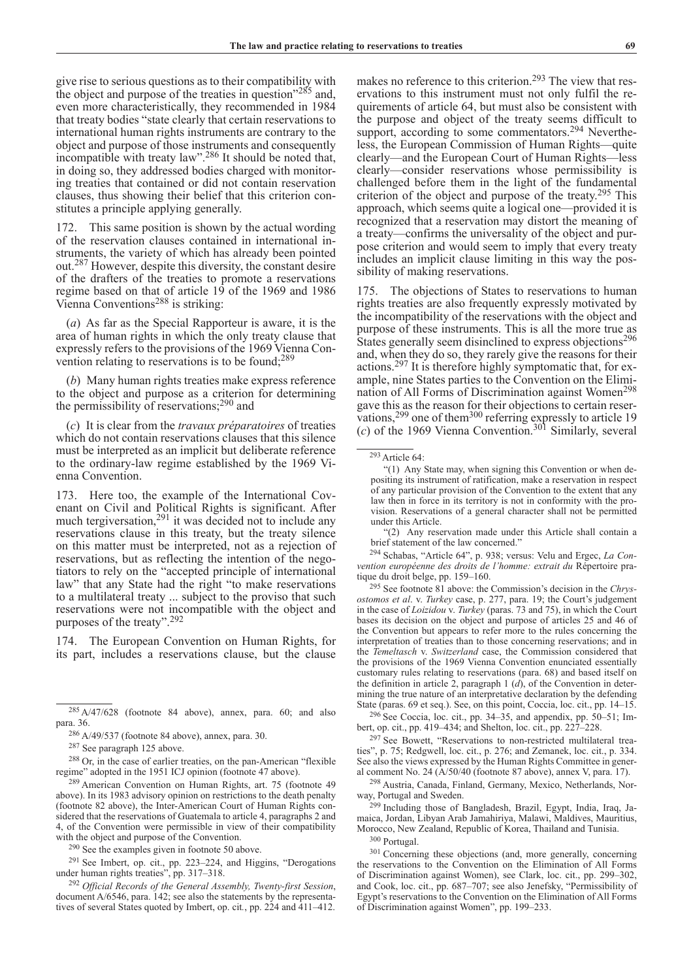give rise to serious questions as to their compatibility with the object and purpose of the treaties in question"<sup>285</sup> and, even more characteristically, they recommended in 1984 that treaty bodies "state clearly that certain reservations to international human rights instruments are contrary to the object and purpose of those instruments and consequently incompatible with treaty law". <sup>286</sup> It should be noted that, in doing so, they addressed bodies charged with monitoring treaties that contained or did not contain reservation clauses, thus showing their belief that this criterion constitutes a principle applying generally.

172. This same position is shown by the actual wording of the reservation clauses contained in international instruments, the variety of which has already been pointed out.287 However, despite this diversity, the constant desire of the drafters of the treaties to promote a reservations regime based on that of article 19 of the 1969 and 1986 Vienna Conventions<sup>288</sup> is striking:

(*a*) As far as the Special Rapporteur is aware, it is the area of human rights in which the only treaty clause that expressly refers to the provisions of the 1969 Vienna Convention relating to reservations is to be found;289

(*b*) Many human rights treaties make express reference to the object and purpose as a criterion for determining the permissibility of reservations;290 and

(*c*) It is clear from the *travaux préparatoires* of treaties which do not contain reservations clauses that this silence must be interpreted as an implicit but deliberate reference to the ordinary-law regime established by the 1969 Vienna Convention.

173. Here too, the example of the International Covenant on Civil and Political Rights is significant. After much tergiversation,<sup>291</sup> it was decided not to include any reservations clause in this treaty, but the treaty silence on this matter must be interpreted, not as a rejection of reservations, but as reflecting the intention of the negotiators to rely on the "accepted principle of international law" that any State had the right "to make reservations to a multilateral treaty ... subject to the proviso that such reservations were not incompatible with the object and purposes of the treaty".292

174. The European Convention on Human Rights, for its part, includes a reservations clause, but the clause

 $291$  See Imbert, op. cit., pp. 223–224, and Higgins, "Derogations under human rights treaties", pp. 317–318.

<sup>292</sup> *Official Records of the General Assembly, Twenty-first Session*, document A/6546, para. 142; see also the statements by the representatives of several States quoted by Imbert, op. cit*.*, pp. 224 and 411–412.

makes no reference to this criterion.<sup>293</sup> The view that reservations to this instrument must not only fulfil the requirements of article 64, but must also be consistent with the purpose and object of the treaty seems difficult to support, according to some commentators.<sup>294</sup> Nevertheless, the European Commission of Human Rights—quite clearly—and the European Court of Human Rights—less clearly—consider reservations whose permissibility is challenged before them in the light of the fundamental criterion of the object and purpose of the treaty.295 This approach, which seems quite a logical one—provided it is recognized that a reservation may distort the meaning of a treaty—confirms the universality of the object and purpose criterion and would seem to imply that every treaty includes an implicit clause limiting in this way the possibility of making reservations.

175. The objections of States to reservations to human rights treaties are also frequently expressly motivated by the incompatibility of the reservations with the object and purpose of these instruments. This is all the more true as States generally seem disinclined to express objections<sup>296</sup> and, when they do so, they rarely give the reasons for their actions.297 It is therefore highly symptomatic that, for example, nine States parties to the Convention on the Elimination of All Forms of Discrimination against Women<sup>298</sup> gave this as the reason for their objections to certain reservations, $299$  one of them<sup>300</sup> referring expressly to article 19 (*c*) of the 1969 Vienna Convention.301 Similarly, several

"(2) Any reservation made under this Article shall contain a brief statement of the law concerned."

<sup>294</sup> Schabas, "Article 64", p. 938; versus: Velu and Ergec, *La Convention européenne des droits de l'homme: extrait du* Répertoire pratique du droit belge, pp. 159–160.

<sup>295</sup> See footnote 81 above: the Commission's decision in the *Chrysostomos et al*. v. *Turkey* case, p. 277, para. 19; the Court's judgement in the case of *Loizidou* v. *Turkey* (paras. 73 and 75), in which the Court bases its decision on the object and purpose of articles 25 and 46 of the Convention but appears to refer more to the rules concerning the interpretation of treaties than to those concerning reservations; and in the *Temeltasch* v. *Switzerland* case, the Commission considered that the provisions of the 1969 Vienna Convention enunciated essentially customary rules relating to reservations (para. 68) and based itself on the definition in article 2, paragraph 1 (*d*), of the Convention in determining the true nature of an interpretative declaration by the defending State (paras. 69 et seq.). See, on this point, Coccia, loc. cit., pp. 14–15.

<sup>296</sup> See Coccia, loc. cit., pp. 34–35, and appendix, pp. 50–51; Imbert, op. cit., pp. 419–434; and Shelton, loc. cit., pp. 227–228.

<sup>297</sup> See Bowett, "Reservations to non-restricted multilateral treaties", p. 75; Redgwell, loc. cit., p. 276; and Zemanek, loc. cit., p. 334. See also the views expressed by the Human Rights Committee in general comment No. 24 (A/50/40 (footnote 87 above), annex V, para. 17).

<sup>298</sup> Austria, Canada, Finland, Germany, Mexico, Netherlands, Norway, Portugal and Sweden.

<sup>299</sup> Including those of Bangladesh, Brazil, Egypt, India, Iraq, Jamaica, Jordan, Libyan Arab Jamahiriya, Malawi, Maldives, Mauritius, Morocco, New Zealand, Republic of Korea, Thailand and Tunisia.

<sup>300</sup> Portugal.

<sup>301</sup> Concerning these objections (and, more generally, concerning the reservations to the Convention on the Elimination of All Forms of Discrimination against Women), see Clark, loc. cit., pp. 299–302, and Cook, loc. cit., pp. 687–707; see also Jenefsky, "Permissibility of Egypt's reservations to the Convention on the Elimination of All Forms of Discrimination against Women", pp. 199–233.

 $\frac{285 \text{ A}}{47}$ /628 (footnote 84 above), annex, para. 60; and also para. 36.

<sup>&</sup>lt;sup>286</sup> A/49/537 (footnote 84 above), annex, para. 30.

<sup>287</sup> See paragraph 125 above.

 $^{288}$  Or, in the case of earlier treaties, on the pan-American "flexible regime" adopted in the 1951 ICJ opinion (footnote 47 above).

 $289$  American Convention on Human Rights, art. 75 (footnote 49) above). In its 1983 advisory opinion on restrictions to the death penalty (footnote 82 above), the Inter-American Court of Human Rights considered that the reservations of Guatemala to article 4, paragraphs 2 and 4, of the Convention were permissible in view of their compatibility with the object and purpose of the Convention.

<sup>290</sup> See the examples given in footnote 50 above.

<sup>293</sup>Article 64:

<sup>&</sup>quot;(1) Any State may, when signing this Convention or when depositing its instrument of ratification, make a reservation in respect of any particular provision of the Convention to the extent that any law then in force in its territory is not in conformity with the provision. Reservations of a general character shall not be permitted under this Article.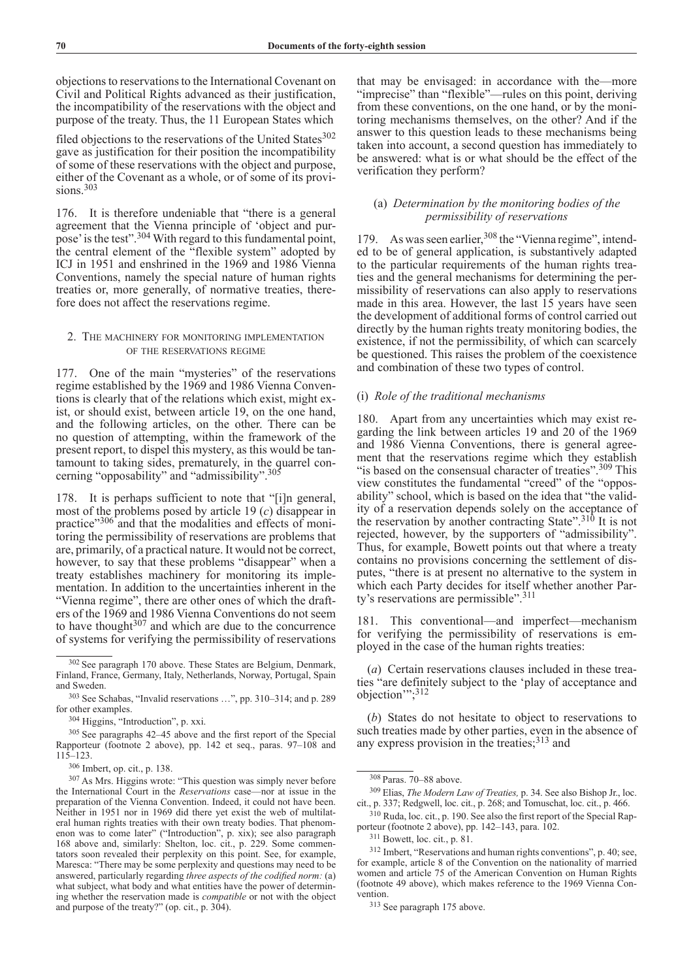objections to reservations to the International Covenant on Civil and Political Rights advanced as their justification, the incompatibility of the reservations with the object and purpose of the treaty. Thus, the 11 European States which

filed objections to the reservations of the United States<sup>302</sup> gave as justification for their position the incompatibility of some of these reservations with the object and purpose, either of the Covenant as a whole, or of some of its provisions.<sup>303</sup>

176. It is therefore undeniable that "there is a general agreement that the Vienna principle of 'object and purpose' is the test".<sup>304</sup> With regard to this fundamental point, the central element of the "flexible system" adopted by ICJ in 1951 and enshrined in the 1969 and 1986 Vienna Conventions, namely the special nature of human rights treaties or, more generally, of normative treaties, therefore does not affect the reservations regime.

# 2. The machinery for monitoring implementation of the reservations regime

177. One of the main "mysteries" of the reservations regime established by the 1969 and 1986 Vienna Conventions is clearly that of the relations which exist, might exist, or should exist, between article 19, on the one hand, and the following articles, on the other. There can be no question of attempting, within the framework of the present report, to dispel this mystery, as this would be tantamount to taking sides, prematurely, in the quarrel concerning "opposability" and "admissibility".<sup>305</sup>

178. It is perhaps sufficient to note that "[i]n general, most of the problems posed by article 19 (*c*) disappear in practice"306 and that the modalities and effects of monitoring the permissibility of reservations are problems that are, primarily, of a practical nature. It would not be correct, however, to say that these problems "disappear" when a treaty establishes machinery for monitoring its implementation. In addition to the uncertainties inherent in the "Vienna regime", there are other ones of which the drafters of the 1969 and 1986 Vienna Conventions do not seem to have thought $307$  and which are due to the concurrence of systems for verifying the permissibility of reservations

that may be envisaged: in accordance with the—more "imprecise" than "flexible"—rules on this point, deriving from these conventions, on the one hand, or by the monitoring mechanisms themselves, on the other? And if the answer to this question leads to these mechanisms being taken into account, a second question has immediately to be answered: what is or what should be the effect of the verification they perform?

# (a) *Determination by the monitoring bodies of the permissibility of reservations*

179. As was seen earlier,<sup>308</sup> the "Vienna regime", intended to be of general application, is substantively adapted to the particular requirements of the human rights treaties and the general mechanisms for determining the permissibility of reservations can also apply to reservations made in this area. However, the last 15 years have seen the development of additional forms of control carried out directly by the human rights treaty monitoring bodies, the existence, if not the permissibility, of which can scarcely be questioned. This raises the problem of the coexistence and combination of these two types of control.

### (i) *Role of the traditional mechanisms*

180. Apart from any uncertainties which may exist regarding the link between articles 19 and 20 of the 1969 and 1986 Vienna Conventions, there is general agreement that the reservations regime which they establish "is based on the consensual character of treaties".<sup>309</sup> This view constitutes the fundamental "creed" of the "opposability" school, which is based on the idea that "the validity of a reservation depends solely on the acceptance of the reservation by another contracting State".<sup>310</sup> It is not rejected, however, by the supporters of "admissibility". Thus, for example, Bowett points out that where a treaty contains no provisions concerning the settlement of disputes, "there is at present no alternative to the system in which each Party decides for itself whether another Party's reservations are permissible".<sup>311</sup>

181. This conventional—and imperfect—mechanism for verifying the permissibility of reservations is employed in the case of the human rights treaties:

(*a*) Certain reservations clauses included in these treaties "are definitely subject to the 'play of acceptance and objection'";312

(*b*) States do not hesitate to object to reservations to such treaties made by other parties, even in the absence of any express provision in the treaties;<sup>313</sup> and

<sup>302</sup> See paragraph 170 above. These States are Belgium, Denmark, Finland, France, Germany, Italy, Netherlands, Norway, Portugal, Spain and Sweden.

<sup>303</sup> See Schabas, "Invalid reservations …", pp. 310–314; and p. 289 for other examples.

<sup>304</sup> Higgins, "Introduction", p. xxi.

<sup>305</sup> See paragraphs 42–45 above and the first report of the Special Rapporteur (footnote 2 above), pp. 142 et seq., paras. 97–108 and 115–123.

<sup>306</sup> Imbert, op. cit., p. 138.

<sup>307</sup> As Mrs. Higgins wrote: "This question was simply never before the International Court in the *Reservations* case—nor at issue in the preparation of the Vienna Convention. Indeed, it could not have been. Neither in 1951 nor in 1969 did there yet exist the web of multilateral human rights treaties with their own treaty bodies. That phenomenon was to come later" ("Introduction", p. xix); see also paragraph 168 above and, similarly: Shelton, loc. cit., p. 229. Some commentators soon revealed their perplexity on this point. See, for example, Maresca: "There may be some perplexity and questions may need to be answered, particularly regarding *three aspects of the codified norm:* (a) what subject, what body and what entities have the power of determining whether the reservation made is *compatible* or not with the object and purpose of the treaty?" (op. cit., p. 304).

<sup>308</sup> Paras. 70–88 above.

<sup>309</sup> Elias, *The Modern Law of Treaties,* p. 34. See also Bishop Jr., loc. cit., p. 337; Redgwell, loc. cit., p. 268; and Tomuschat, loc. cit., p. 466.

<sup>310</sup> Ruda, loc. cit., p. 190. See also the first report of the Special Rapporteur (footnote 2 above), pp. 142–143, para. 102.

<sup>311</sup> Bowett, loc. cit., p. 81.

<sup>312</sup> Imbert, "Reservations and human rights conventions", p. 40; see, for example, article 8 of the Convention on the nationality of married women and article 75 of the American Convention on Human Rights (footnote 49 above), which makes reference to the 1969 Vienna Convention.

<sup>313</sup> See paragraph 175 above.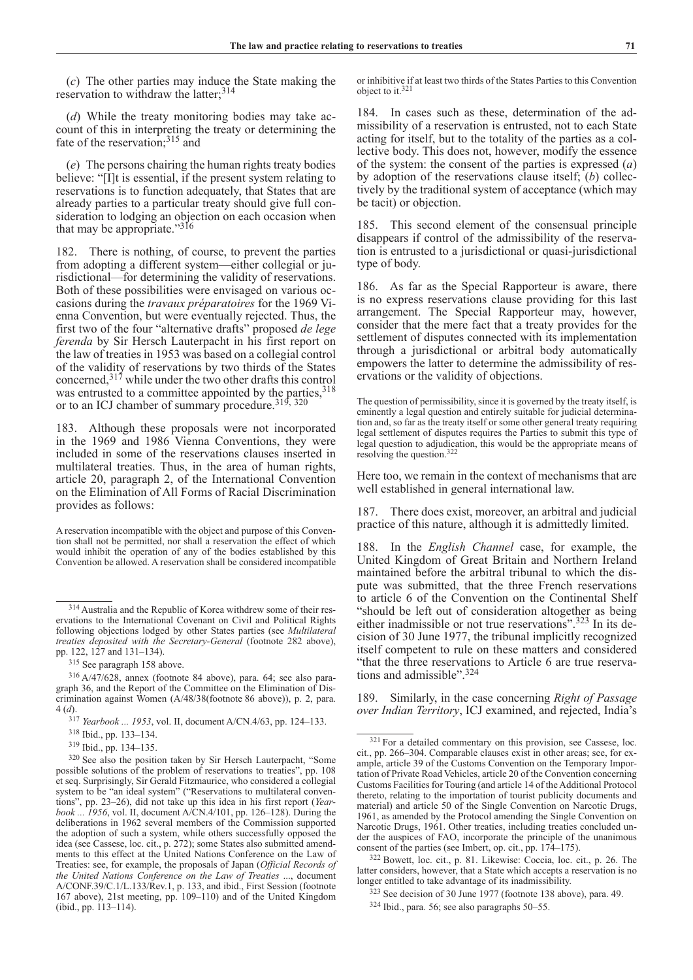(*c*) The other parties may induce the State making the reservation to withdraw the latter;<sup>314</sup>

(*d*) While the treaty monitoring bodies may take account of this in interpreting the treaty or determining the fate of the reservation;<sup>315</sup> and

(*e*) The persons chairing the human rights treaty bodies believe: "[I]t is essential, if the present system relating to reservations is to function adequately, that States that are already parties to a particular treaty should give full consideration to lodging an objection on each occasion when that may be appropriate."316

182. There is nothing, of course, to prevent the parties from adopting a different system—either collegial or jurisdictional—for determining the validity of reservations. Both of these possibilities were envisaged on various occasions during the *travaux préparatoires* for the 1969 Vienna Convention, but were eventually rejected. Thus, the first two of the four "alternative drafts" proposed *de lege ferenda* by Sir Hersch Lauterpacht in his first report on the law of treaties in 1953 was based on a collegial control of the validity of reservations by two thirds of the States concerned,317 while under the two other drafts this control was entrusted to a committee appointed by the parties, 318 or to an ICJ chamber of summary procedure.<sup>319, 320</sup>

183. Although these proposals were not incorporated in the 1969 and 1986 Vienna Conventions, they were included in some of the reservations clauses inserted in multilateral treaties. Thus, in the area of human rights, article 20, paragraph 2, of the International Convention on the Elimination of All Forms of Racial Discrimination provides as follows:

A reservation incompatible with the object and purpose of this Convention shall not be permitted, nor shall a reservation the effect of which would inhibit the operation of any of the bodies established by this Convention be allowed. A reservation shall be considered incompatible

or inhibitive if at least two thirds of the States Parties to this Convention object to it.<sup>321</sup>

184. In cases such as these, determination of the admissibility of a reservation is entrusted, not to each State acting for itself, but to the totality of the parties as a collective body. This does not, however, modify the essence of the system: the consent of the parties is expressed (*a*) by adoption of the reservations clause itself; (*b*) collectively by the traditional system of acceptance (which may be tacit) or objection.

185. This second element of the consensual principle disappears if control of the admissibility of the reservation is entrusted to a jurisdictional or quasi-jurisdictional type of body.

186. As far as the Special Rapporteur is aware, there is no express reservations clause providing for this last arrangement. The Special Rapporteur may, however, consider that the mere fact that a treaty provides for the settlement of disputes connected with its implementation through a jurisdictional or arbitral body automatically empowers the latter to determine the admissibility of reservations or the validity of objections.

Here too, we remain in the context of mechanisms that are well established in general international law.

187. There does exist, moreover, an arbitral and judicial practice of this nature, although it is admittedly limited.

188. In the *English Channel* case, for example, the United Kingdom of Great Britain and Northern Ireland maintained before the arbitral tribunal to which the dispute was submitted, that the three French reservations to article 6 of the Convention on the Continental Shelf "should be left out of consideration altogether as being either inadmissible or not true reservations".<sup>323</sup> In its decision of 30 June 1977, the tribunal implicitly recognized itself competent to rule on these matters and considered "that the three reservations to Article 6 are true reservations and admissible".324

189. Similarly, in the case concerning *Right of Passage over Indian Territory*, ICJ examined, and rejected, India's

<sup>322</sup> Bowett, loc. cit., p. 81. Likewise: Coccia, loc. cit., p. 26. The latter considers, however, that a State which accepts a reservation is no longer entitled to take advantage of its inadmissibility.

<sup>314</sup>Australia and the Republic of Korea withdrew some of their reservations to the International Covenant on Civil and Political Rights following objections lodged by other States parties (see *Multilateral treaties deposited with the Secretary-General* (footnote 282 above), pp. 122, 127 and 131–134).

<sup>315</sup> See paragraph 158 above.

<sup>316</sup> A/47/628, annex (footnote 84 above), para. 64; see also paragraph 36, and the Report of the Committee on the Elimination of Discrimination against Women (A/48/38(footnote 86 above)), p. 2, para. 4 (*d*).

<sup>317</sup> *Yearbook ... 1953*, vol. II, document A/CN.4/63, pp. 124–133.

<sup>318</sup> Ibid., pp. 133–134.

<sup>319</sup> Ibid., pp. 134–135.

<sup>320</sup> See also the position taken by Sir Hersch Lauterpacht, "Some possible solutions of the problem of reservations to treaties", pp. 108 et seq. Surprisingly, Sir Gerald Fitzmaurice, who considered a collegial system to be "an ideal system" ("Reservations to multilateral conventions", pp. 23–26), did not take up this idea in his first report (*Yearbook ... 1956*, vol. II, document A/CN.4/101, pp. 126–128). During the deliberations in 1962 several members of the Commission supported the adoption of such a system, while others successfully opposed the idea (see Cassese, loc. cit., p. 272); some States also submitted amendments to this effect at the United Nations Conference on the Law of Treaties: see, for example, the proposals of Japan (*Official Records of the United Nations Conference on the Law of Treaties* ..., document A/CONF.39/C.1/L.133/Rev.1, p. 133, and ibid., First Session (footnote 167 above), 21st meeting, pp. 109–110) and of the United Kingdom (ibid., pp. 113–114).

The question of permissibility, since it is governed by the treaty itself, is eminently a legal question and entirely suitable for judicial determination and, so far as the treaty itself or some other general treaty requiring legal settlement of disputes requires the Parties to submit this type of legal question to adjudication, this would be the appropriate means of resolving the question.322

<sup>321</sup> For a detailed commentary on this provision, see Cassese, loc. cit., pp. 266–304. Comparable clauses exist in other areas; see, for example, article 39 of the Customs Convention on the Temporary Importation of Private Road Vehicles, article 20 of the Convention concerning Customs Facilities for Touring (and article 14 of the Additional Protocol thereto, relating to the importation of tourist publicity documents and material) and article 50 of the Single Convention on Narcotic Drugs, 1961, as amended by the Protocol amending the Single Convention on Narcotic Drugs, 1961. Other treaties, including treaties concluded under the auspices of FAO, incorporate the principle of the unanimous consent of the parties (see Imbert, op. cit., pp. 174–175).

<sup>323</sup> See decision of 30 June 1977 (footnote 138 above), para. 49.

<sup>324</sup> Ibid., para. 56; see also paragraphs 50–55.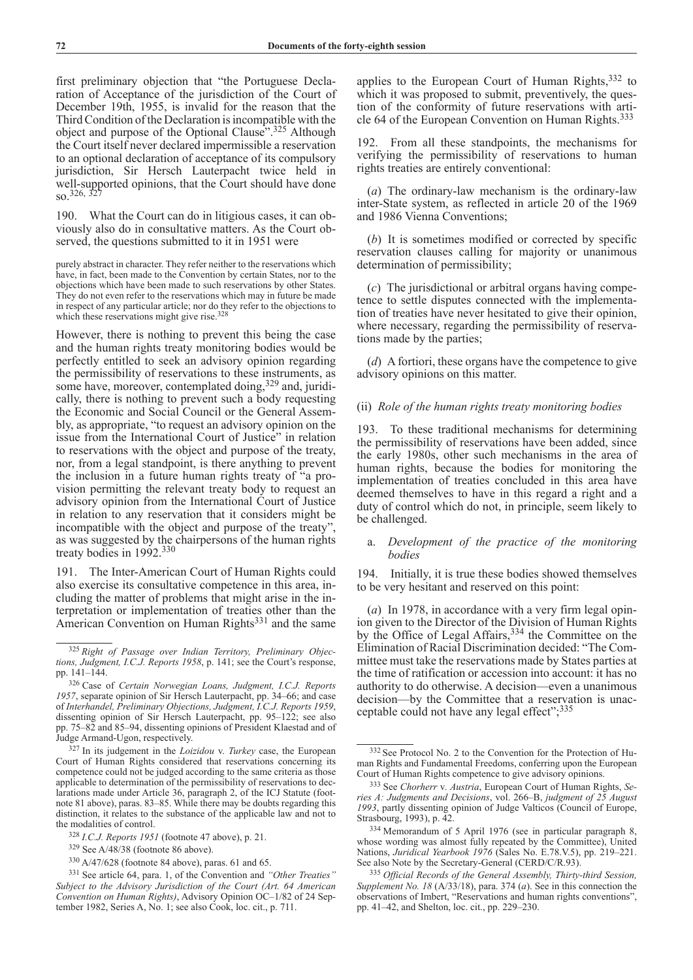first preliminary objection that "the Portuguese Declaration of Acceptance of the jurisdiction of the Court of December 19th, 1955, is invalid for the reason that the Third Condition of the Declaration is incompatible with the object and purpose of the Optional Clause".<sup>325</sup> Although the Court itself never declared impermissible a reservation to an optional declaration of acceptance of its compulsory jurisdiction, Sir Hersch Lauterpacht twice held in well-supported opinions, that the Court should have done  $\,$  so.<sup>326, 32</sup>

190. What the Court can do in litigious cases, it can obviously also do in consultative matters. As the Court observed, the questions submitted to it in 1951 were

purely abstract in character. They refer neither to the reservations which have, in fact, been made to the Convention by certain States, nor to the objections which have been made to such reservations by other States. They do not even refer to the reservations which may in future be made in respect of any particular article; nor do they refer to the objections to which these reservations might give rise.<sup>328</sup>

However, there is nothing to prevent this being the case and the human rights treaty monitoring bodies would be perfectly entitled to seek an advisory opinion regarding the permissibility of reservations to these instruments, as some have, moreover, contemplated doing,<sup>329</sup> and, juridically, there is nothing to prevent such a body requesting the Economic and Social Council or the General Assembly, as appropriate, "to request an advisory opinion on the issue from the International Court of Justice" in relation to reservations with the object and purpose of the treaty, nor, from a legal standpoint, is there anything to prevent the inclusion in a future human rights treaty of "a provision permitting the relevant treaty body to request an advisory opinion from the International Court of Justice in relation to any reservation that it considers might be incompatible with the object and purpose of the treaty", as was suggested by the chairpersons of the human rights treaty bodies in 1992.<sup>330</sup>

191. The Inter-American Court of Human Rights could also exercise its consultative competence in this area, including the matter of problems that might arise in the interpretation or implementation of treaties other than the American Convention on Human Rights<sup>331</sup> and the same

applies to the European Court of Human Rights,  $332$  to which it was proposed to submit, preventively, the question of the conformity of future reservations with article 64 of the European Convention on Human Rights.<sup>333</sup>

192. From all these standpoints, the mechanisms for verifying the permissibility of reservations to human rights treaties are entirely conventional:

(*a*) The ordinary-law mechanism is the ordinary-law inter-State system, as reflected in article 20 of the 1969 and 1986 Vienna Conventions;

(*b*) It is sometimes modified or corrected by specific reservation clauses calling for majority or unanimous determination of permissibility;

(*c*) The jurisdictional or arbitral organs having competence to settle disputes connected with the implementation of treaties have never hesitated to give their opinion, where necessary, regarding the permissibility of reservations made by the parties;

(*d*) A fortiori, these organs have the competence to give advisory opinions on this matter.

### (ii) *Role of the human rights treaty monitoring bodies*

193. To these traditional mechanisms for determining the permissibility of reservations have been added, since the early 1980s, other such mechanisms in the area of human rights, because the bodies for monitoring the implementation of treaties concluded in this area have deemed themselves to have in this regard a right and a duty of control which do not, in principle, seem likely to be challenged.

# a. *Development of the practice of the monitoring bodies*

194. Initially, it is true these bodies showed themselves to be very hesitant and reserved on this point:

(*a*) In 1978, in accordance with a very firm legal opinion given to the Director of the Division of Human Rights by the Office of Legal Affairs,<sup>334</sup> the Committee on the Elimination of Racial Discrimination decided: "The Committee must take the reservations made by States parties at the time of ratification or accession into account: it has no authority to do otherwise. A decision—even a unanimous decision—by the Committee that a reservation is unacceptable could not have any legal effect";<sup>335</sup>

<sup>325</sup> *Right of Passage over Indian Territory, Preliminary Objections, Judgment, I.C.J. Reports 1958*, p. 141; see the Court's response, pp. 141–144.

<sup>326</sup> Case of *Certain Norwegian Loans, Judgment, I.C.J. Reports 1957*, separate opinion of Sir Hersch Lauterpacht, pp. 34–66; and case of *Interhandel, Preliminary Objections, Judgment, I.C.J. Reports 1959*, dissenting opinion of Sir Hersch Lauterpacht, pp. 95–122; see also pp. 75–82 and 85–94, dissenting opinions of President Klaestad and of Judge Armand-Ugon, respectively.

<sup>327</sup> In its judgement in the *Loizidou* v. *Turkey* case, the European Court of Human Rights considered that reservations concerning its competence could not be judged according to the same criteria as those applicable to determination of the permissibility of reservations to declarations made under Article 36, paragraph 2, of the ICJ Statute (footnote 81 above), paras. 83–85. While there may be doubts regarding this distinction, it relates to the substance of the applicable law and not to the modalities of control.

<sup>328</sup> *I.C.J. Reports 1951* (footnote 47 above), p. 21.

<sup>329</sup> See A/48/38 (footnote 86 above).

<sup>330</sup> A/47/628 (footnote 84 above), paras. 61 and 65.

<sup>331</sup> See article 64, para. 1, of the Convention and *"Other Treaties" Subject to the Advisory Jurisdiction of the Court (Art. 64 American Convention on Human Rights)*, Advisory Opinion OC–1/82 of 24 September 1982, Series A, No. 1; see also Cook, loc. cit., p. 711.

<sup>332</sup> See Protocol No. 2 to the Convention for the Protection of Human Rights and Fundamental Freedoms, conferring upon the European Court of Human Rights competence to give advisory opinions.

<sup>333</sup> See *Chorherr* v*. Austria*, European Court of Human Rights, *Series A: Judgments and Decisions*, vol. 266–B, *judgment of 25 August 1993*, partly dissenting opinion of Judge Valticos (Council of Europe, Strasbourg, 1993), p. 42.

<sup>334</sup> Memorandum of 5 April 1976 (see in particular paragraph 8, whose wording was almost fully repeated by the Committee), United Nations, *Juridical Yearbook 1976* (Sales No. E.78.V.5), pp. 219–221. See also Note by the Secretary-General (CERD/C/R.93).

<sup>335</sup> *Official Records of the General Assembly, Thirty-third Session, Supplement No. 18* (A/33/18), para. 374 (*a*). See in this connection the observations of Imbert, "Reservations and human rights conventions", pp. 41–42, and Shelton, loc. cit., pp. 229–230.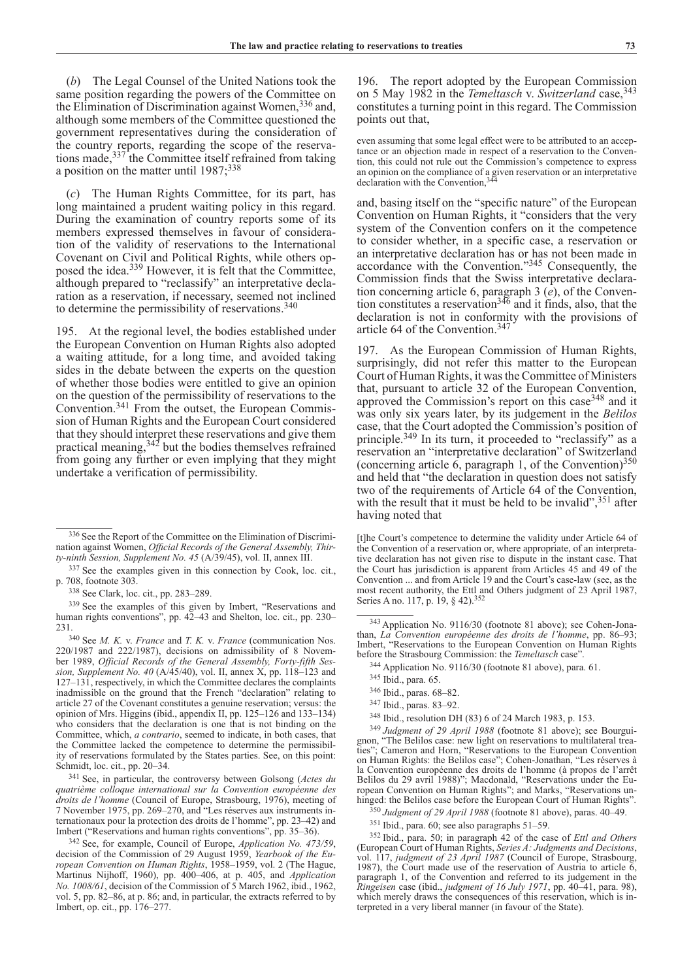(*b*) The Legal Counsel of the United Nations took the same position regarding the powers of the Committee on the Elimination of Discrimination against Women,<sup>336</sup> and, although some members of the Committee questioned the government representatives during the consideration of the country reports, regarding the scope of the reservations made,337 the Committee itself refrained from taking a position on the matter until  $1987$ ;  $338$ 

(*c*) The Human Rights Committee, for its part, has long maintained a prudent waiting policy in this regard. During the examination of country reports some of its members expressed themselves in favour of consideration of the validity of reservations to the International Covenant on Civil and Political Rights, while others opposed the idea.339 However, it is felt that the Committee, although prepared to "reclassify" an interpretative declaration as a reservation, if necessary, seemed not inclined to determine the permissibility of reservations. $340$ 

195. At the regional level, the bodies established under the European Convention on Human Rights also adopted a waiting attitude, for a long time, and avoided taking sides in the debate between the experts on the question of whether those bodies were entitled to give an opinion on the question of the permissibility of reservations to the Convention.341 From the outset, the European Commission of Human Rights and the European Court considered that they should interpret these reservations and give them practical meaning,342 but the bodies themselves refrained from going any further or even implying that they might undertake a verification of permissibility.

<sup>339</sup> See the examples of this given by Imbert, "Reservations and human rights conventions", pp. 42–43 and Shelton, loc. cit., pp. 230–231.

231.340 See *M. K.* v. *France* and *T. K.* v. *France* (communication Nos. 220/1987 and 222/1987), decisions on admissibility of 8 November 1989, *Official Records of the General Assembly, Forty-fifth Session, Supplement No. 40* (A/45/40), vol. II, annex X, pp. 118–123 and 127–131, respectively, in which the Committee declares the complaints inadmissible on the ground that the French "declaration" relating to article 27 of the Covenant constitutes a genuine reservation; versus: the opinion of Mrs. Higgins (ibid., appendix II, pp. 125–126 and 133–134) who considers that the declaration is one that is not binding on the Committee, which, *a contrario*, seemed to indicate, in both cases, that the Committee lacked the competence to determine the permissibility of reservations formulated by the States parties. See, on this point: Schmidt, loc. cit., pp. 20–34.

<sup>341</sup> See, in particular, the controversy between Golsong (*Actes du quatrième colloque international sur la Convention européenne des droits de l'homme* (Council of Europe, Strasbourg, 1976), meeting of 7 November 1975, pp. 269–270, and "Les réserves aux instruments internationaux pour la protection des droits de l'homme", pp. 23–42) and Imbert ("Reservations and human rights conventions", pp. 35–36).

<sup>342</sup> See, for example, Council of Europe, *Application No. 473/59*, decision of the Commission of 29 August 1959, *Yearbook of the European Convention on Human Rights*, 1958–1959, vol. 2 (The Hague, Martinus Nijhoff, 1960), pp. 400–406, at p. 405, and *Application No. 1008/61*, decision of the Commission of 5 March 1962, ibid., 1962, vol. 5, pp. 82–86, at p. 86; and, in particular, the extracts referred to by Imbert, op. cit., pp. 176–277.

196. The report adopted by the European Commission on 5 May 1982 in the *Temeltasch* v. *Switzerland* case, <sup>343</sup> constitutes a turning point in this regard. The Commission points out that,

even assuming that some legal effect were to be attributed to an acceptance or an objection made in respect of a reservation to the Convention, this could not rule out the Commission's competence to express an opinion on the compliance of a given reservation or an interpretative declaration with the Convention,<sup>344</sup>

and, basing itself on the "specific nature" of the European Convention on Human Rights, it "considers that the very system of the Convention confers on it the competence to consider whether, in a specific case, a reservation or an interpretative declaration has or has not been made in accordance with the Convention."345 Consequently, the Commission finds that the Swiss interpretative declaration concerning article 6, paragraph 3 (*e*), of the Convention constitutes a reservation  $346$  and it finds, also, that the declaration is not in conformity with the provisions of article 64 of the Convention.<sup>347</sup>

197. As the European Commission of Human Rights, surprisingly, did not refer this matter to the European Court of Human Rights, it was the Committee of Ministers that, pursuant to article 32 of the European Convention, approved the Commission's report on this case  $348$  and it was only six years later, by its judgement in the *Belilos* case, that the Court adopted the Commission's position of principle.349 In its turn, it proceeded to "reclassify" as a reservation an "interpretative declaration" of Switzerland (concerning article  $\overline{6}$ , paragraph 1, of the Convention)<sup>350</sup> and held that "the declaration in question does not satisfy two of the requirements of Article 64 of the Convention, with the result that it must be held to be invalid",  $351$  after having noted that

[t]he Court's competence to determine the validity under Article 64 of the Convention of a reservation or, where appropriate, of an interpretative declaration has not given rise to dispute in the instant case. That the Court has jurisdiction is apparent from Articles 45 and 49 of the Convention ... and from Article 19 and the Court's case-law (see, as the most recent authority, the Ettl and Others judgment of 23 April 1987, Series A no. 117, p. 19, § 42).<sup>352</sup>

<sup>346</sup> Ibid., paras. 68–82.

<sup>348</sup> Ibid., resolution DH (83) 6 of 24 March 1983, p. 153.

<sup>349</sup> *Judgment of 29 April 1988* (footnote 81 above); see Bourguignon, "The Belilos case: new light on reservations to multilateral treaties"; Cameron and Horn, "Reservations to the European Convention on Human Rights: the Belilos case"; Cohen-Jonathan, "Les réserves à la Convention européenne des droits de l'homme (à propos de l'arrêt Belilos du 29 avril 1988)"; Macdonald, "Reservations under the European Convention on Human Rights"; and Marks, "Reservations unhinged: the Belilos case before the European Court of Human Rights".

<sup>350</sup> *Judgment of 29 April 1988* (footnote 81 above), paras. 40–49.

<sup>351</sup> Ibid., para. 60; see also paragraphs 51–59.

<sup>352</sup> Ibid., para. 50; in paragraph 42 of the case of *Ettl and Others* (European Court of Human Rights, *Series A: Judgments and Decisions*, vol. 117, *judgment of 23 April 1987* (Council of Europe, Strasbourg, 1987), the Court made use of the reservation of Austria to article 6, paragraph 1, of the Convention and referred to its judgement in the *Ringeisen* case (ibid., *judgment of 16 July 1971*, pp. 40–41, para. 98), which merely draws the consequences of this reservation, which is interpreted in a very liberal manner (in favour of the State).

<sup>336</sup> See the Report of the Committee on the Elimination of Discrimination against Women, *Official Records of the General Assembly, Thirty-ninth Session, Supplement No. 45* (A/39/45), vol. II, annex III.

<sup>337</sup> See the examples given in this connection by Cook, loc. cit., p. 708, footnote 303.

<sup>338</sup> See Clark, loc. cit., pp. 283–289.

<sup>343</sup>Application No. 9116/30 (footnote 81 above); see Cohen-Jona- than, *La Convention européenne des droits de l'homme*, pp. 86–93; Imbert, "Reservations to the European Convention on Human Rights" before the Strasbourg Commission: the *Temeltasch* case".

<sup>344</sup> Application No. 9116/30 (footnote 81 above), para. 61.

<sup>345</sup> Ibid., para. 65.

<sup>347</sup> Ibid., paras. 83–92.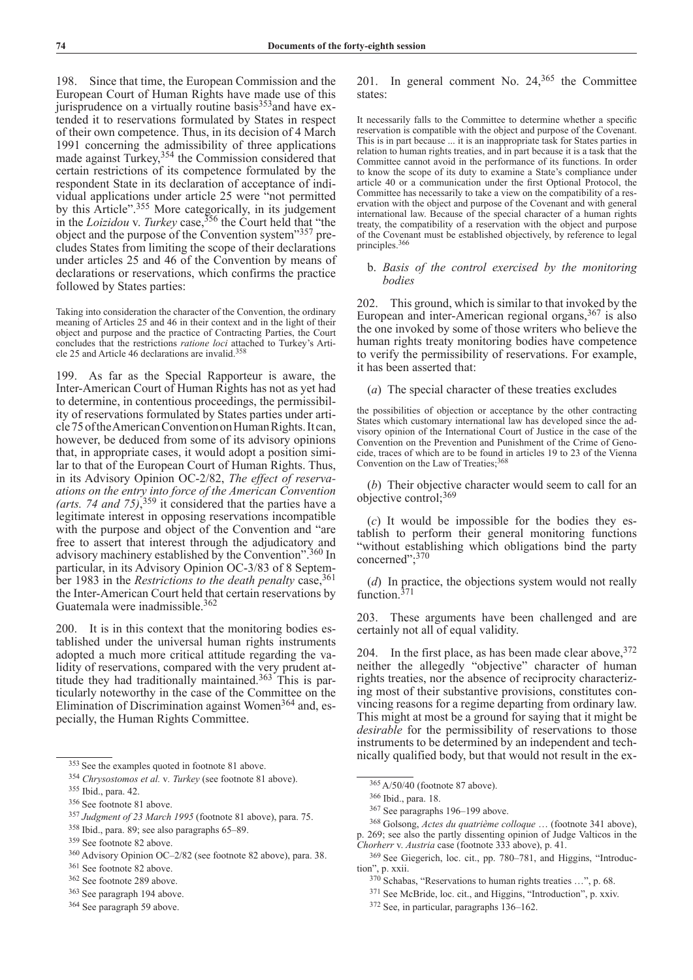198. Since that time, the European Commission and the European Court of Human Rights have made use of this jurisprudence on a virtually routine basis<sup>353</sup>and have extended it to reservations formulated by States in respect of their own competence. Thus, in its decision of 4 March 1991 concerning the admissibility of three applications made against Turkey,<sup>354</sup> the Commission considered that certain restrictions of its competence formulated by the respondent State in its declaration of acceptance of individual applications under article 25 were "not permitted by this Article".<sup>355</sup> More categorically, in its judgement in the *Loizidou* v. *Turkey* case,356 the Court held that "the object and the purpose of the Convention system"357 precludes States from limiting the scope of their declarations under articles 25 and 46 of the Convention by means of declarations or reservations, which confirms the practice followed by States parties:

Taking into consideration the character of the Convention, the ordinary meaning of Articles 25 and 46 in their context and in the light of their object and purpose and the practice of Contracting Parties, the Court concludes that the restrictions *ratione loci* attached to Turkey's Article 25 and Article 46 declarations are invalid.358

199. As far as the Special Rapporteur is aware, the Inter-American Court of Human Rights has not as yet had to determine, in contentious proceedings, the permissibility of reservations formulated by States parties under article 75 of the American Convention on Human Rights. It can, however, be deduced from some of its advisory opinions that, in appropriate cases, it would adopt a position similar to that of the European Court of Human Rights. Thus, in its Advisory Opinion OC-2/82, *The effect of reservaations on the entry into force of the American Convention (arts. 74 and 75)*, 359 it considered that the parties have a legitimate interest in opposing reservations incompatible with the purpose and object of the Convention and "are free to assert that interest through the adjudicatory and advisory machinery established by the Convention".360 In particular, in its Advisory Opinion OC-3/83 of 8 September 1983 in the *Restrictions to the death penalty* case,<sup>361</sup> the Inter-American Court held that certain reservations by Guatemala were inadmissible.362

200. It is in this context that the monitoring bodies established under the universal human rights instruments adopted a much more critical attitude regarding the validity of reservations, compared with the very prudent attitude they had traditionally maintained.<sup>363</sup> This is particularly noteworthy in the case of the Committee on the Elimination of Discrimination against Women<sup>364</sup> and, especially, the Human Rights Committee.

<sup>363</sup> See paragraph 194 above.

201. In general comment No. 24,365 the Committee states:

It necessarily falls to the Committee to determine whether a specific reservation is compatible with the object and purpose of the Covenant. This is in part because ... it is an inappropriate task for States parties in relation to human rights treaties, and in part because it is a task that the Committee cannot avoid in the performance of its functions. In order to know the scope of its duty to examine a State's compliance under article 40 or a communication under the first Optional Protocol, the Committee has necessarily to take a view on the compatibility of a reservation with the object and purpose of the Covenant and with general international law. Because of the special character of a human rights treaty, the compatibility of a reservation with the object and purpose of the Covenant must be established objectively, by reference to legal principles.366

# b. *Basis of the control exercised by the monitoring bodies*

202. This ground, which is similar to that invoked by the European and inter-American regional organs,  $367$  is also the one invoked by some of those writers who believe the human rights treaty monitoring bodies have competence to verify the permissibility of reservations. For example, it has been asserted that:

(*a*) The special character of these treaties excludes

the possibilities of objection or acceptance by the other contracting States which customary international law has developed since the advisory opinion of the International Court of Justice in the case of the Convention on the Prevention and Punishment of the Crime of Genocide, traces of which are to be found in articles 19 to 23 of the Vienna Convention on the Law of Treaties;<sup>368</sup>

(*b*) Their objective character would seem to call for an objective control;369

(*c*) It would be impossible for the bodies they establish to perform their general monitoring functions "without establishing which obligations bind the party concerned";370

(*d*) In practice, the objections system would not really function.<sup>371</sup>

203. These arguments have been challenged and are certainly not all of equal validity.

204. In the first place, as has been made clear above,  $372$ neither the allegedly "objective" character of human rights treaties, nor the absence of reciprocity characterizing most of their substantive provisions, constitutes convincing reasons for a regime departing from ordinary law. This might at most be a ground for saying that it might be *desirable* for the permissibility of reservations to those instruments to be determined by an independent and technically qualified body, but that would not result in the ex-

<sup>372</sup> See, in particular, paragraphs 136–162.

<sup>353</sup> See the examples quoted in footnote 81 above.

<sup>354</sup> *Chrysostomos et al.* v*. Turkey* (see footnote 81 above).

<sup>355</sup> Ibid., para. 42.

<sup>356</sup> See footnote 81 above.

<sup>357</sup> *Judgment of 23 March 1995* (footnote 81 above), para. 75.

<sup>358</sup> Ibid., para. 89; see also paragraphs 65–89.

<sup>359</sup> See footnote 82 above.

<sup>360</sup> Advisory Opinion OC–2/82 (see footnote 82 above), para. 38.

<sup>361</sup> See footnote 82 above.

<sup>362</sup> See footnote 289 above.

<sup>364</sup> See paragraph 59 above.

<sup>365</sup>A/50/40 (footnote 87 above).

<sup>366</sup> Ibid., para. 18.

<sup>367</sup> See paragraphs 196–199 above.

<sup>368</sup> Golsong, *Actes du quatrième colloque* … (footnote 341 above), p. 269; see also the partly dissenting opinion of Judge Valticos in the *Chorherr* v. *Austria* case (footnote 333 above), p. 41.

<sup>369</sup> See Giegerich, loc. cit., pp. 780–781, and Higgins, "Introduction", p. xxii.

<sup>370</sup> Schabas, "Reservations to human rights treaties …", p. 68.

<sup>371</sup> See McBride, loc. cit., and Higgins, "Introduction", p. xxiv.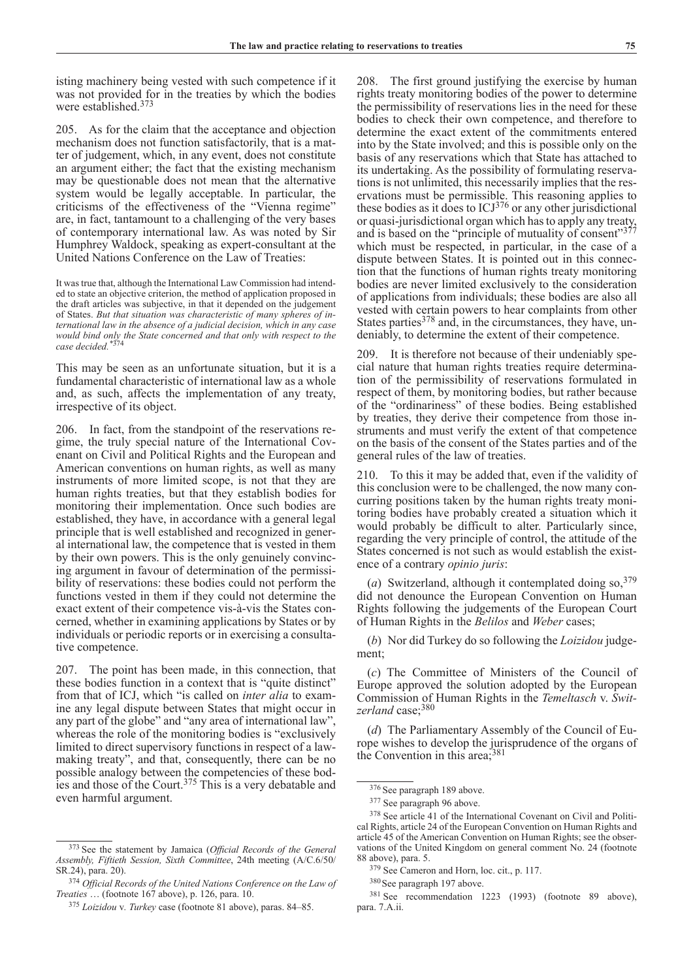isting machinery being vested with such competence if it was not provided for in the treaties by which the bodies were established.373

205. As for the claim that the acceptance and objection mechanism does not function satisfactorily, that is a matter of judgement, which, in any event, does not constitute an argument either; the fact that the existing mechanism may be questionable does not mean that the alternative system would be legally acceptable. In particular, the criticisms of the effectiveness of the "Vienna regime" are, in fact, tantamount to a challenging of the very bases of contemporary international law. As was noted by Sir Humphrey Waldock, speaking as expert-consultant at the United Nations Conference on the Law of Treaties:

It was true that, although the International Law Commission had intended to state an objective criterion, the method of application proposed in the draft articles was subjective, in that it depended on the judgement of States. *But that situation was characteristic of many spheres of international law in the absence of a judicial decision, which in any case would bind only the State concerned and that only with respect to the case decided.\**<sup>374</sup>

This may be seen as an unfortunate situation, but it is a fundamental characteristic of international law as a whole and, as such, affects the implementation of any treaty, irrespective of its object.

206. In fact, from the standpoint of the reservations regime, the truly special nature of the International Covenant on Civil and Political Rights and the European and American conventions on human rights, as well as many instruments of more limited scope, is not that they are human rights treaties, but that they establish bodies for monitoring their implementation. Once such bodies are established, they have, in accordance with a general legal principle that is well established and recognized in general international law, the competence that is vested in them by their own powers. This is the only genuinely convincing argument in favour of determination of the permissibility of reservations: these bodies could not perform the functions vested in them if they could not determine the exact extent of their competence vis-à-vis the States concerned, whether in examining applications by States or by individuals or periodic reports or in exercising a consultative competence.

207. The point has been made, in this connection, that these bodies function in a context that is "quite distinct" from that of ICJ, which "is called on *inter alia* to examine any legal dispute between States that might occur in any part of the globe" and "any area of international law", whereas the role of the monitoring bodies is "exclusively limited to direct supervisory functions in respect of a lawmaking treaty", and that, consequently, there can be no possible analogy between the competencies of these bodies and those of the Court.<sup>375</sup> This is a very debatable and even harmful argument.

208. The first ground justifying the exercise by human rights treaty monitoring bodies of the power to determine the permissibility of reservations lies in the need for these bodies to check their own competence, and therefore to determine the exact extent of the commitments entered into by the State involved; and this is possible only on the basis of any reservations which that State has attached to its undertaking. As the possibility of formulating reservations is not unlimited, this necessarily implies that the reservations must be permissible. This reasoning applies to these bodies as it does to  $ICJ<sup>376</sup>$  or any other jurisdictional or quasi-jurisdictional organ which has to apply any treaty, and is based on the "principle of mutuality of consent"<sup>377</sup> which must be respected, in particular, in the case of a dispute between States. It is pointed out in this connection that the functions of human rights treaty monitoring bodies are never limited exclusively to the consideration of applications from individuals; these bodies are also all vested with certain powers to hear complaints from other States parties $378$  and, in the circumstances, they have, undeniably, to determine the extent of their competence.

209. It is therefore not because of their undeniably special nature that human rights treaties require determination of the permissibility of reservations formulated in respect of them, by monitoring bodies, but rather because of the "ordinariness" of these bodies. Being established by treaties, they derive their competence from those instruments and must verify the extent of that competence on the basis of the consent of the States parties and of the general rules of the law of treaties.

210. To this it may be added that, even if the validity of this conclusion were to be challenged, the now many concurring positions taken by the human rights treaty monitoring bodies have probably created a situation which it would probably be difficult to alter. Particularly since, regarding the very principle of control, the attitude of the States concerned is not such as would establish the existence of a contrary *opinio juris*:

(*a*) Switzerland, although it contemplated doing so, <sup>379</sup> did not denounce the European Convention on Human Rights following the judgements of the European Court of Human Rights in the *Belilos* and *Weber* cases;

(*b*) Nor did Turkey do so following the *Loizidou* judgement;

(*c*) The Committee of Ministers of the Council of Europe approved the solution adopted by the European Commission of Human Rights in the *Temeltasch* v. *Switzerland* case;380

(*d*) The Parliamentary Assembly of the Council of Europe wishes to develop the jurisprudence of the organs of the Convention in this area;381

<sup>373</sup> See the statement by Jamaica (*Official Records of the General Assembly, Fiftieth Session, Sixth Committee*, 24th meeting (A/C.6/50/ SR.24), para. 20).

<sup>374</sup> *Official Records of the United Nations Conference on the Law of Treaties* … (footnote 167 above), p. 126, para. 10.

<sup>375</sup> *Loizidou* v*. Turkey* case (footnote 81 above), paras. 84–85.

<sup>376</sup> See paragraph 189 above.

<sup>377</sup> See paragraph 96 above.

<sup>378</sup> See article 41 of the International Covenant on Civil and Political Rights, article 24 of the European Convention on Human Rights and article 45 of the American Convention on Human Rights; see the observations of the United Kingdom on general comment No. 24 (footnote 88 above), para. 5.

<sup>379</sup> See Cameron and Horn, loc. cit., p. 117.

<sup>380</sup>See paragraph 197 above.

<sup>381</sup> See recommendation 1223 (1993) (footnote 89 above), para. 7.A.ii.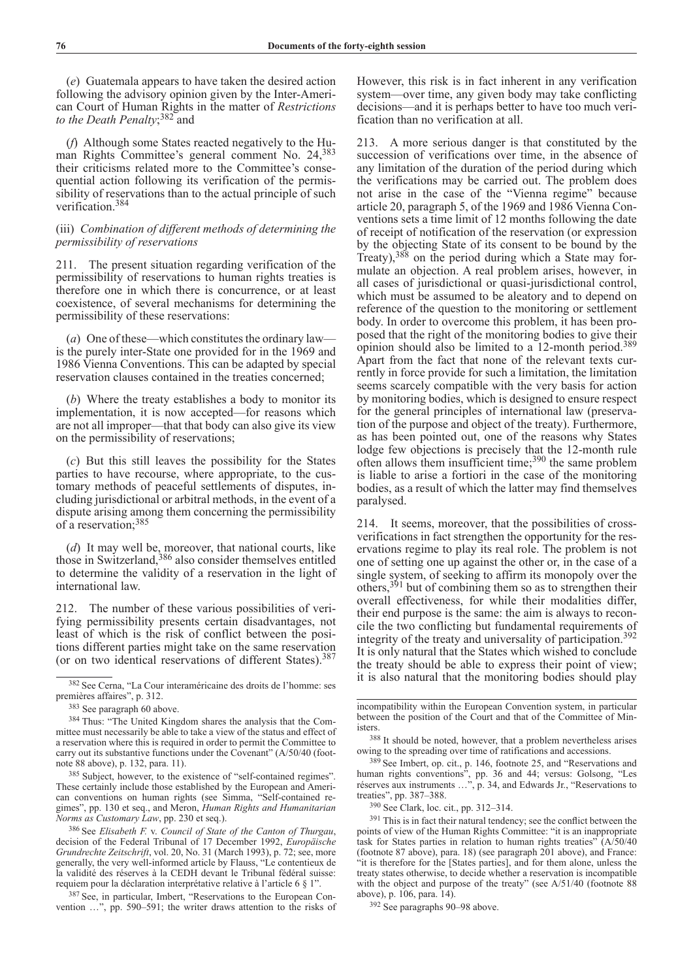(*e*) Guatemala appears to have taken the desired action following the advisory opinion given by the Inter-American Court of Human Rights in the matter of *Restrictions to the Death Penalty*; 382 and

(*f*) Although some States reacted negatively to the Human Rights Committee's general comment No. 24,383 their criticisms related more to the Committee's consequential action following its verification of the permissibility of reservations than to the actual principle of such verification.384

# (iii) *Combination of different methods of determining the permissibility of reservations*

211. The present situation regarding verification of the permissibility of reservations to human rights treaties is therefore one in which there is concurrence, or at least coexistence, of several mechanisms for determining the permissibility of these reservations:

(*a*) One of these—which constitutes the ordinary law is the purely inter-State one provided for in the 1969 and 1986 Vienna Conventions. This can be adapted by special reservation clauses contained in the treaties concerned;

(*b*) Where the treaty establishes a body to monitor its implementation, it is now accepted—for reasons which are not all improper—that that body can also give its view on the permissibility of reservations;

(*c*) But this still leaves the possibility for the States parties to have recourse, where appropriate, to the customary methods of peaceful settlements of disputes, including jurisdictional or arbitral methods, in the event of a dispute arising among them concerning the permissibility of a reservation;385

(*d*) It may well be, moreover, that national courts, like those in Switzerland,<sup>386</sup> also consider themselves entitled to determine the validity of a reservation in the light of international law.

212. The number of these various possibilities of verifying permissibility presents certain disadvantages, not least of which is the risk of conflict between the positions different parties might take on the same reservation (or on two identical reservations of different States).387

<sup>385</sup> Subject, however, to the existence of "self-contained regimes". These certainly include those established by the European and American conventions on human rights (see Simma, "Self-contained regimes", pp. 130 et seq., and Meron, *Human Rights and Humanitarian* 

*Norms as Customary Law*, pp. 230 et seq.). 386 See *Elisabeth F.* v. *Council of State of the Canton of Thurgau*, decision of the Federal Tribunal of 17 December 1992, *Europäische Grundrechte Zeitschrift*, vol. 20, No. 31 (March 1993), p. 72; see, more generally, the very well-informed article by Flauss, "Le contentieux de la validité des réserves à la CEDH devant le Tribunal fédéral suisse: requiem pour la déclaration interprétative relative à l'article 6 § 1".

387 See, in particular, Imbert, "Reservations to the European Convention …", pp. 590–591; the writer draws attention to the risks of However, this risk is in fact inherent in any verification system—over time, any given body may take conflicting decisions—and it is perhaps better to have too much verification than no verification at all.

213. A more serious danger is that constituted by the succession of verifications over time, in the absence of any limitation of the duration of the period during which the verifications may be carried out. The problem does not arise in the case of the "Vienna regime" because article 20, paragraph 5, of the 1969 and 1986 Vienna Conventions sets a time limit of 12 months following the date of receipt of notification of the reservation (or expression by the objecting State of its consent to be bound by the Treaty),388 on the period during which a State may formulate an objection. A real problem arises, however, in all cases of jurisdictional or quasi-jurisdictional control, which must be assumed to be aleatory and to depend on reference of the question to the monitoring or settlement body. In order to overcome this problem, it has been proposed that the right of the monitoring bodies to give their opinion should also be limited to a 12-month period.389 Apart from the fact that none of the relevant texts currently in force provide for such a limitation, the limitation seems scarcely compatible with the very basis for action by monitoring bodies, which is designed to ensure respect for the general principles of international law (preservation of the purpose and object of the treaty). Furthermore, as has been pointed out, one of the reasons why States lodge few objections is precisely that the 12-month rule often allows them insufficient time;390 the same problem is liable to arise a fortiori in the case of the monitoring bodies, as a result of which the latter may find themselves paralysed.

214. It seems, moreover, that the possibilities of crossverifications in fact strengthen the opportunity for the reservations regime to play its real role. The problem is not one of setting one up against the other or, in the case of a single system, of seeking to affirm its monopoly over the others,<sup>391</sup> but of combining them so as to strengthen their overall effectiveness, for while their modalities differ, their end purpose is the same: the aim is always to reconcile the two conflicting but fundamental requirements of integrity of the treaty and universality of participation.<sup>392</sup> It is only natural that the States which wished to conclude the treaty should be able to express their point of view; it is also natural that the monitoring bodies should play

<sup>390</sup> See Clark, loc. cit., pp. 312–314.

<sup>391</sup> This is in fact their natural tendency; see the conflict between the points of view of the Human Rights Committee: "it is an inappropriate task for States parties in relation to human rights treaties" (A/50/40 (footnote 87 above), para. 18) (see paragraph 201 above), and France: "it is therefore for the [States parties], and for them alone, unless the treaty states otherwise, to decide whether a reservation is incompatible with the object and purpose of the treaty" (see A/51/40 (footnote 88 above), p. 106, para. 14).

<sup>392</sup> See paragraphs 90–98 above.

<sup>382</sup> See Cerna, "La Cour interaméricaine des droits de l'homme: ses premières affaires", p. 312.

<sup>383</sup> See paragraph 60 above.

<sup>384</sup> Thus: "The United Kingdom shares the analysis that the Committee must necessarily be able to take a view of the status and effect of a reservation where this is required in order to permit the Committee to carry out its substantive functions under the Covenant" (A/50/40 (footnote 88 above), p. 132, para. 11).

incompatibility within the European Convention system, in particular between the position of the Court and that of the Committee of Ministers.

<sup>388</sup> It should be noted, however, that a problem nevertheless arises owing to the spreading over time of ratifications and accessions.

<sup>389</sup> See Imbert, op. cit., p. 146, footnote 25, and "Reservations and human rights conventions", pp. 36 and 44; versus: Golsong, "Les réserves aux instruments …", p. 34, and Edwards Jr., "Reservations to treaties", pp. 387–388.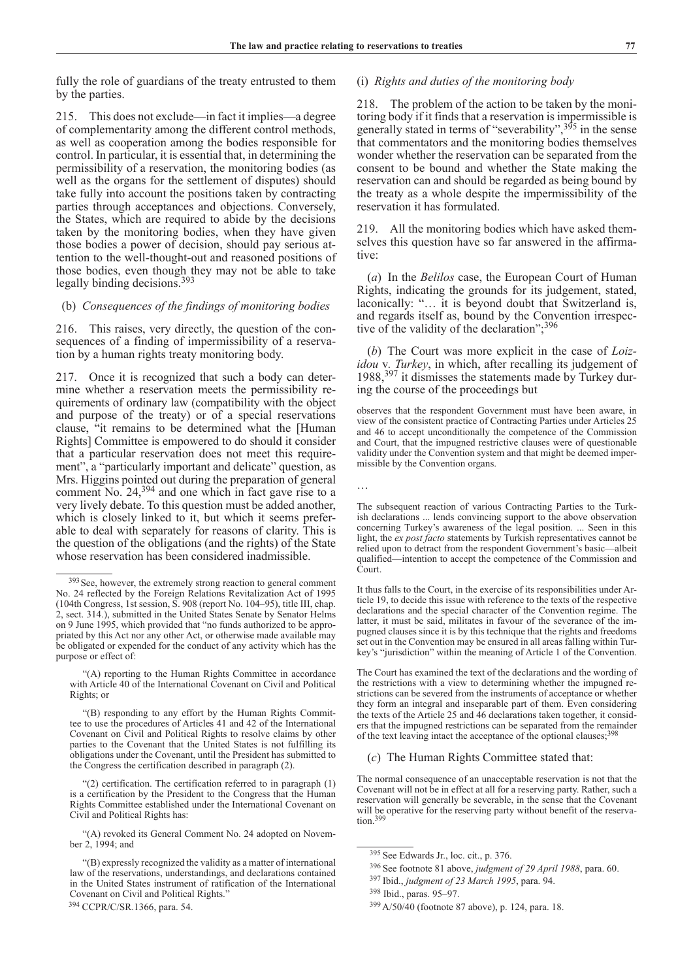…

fully the role of guardians of the treaty entrusted to them by the parties.

215. This does not exclude—in fact it implies—a degree of complementarity among the different control methods, as well as cooperation among the bodies responsible for control. In particular, it is essential that, in determining the permissibility of a reservation, the monitoring bodies (as well as the organs for the settlement of disputes) should take fully into account the positions taken by contracting parties through acceptances and objections. Conversely, the States, which are required to abide by the decisions taken by the monitoring bodies, when they have given those bodies a power of decision, should pay serious attention to the well-thought-out and reasoned positions of those bodies, even though they may not be able to take legally binding decisions.393

# (b) *Consequences of the findings of monitoring bodies*

216. This raises, very directly, the question of the consequences of a finding of impermissibility of a reservation by a human rights treaty monitoring body.

217. Once it is recognized that such a body can determine whether a reservation meets the permissibility requirements of ordinary law (compatibility with the object and purpose of the treaty) or of a special reservations clause, "it remains to be determined what the [Human Rights] Committee is empowered to do should it consider that a particular reservation does not meet this requirement", a "particularly important and delicate" question, as Mrs. Higgins pointed out during the preparation of general comment No. 24,<sup>394</sup> and one which in fact gave rise to a very lively debate. To this question must be added another, which is closely linked to it, but which it seems preferable to deal with separately for reasons of clarity. This is the question of the obligations (and the rights) of the State whose reservation has been considered inadmissible.

### (i) *Rights and duties of the monitoring body*

218. The problem of the action to be taken by the monitoring body if it finds that a reservation is impermissible is generally stated in terms of "severability",  $3^{95}$  in the sense that commentators and the monitoring bodies themselves wonder whether the reservation can be separated from the consent to be bound and whether the State making the reservation can and should be regarded as being bound by the treaty as a whole despite the impermissibility of the reservation it has formulated.

219. All the monitoring bodies which have asked themselves this question have so far answered in the affirmative:

(*a*) In the *Belilos* case, the European Court of Human Rights, indicating the grounds for its judgement, stated, laconically: "… it is beyond doubt that Switzerland is, and regards itself as, bound by the Convention irrespective of the validity of the declaration";<sup>396</sup>

(*b*) The Court was more explicit in the case of *Loizidou* v*. Turkey*, in which, after recalling its judgement of 1988,397 it dismisses the statements made by Turkey during the course of the proceedings but

observes that the respondent Government must have been aware, in view of the consistent practice of Contracting Parties under Articles 25 and 46 to accept unconditionally the competence of the Commission and Court, that the impugned restrictive clauses were of questionable validity under the Convention system and that might be deemed impermissible by the Convention organs.

The subsequent reaction of various Contracting Parties to the Turkish declarations ... lends convincing support to the above observation concerning Turkey's awareness of the legal position. ... Seen in this light, the *ex post facto* statements by Turkish representatives cannot be relied upon to detract from the respondent Government's basic—albeit qualified—intention to accept the competence of the Commission and Court.

It thus falls to the Court, in the exercise of its responsibilities under Article 19, to decide this issue with reference to the texts of the respective declarations and the special character of the Convention regime. The latter, it must be said, militates in favour of the severance of the impugned clauses since it is by this technique that the rights and freedoms set out in the Convention may be ensured in all areas falling within Turkey's "jurisdiction" within the meaning of Article 1 of the Convention.

The Court has examined the text of the declarations and the wording of the restrictions with a view to determining whether the impugned restrictions can be severed from the instruments of acceptance or whether they form an integral and inseparable part of them. Even considering the texts of the Article 25 and 46 declarations taken together, it considers that the impugned restrictions can be separated from the remainder of the text leaving intact the acceptance of the optional clauses;<sup>398</sup>

### (*c*) The Human Rights Committee stated that:

The normal consequence of an unacceptable reservation is not that the Covenant will not be in effect at all for a reserving party. Rather, such a reservation will generally be severable, in the sense that the Covenant will be operative for the reserving party without benefit of the reservation.<sup>399</sup>

<sup>&</sup>lt;sup>393</sup> See, however, the extremely strong reaction to general comment No. 24 reflected by the Foreign Relations Revitalization Act of 1995 (104th Congress, 1st session, S. 908 (report No. 104–95), title III, chap. 2, sect. 314.), submitted in the United States Senate by Senator Helms on 9 June 1995, which provided that "no funds authorized to be appropriated by this Act nor any other Act, or otherwise made available may be obligated or expended for the conduct of any activity which has the purpose or effect of:

<sup>&</sup>quot;(A) reporting to the Human Rights Committee in accordance with Article 40 of the International Covenant on Civil and Political Rights; or

<sup>&</sup>quot;(B) responding to any effort by the Human Rights Committee to use the procedures of Articles 41 and 42 of the International Covenant on Civil and Political Rights to resolve claims by other parties to the Covenant that the United States is not fulfilling its obligations under the Covenant, until the President has submitted to the Congress the certification described in paragraph (2).

<sup>&</sup>quot;(2) certification. The certification referred to in paragraph (1) is a certification by the President to the Congress that the Human Rights Committee established under the International Covenant on Civil and Political Rights has:

<sup>&</sup>quot;(A) revoked its General Comment No. 24 adopted on November 2, 1994; and

<sup>&</sup>quot;(B) expressly recognized the validity as a matter of international law of the reservations, understandings, and declarations contained in the United States instrument of ratification of the International Covenant on Civil and Political Rights."

<sup>394</sup> CCPR/C/SR.1366, para. 54.

<sup>395</sup> See Edwards Jr., loc. cit., p. 376.

<sup>396</sup> See footnote 81 above, *judgment of 29 April 1988*, para. 60.

<sup>397</sup> Ibid., *judgment of 23 March 1995*, para. 94.

<sup>398</sup> Ibid., paras. 95–97.

<sup>399</sup> A/50/40 (footnote 87 above), p. 124, para. 18.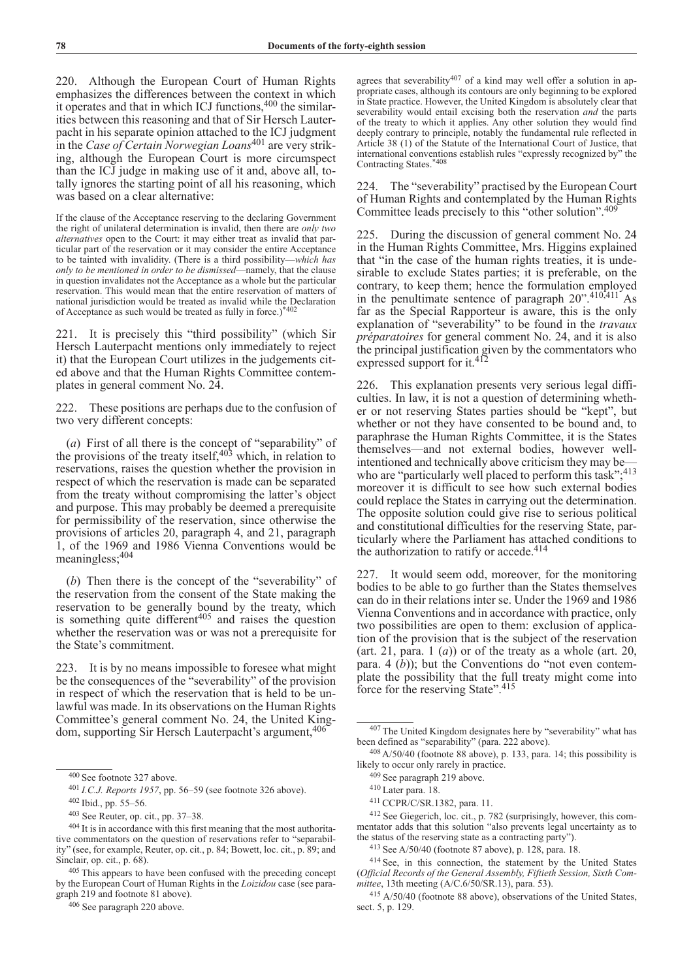220. Although the European Court of Human Rights emphasizes the differences between the context in which it operates and that in which ICJ functions, 400 the similarities between this reasoning and that of Sir Hersch Lauterpacht in his separate opinion attached to the ICJ judgment in the *Case of Certain Norwegian Loans*401 are very striking, although the European Court is more circumspect than the ICJ judge in making use of it and, above all, totally ignores the starting point of all his reasoning, which was based on a clear alternative:

If the clause of the Acceptance reserving to the declaring Government the right of unilateral determination is invalid, then there are *only two alternatives* open to the Court: it may either treat as invalid that particular part of the reservation or it may consider the entire Acceptance to be tainted with invalidity. (There is a third possibility—*which has only to be mentioned in order to be dismissed*—namely, that the clause in question invalidates not the Acceptance as a whole but the particular reservation. This would mean that the entire reservation of matters of national jurisdiction would be treated as invalid while the Declaration of Acceptance as such would be treated as fully in force.)\*402

221. It is precisely this "third possibility" (which Sir Hersch Lauterpacht mentions only immediately to reject it) that the European Court utilizes in the judgements cited above and that the Human Rights Committee contemplates in general comment No. 24.

222. These positions are perhaps due to the confusion of two very different concepts:

(*a*) First of all there is the concept of "separability" of the provisions of the treaty itself,  $403$  which, in relation to reservations, raises the question whether the provision in respect of which the reservation is made can be separated from the treaty without compromising the latter's object and purpose. This may probably be deemed a prerequisite for permissibility of the reservation, since otherwise the provisions of articles 20, paragraph 4, and 21, paragraph 1, of the 1969 and 1986 Vienna Conventions would be meaningless;404

(*b*) Then there is the concept of the "severability" of the reservation from the consent of the State making the reservation to be generally bound by the treaty, which is something quite different<sup> $405$ </sup> and raises the question whether the reservation was or was not a prerequisite for the State's commitment.

223. It is by no means impossible to foresee what might be the consequences of the "severability" of the provision in respect of which the reservation that is held to be unlawful was made. In its observations on the Human Rights Committee's general comment No. 24, the United Kingdom, supporting Sir Hersch Lauterpacht's argument,  $406$ 

<sup>406</sup> See paragraph 220 above.

agrees that severability<sup>407</sup> of a kind may well offer a solution in appropriate cases, although its contours are only beginning to be explored in State practice. However, the United Kingdom is absolutely clear that severability would entail excising both the reservation *and* the parts of the treaty to which it applies. Any other solution they would find deeply contrary to principle, notably the fundamental rule reflected in Article 38 (1) of the Statute of the International Court of Justice, that international conventions establish rules "expressly recognized by" the Contracting States.\*408

224. The "severability" practised by the European Court of Human Rights and contemplated by the Human Rights Committee leads precisely to this "other solution".409

225. During the discussion of general comment No. 24 in the Human Rights Committee, Mrs. Higgins explained that "in the case of the human rights treaties, it is undesirable to exclude States parties; it is preferable, on the contrary, to keep them; hence the formulation employed in the penultimate sentence of paragraph  $20^{\circ}$ ,  $410,411^{\circ}$  As far as the Special Rapporteur is aware, this is the only explanation of "severability" to be found in the *travaux préparatoires* for general comment No. 24, and it is also the principal justification given by the commentators who expressed support for it.<sup>412</sup>

226. This explanation presents very serious legal difficulties. In law, it is not a question of determining whether or not reserving States parties should be "kept", but whether or not they have consented to be bound and, to paraphrase the Human Rights Committee, it is the States themselves—and not external bodies, however wellintentioned and technically above criticism they may be who are "particularly well placed to perform this task";<sup>413</sup> moreover it is difficult to see how such external bodies could replace the States in carrying out the determination. The opposite solution could give rise to serious political and constitutional difficulties for the reserving State, particularly where the Parliament has attached conditions to the authorization to ratify or accede. $414$ 

227. It would seem odd, moreover, for the monitoring bodies to be able to go further than the States themselves can do in their relations inter se. Under the 1969 and 1986 Vienna Conventions and in accordance with practice, only two possibilities are open to them: exclusion of application of the provision that is the subject of the reservation (art. 21, para. 1  $(a)$ ) or of the treaty as a whole (art. 20, para.  $4(\bar{b})$ ; but the Conventions do "not even contemplate the possibility that the full treaty might come into force for the reserving State".<sup>415</sup>

<sup>400</sup> See footnote 327 above.

<sup>401</sup> *I.C.J. Reports 1957*, pp. 56–59 (see footnote 326 above).

<sup>402</sup> Ibid., pp. 55–56.

<sup>403</sup> See Reuter, op. cit., pp. 37–38.

<sup>404</sup> It is in accordance with this first meaning that the most authoritative commentators on the question of reservations refer to "separability" (see, for example, Reuter, op. cit., p. 84; Bowett, loc. cit., p. 89; and Sinclair, op. cit., p. 68).

<sup>405</sup> This appears to have been confused with the preceding concept by the European Court of Human Rights in the *Loizidou* case (see paragraph 219 and footnote 81 above).

<sup>407</sup> The United Kingdom designates here by "severability" what has been defined as "separability" (para. 222 above).

<sup>408</sup> A/50/40 (footnote 88 above), p. 133, para. 14; this possibility is likely to occur only rarely in practice.

<sup>409</sup> See paragraph 219 above.

<sup>410</sup> Later para. 18.

<sup>411</sup> CCPR/C/SR.1382, para. 11.

<sup>&</sup>lt;sup>412</sup> See Giegerich, loc. cit., p. 782 (surprisingly, however, this commentator adds that this solution "also prevents legal uncertainty as to the status of the reserving state as a contracting party").

<sup>413</sup> See A/50/40 (footnote 87 above), p. 128, para. 18.

<sup>414</sup> See, in this connection, the statement by the United States (*Official Records of the General Assembly, Fiftieth Session, Sixth Committee*, 13th meeting (A/C.6/50/SR.13), para. 53).

<sup>415</sup> A/50/40 (footnote 88 above), observations of the United States, sect. 5, p. 129.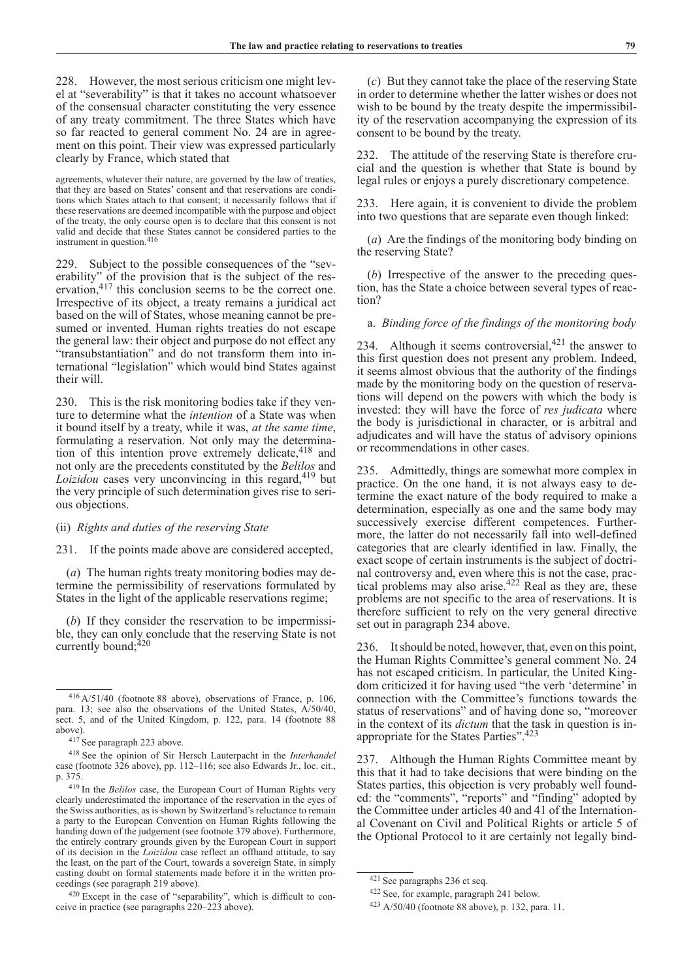228. However, the most serious criticism one might level at "severability" is that it takes no account whatsoever of the consensual character constituting the very essence of any treaty commitment. The three States which have so far reacted to general comment No. 24 are in agreement on this point. Their view was expressed particularly clearly by France, which stated that

agreements, whatever their nature, are governed by the law of treaties, that they are based on States' consent and that reservations are conditions which States attach to that consent; it necessarily follows that if these reservations are deemed incompatible with the purpose and object of the treaty, the only course open is to declare that this consent is not valid and decide that these States cannot be considered parties to the instrument in question.<sup>416</sup>

229. Subject to the possible consequences of the "severability" of the provision that is the subject of the reservation,417 this conclusion seems to be the correct one. Irrespective of its object, a treaty remains a juridical act based on the will of States, whose meaning cannot be presumed or invented. Human rights treaties do not escape the general law: their object and purpose do not effect any "transubstantiation" and do not transform them into international "legislation" which would bind States against their will.

230. This is the risk monitoring bodies take if they venture to determine what the *intention* of a State was when it bound itself by a treaty, while it was, *at the same time*, formulating a reservation. Not only may the determination of this intention prove extremely delicate, 418 and not only are the precedents constituted by the *Belilos* and *Loizidou* cases very unconvincing in this regard,<sup>419</sup> but the very principle of such determination gives rise to serious objections.

# (ii) *Rights and duties of the reserving State*

231. If the points made above are considered accepted,

(*a*) The human rights treaty monitoring bodies may determine the permissibility of reservations formulated by States in the light of the applicable reservations regime;

(*b*) If they consider the reservation to be impermissible, they can only conclude that the reserving State is not currently bound: $420$ 

(*c*) But they cannot take the place of the reserving State in order to determine whether the latter wishes or does not wish to be bound by the treaty despite the impermissibility of the reservation accompanying the expression of its consent to be bound by the treaty.

232. The attitude of the reserving State is therefore crucial and the question is whether that State is bound by legal rules or enjoys a purely discretionary competence.

233. Here again, it is convenient to divide the problem into two questions that are separate even though linked:

(*a*) Are the findings of the monitoring body binding on the reserving State?

(*b*) Irrespective of the answer to the preceding question, has the State a choice between several types of reaction?

a. *Binding force of the findings of the monitoring body*

234. Although it seems controversial, $421$  the answer to this first question does not present any problem. Indeed, it seems almost obvious that the authority of the findings made by the monitoring body on the question of reservations will depend on the powers with which the body is invested: they will have the force of *res judicata* where the body is jurisdictional in character, or is arbitral and adjudicates and will have the status of advisory opinions or recommendations in other cases.

235. Admittedly, things are somewhat more complex in practice. On the one hand, it is not always easy to determine the exact nature of the body required to make a determination, especially as one and the same body may successively exercise different competences. Furthermore, the latter do not necessarily fall into well-defined categories that are clearly identified in law. Finally, the exact scope of certain instruments is the subject of doctrinal controversy and, even where this is not the case, practical problems may also arise.<sup>422</sup> Real as they are, these problems are not specific to the area of reservations. It is therefore sufficient to rely on the very general directive set out in paragraph 234 above.

236. It should be noted, however, that, even on this point, the Human Rights Committee's general comment No. 24 has not escaped criticism. In particular, the United Kingdom criticized it for having used "the verb 'determine' in connection with the Committee's functions towards the status of reservations" and of having done so, "moreover in the context of its *dictum* that the task in question is inappropriate for the States Parties".423

237. Although the Human Rights Committee meant by this that it had to take decisions that were binding on the States parties, this objection is very probably well founded: the "comments", "reports" and "finding" adopted by the Committee under articles 40 and 41 of the International Covenant on Civil and Political Rights or article 5 of the Optional Protocol to it are certainly not legally bind-

<sup>416</sup> A/51/40 (footnote 88 above), observations of France, p. 106, para. 13; see also the observations of the United States, A/50/40, sect. 5, and of the United Kingdom, p. 122, para. 14 (footnote 88 above).

<sup>417</sup> See paragraph 223 above.

<sup>418</sup> See the opinion of Sir Hersch Lauterpacht in the *Interhandel* case (footnote 326 above), pp. 112–116; see also Edwards Jr., loc. cit., p. 375.

<sup>419</sup> In the *Belilos* case, the European Court of Human Rights very clearly underestimated the importance of the reservation in the eyes of the Swiss authorities, as is shown by Switzerland's reluctance to remain a party to the European Convention on Human Rights following the handing down of the judgement (see footnote 379 above). Furthermore, the entirely contrary grounds given by the European Court in support of its decision in the *Loizidou* case reflect an offhand attitude, to say the least, on the part of the Court, towards a sovereign State, in simply casting doubt on formal statements made before it in the written proceedings (see paragraph 219 above).

<sup>420</sup> Except in the case of "separability", which is difficult to conceive in practice (see paragraphs 220–223 above).

<sup>421</sup> See paragraphs 236 et seq.

<sup>422</sup> See, for example, paragraph 241 below.

<sup>423</sup> A/50/40 (footnote 88 above), p. 132, para. 11.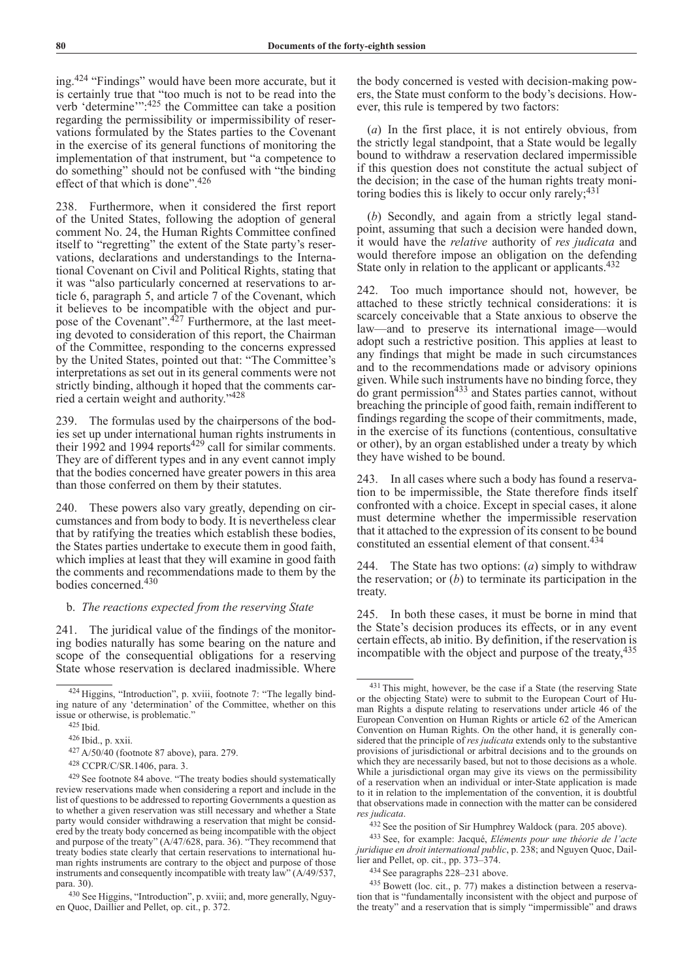ing.424 "Findings" would have been more accurate, but it is certainly true that "too much is not to be read into the verb 'determine'":425 the Committee can take a position regarding the permissibility or impermissibility of reservations formulated by the States parties to the Covenant in the exercise of its general functions of monitoring the implementation of that instrument, but "a competence to do something" should not be confused with "the binding effect of that which is done".426

238. Furthermore, when it considered the first report of the United States, following the adoption of general comment No. 24, the Human Rights Committee confined itself to "regretting" the extent of the State party's reservations, declarations and understandings to the International Covenant on Civil and Political Rights, stating that it was "also particularly concerned at reservations to article 6, paragraph 5, and article 7 of the Covenant, which it believes to be incompatible with the object and purpose of the Covenant".<sup>427</sup> Furthermore, at the last meeting devoted to consideration of this report, the Chairman of the Committee, responding to the concerns expressed by the United States, pointed out that: "The Committee's interpretations as set out in its general comments were not strictly binding, although it hoped that the comments carried a certain weight and authority."428

239. The formulas used by the chairpersons of the bodies set up under international human rights instruments in their 1992 and 1994 reports<sup>429</sup> call for similar comments. They are of different types and in any event cannot imply that the bodies concerned have greater powers in this area than those conferred on them by their statutes.

240. These powers also vary greatly, depending on circumstances and from body to body. It is nevertheless clear that by ratifying the treaties which establish these bodies, the States parties undertake to execute them in good faith, which implies at least that they will examine in good faith the comments and recommendations made to them by the bodies concerned.430

## b. *The reactions expected from the reserving State*

241. The juridical value of the findings of the monitoring bodies naturally has some bearing on the nature and scope of the consequential obligations for a reserving State whose reservation is declared inadmissible. Where

<sup>430</sup> See Higgins, "Introduction", p. xviii; and, more generally, Nguyen Quoc, Daillier and Pellet, op. cit., p. 372.

the body concerned is vested with decision-making powers, the State must conform to the body's decisions. However, this rule is tempered by two factors:

(*a*) In the first place, it is not entirely obvious, from the strictly legal standpoint, that a State would be legally bound to withdraw a reservation declared impermissible if this question does not constitute the actual subject of the decision; in the case of the human rights treaty monitoring bodies this is likely to occur only rarely;<sup>431</sup>

(*b*) Secondly, and again from a strictly legal standpoint, assuming that such a decision were handed down, it would have the *relative* authority of *res judicata* and would therefore impose an obligation on the defending State only in relation to the applicant or applicants.<sup>432</sup>

242. Too much importance should not, however, be attached to these strictly technical considerations: it is scarcely conceivable that a State anxious to observe the law—and to preserve its international image—would adopt such a restrictive position. This applies at least to any findings that might be made in such circumstances and to the recommendations made or advisory opinions given. While such instruments have no binding force, they do grant permission<sup>433</sup> and States parties cannot, without breaching the principle of good faith, remain indifferent to findings regarding the scope of their commitments, made, in the exercise of its functions (contentious, consultative or other), by an organ established under a treaty by which they have wished to be bound.

243. In all cases where such a body has found a reservation to be impermissible, the State therefore finds itself confronted with a choice. Except in special cases, it alone must determine whether the impermissible reservation that it attached to the expression of its consent to be bound constituted an essential element of that consent.434

244. The State has two options: (*a*) simply to withdraw the reservation; or (*b*) to terminate its participation in the treaty.

245. In both these cases, it must be borne in mind that the State's decision produces its effects, or in any event certain effects, ab initio. By definition, if the reservation is incompatible with the object and purpose of the treaty,<sup>435</sup>

<sup>424</sup> Higgins, "Introduction", p. xviii, footnote 7: "The legally binding nature of any 'determination' of the Committee, whether on this issue or otherwise, is problematic."

<sup>425</sup> Ibid.

<sup>426</sup> Ibid., p. xxii.

<sup>427</sup> A/50/40 (footnote 87 above), para. 279. 428 CCPR/C/SR.1406, para. 3.

<sup>429</sup> See footnote 84 above. "The treaty bodies should systematically review reservations made when considering a report and include in the list of questions to be addressed to reporting Governments a question as to whether a given reservation was still necessary and whether a State party would consider withdrawing a reservation that might be considered by the treaty body concerned as being incompatible with the object and purpose of the treaty" (A/47/628, para. 36). "They recommend that treaty bodies state clearly that certain reservations to international human rights instruments are contrary to the object and purpose of those instruments and consequently incompatible with treaty law" (A/49/537, para. 30).

<sup>431</sup> This might, however, be the case if a State (the reserving State or the objecting State) were to submit to the European Court of Human Rights a dispute relating to reservations under article 46 of the European Convention on Human Rights or article 62 of the American Convention on Human Rights. On the other hand, it is generally considered that the principle of *res judicata* extends only to the substantive provisions of jurisdictional or arbitral decisions and to the grounds on which they are necessarily based, but not to those decisions as a whole. While a jurisdictional organ may give its views on the permissibility of a reservation when an individual or inter-State application is made to it in relation to the implementation of the convention, it is doubtful that observations made in connection with the matter can be considered *res judicata*.

<sup>432</sup> See the position of Sir Humphrey Waldock (para. 205 above).

<sup>433</sup> See, for example: Jacqué, *Eléments pour une théorie de l'acte juridique en droit international public*, p. 238; and Nguyen Quoc, Daillier and Pellet, op. cit., pp. 373–374.

<sup>434</sup> See paragraphs 228–231 above.

<sup>435</sup> Bowett (loc. cit., p. 77) makes a distinction between a reservation that is "fundamentally inconsistent with the object and purpose of the treaty" and a reservation that is simply "impermissible" and draws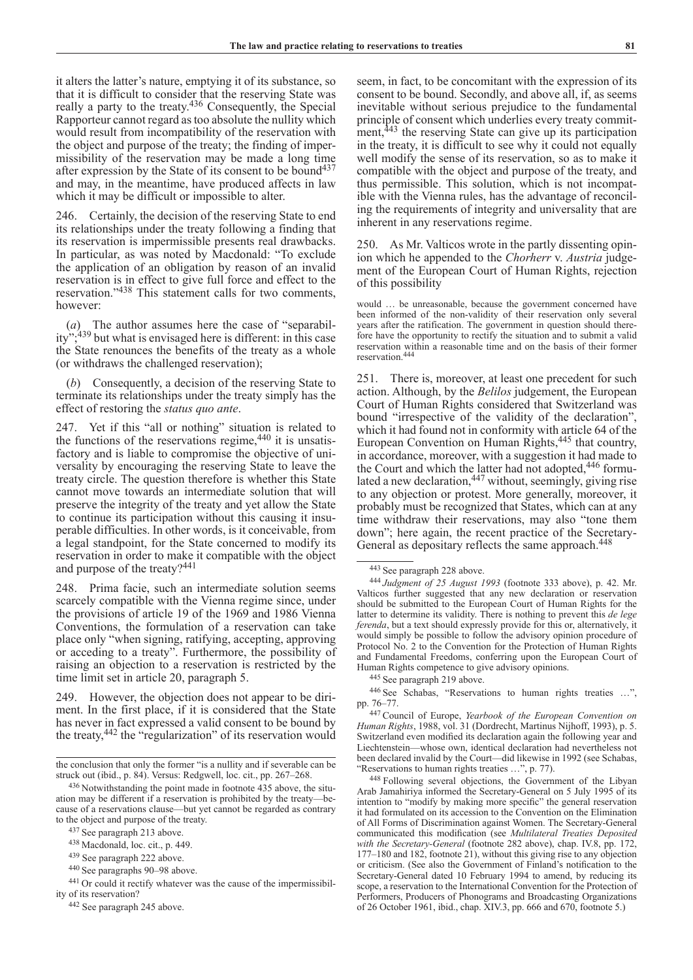it alters the latter's nature, emptying it of its substance, so that it is difficult to consider that the reserving State was really a party to the treaty.436 Consequently, the Special Rapporteur cannot regard as too absolute the nullity which would result from incompatibility of the reservation with the object and purpose of the treaty; the finding of impermissibility of the reservation may be made a long time after expression by the State of its consent to be bound<sup>437</sup> and may, in the meantime, have produced affects in law which it may be difficult or impossible to alter.

246. Certainly, the decision of the reserving State to end its relationships under the treaty following a finding that its reservation is impermissible presents real drawbacks. In particular, as was noted by Macdonald: "To exclude the application of an obligation by reason of an invalid reservation is in effect to give full force and effect to the reservation."438 This statement calls for two comments, however:

(*a*) The author assumes here the case of "separability";439 but what is envisaged here is different: in this case the State renounces the benefits of the treaty as a whole (or withdraws the challenged reservation);

(*b*) Consequently, a decision of the reserving State to terminate its relationships under the treaty simply has the effect of restoring the *status quo ante*.

247. Yet if this "all or nothing" situation is related to the functions of the reservations regime,  $440$  it is unsatisfactory and is liable to compromise the objective of universality by encouraging the reserving State to leave the treaty circle. The question therefore is whether this State cannot move towards an intermediate solution that will preserve the integrity of the treaty and yet allow the State to continue its participation without this causing it insuperable difficulties. In other words, is it conceivable, from a legal standpoint, for the State concerned to modify its reservation in order to make it compatible with the object and purpose of the treaty?<sup>441</sup>

248. Prima facie, such an intermediate solution seems scarcely compatible with the Vienna regime since, under the provisions of article 19 of the 1969 and 1986 Vienna Conventions, the formulation of a reservation can take place only "when signing, ratifying, accepting, approving or acceding to a treaty". Furthermore, the possibility of raising an objection to a reservation is restricted by the time limit set in article 20, paragraph 5.

249. However, the objection does not appear to be diriment. In the first place, if it is considered that the State has never in fact expressed a valid consent to be bound by the treaty,442 the "regularization" of its reservation would

seem, in fact, to be concomitant with the expression of its consent to be bound. Secondly, and above all, if, as seems inevitable without serious prejudice to the fundamental principle of consent which underlies every treaty commitment,<sup>443</sup> the reserving State can give up its participation in the treaty, it is difficult to see why it could not equally well modify the sense of its reservation, so as to make it compatible with the object and purpose of the treaty, and thus permissible. This solution, which is not incompatible with the Vienna rules, has the advantage of reconciling the requirements of integrity and universality that are inherent in any reservations regime.

250. As Mr. Valticos wrote in the partly dissenting opinion which he appended to the *Chorherr* v. *Austria* judgement of the European Court of Human Rights, rejection of this possibility

would … be unreasonable, because the government concerned have been informed of the non-validity of their reservation only several years after the ratification. The government in question should therefore have the opportunity to rectify the situation and to submit a valid reservation within a reasonable time and on the basis of their former reservation.444

251. There is, moreover, at least one precedent for such action. Although, by the *Belilos* judgement, the European Court of Human Rights considered that Switzerland was bound "irrespective of the validity of the declaration", which it had found not in conformity with article 64 of the European Convention on Human Rights,445 that country, in accordance, moreover, with a suggestion it had made to the Court and which the latter had not adopted,<sup>446</sup> formulated a new declaration,  $447$  without, seemingly, giving rise to any objection or protest. More generally, moreover, it probably must be recognized that States, which can at any time withdraw their reservations, may also "tone them down"; here again, the recent practice of the Secretary-General as depositary reflects the same approach.<sup>448</sup>

<sup>446</sup> See Schabas, "Reservations to human rights treaties …", pp. 76–77.

<sup>447</sup> Council of Europe, *Yearbook of the European Convention on Human Rights*, 1988, vol. 31 (Dordrecht, Martinus Nijhoff, 1993), p. 5. Switzerland even modified its declaration again the following year and Liechtenstein—whose own, identical declaration had nevertheless not been declared invalid by the Court—did likewise in 1992 (see Schabas, "Reservations to human rights treaties …", p. 77).

<sup>448</sup> Following several objections, the Government of the Libyan Arab Jamahiriya informed the Secretary-General on 5 July 1995 of its intention to "modify by making more specific" the general reservation it had formulated on its accession to the Convention on the Elimination of All Forms of Discrimination against Women. The Secretary-General communicated this modification (see *Multilateral Treaties Deposited with the Secretary-General* (footnote 282 above), chap. IV.8, pp. 172, 177–180 and 182, footnote 21), without this giving rise to any objection or criticism. (See also the Government of Finland's notification to the Secretary-General dated 10 February 1994 to amend, by reducing its scope, a reservation to the International Convention for the Protection of Performers, Producers of Phonograms and Broadcasting Organizations of 26 October 1961, ibid., chap. XIV.3, pp. 666 and 670, footnote 5.)

the conclusion that only the former "is a nullity and if severable can be struck out (ibid., p. 84). Versus: Redgwell, loc. cit., pp. 267–268.

<sup>436</sup> Notwithstanding the point made in footnote 435 above, the situation may be different if a reservation is prohibited by the treaty—because of a reservations clause—but yet cannot be regarded as contrary to the object and purpose of the treaty.

<sup>437</sup> See paragraph 213 above.

<sup>438</sup> Macdonald, loc. cit., p. 449.

<sup>439</sup> See paragraph 222 above.

<sup>440</sup> See paragraphs 90–98 above.<br><sup>441</sup> Or could it rectify whatever was the cause of the impermissibility of its reservation?

<sup>442</sup> See paragraph 245 above.

<sup>443</sup> See paragraph 228 above.

<sup>444</sup> *Judgment of 25 August 1993* (footnote 333 above), p. 42. Mr. Valticos further suggested that any new declaration or reservation should be submitted to the European Court of Human Rights for the latter to determine its validity. There is nothing to prevent this *de lege ferenda*, but a text should expressly provide for this or, alternatively, it would simply be possible to follow the advisory opinion procedure of Protocol No. 2 to the Convention for the Protection of Human Rights and Fundamental Freedoms, conferring upon the European Court of Human Rights competence to give advisory opinions.

<sup>445</sup> See paragraph 219 above.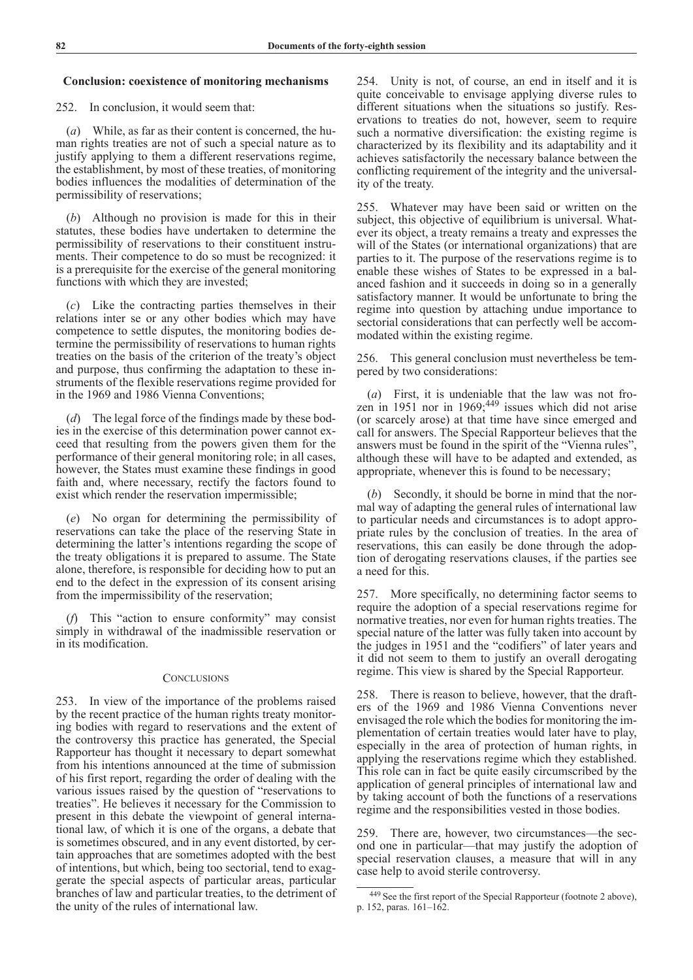## **Conclusion: coexistence of monitoring mechanisms**

252. In conclusion, it would seem that:

(*a*) While, as far as their content is concerned, the human rights treaties are not of such a special nature as to justify applying to them a different reservations regime, the establishment, by most of these treaties, of monitoring bodies influences the modalities of determination of the permissibility of reservations;

(*b*) Although no provision is made for this in their statutes, these bodies have undertaken to determine the permissibility of reservations to their constituent instruments. Their competence to do so must be recognized: it is a prerequisite for the exercise of the general monitoring functions with which they are invested;

(*c*) Like the contracting parties themselves in their relations inter se or any other bodies which may have competence to settle disputes, the monitoring bodies determine the permissibility of reservations to human rights treaties on the basis of the criterion of the treaty's object and purpose, thus confirming the adaptation to these instruments of the flexible reservations regime provided for in the 1969 and 1986 Vienna Conventions;

(*d*) The legal force of the findings made by these bodies in the exercise of this determination power cannot exceed that resulting from the powers given them for the performance of their general monitoring role; in all cases, however, the States must examine these findings in good faith and, where necessary, rectify the factors found to exist which render the reservation impermissible;

(*e*) No organ for determining the permissibility of reservations can take the place of the reserving State in determining the latter's intentions regarding the scope of the treaty obligations it is prepared to assume. The State alone, therefore, is responsible for deciding how to put an end to the defect in the expression of its consent arising from the impermissibility of the reservation;

(*f*) This "action to ensure conformity" may consist simply in withdrawal of the inadmissible reservation or in its modification.

## **CONCLUSIONS**

253. In view of the importance of the problems raised by the recent practice of the human rights treaty monitoring bodies with regard to reservations and the extent of the controversy this practice has generated, the Special Rapporteur has thought it necessary to depart somewhat from his intentions announced at the time of submission of his first report, regarding the order of dealing with the various issues raised by the question of "reservations to treaties". He believes it necessary for the Commission to present in this debate the viewpoint of general international law, of which it is one of the organs, a debate that is sometimes obscured, and in any event distorted, by certain approaches that are sometimes adopted with the best of intentions, but which, being too sectorial, tend to exaggerate the special aspects of particular areas, particular branches of law and particular treaties, to the detriment of the unity of the rules of international law.

254. Unity is not, of course, an end in itself and it is quite conceivable to envisage applying diverse rules to different situations when the situations so justify. Reservations to treaties do not, however, seem to require such a normative diversification: the existing regime is characterized by its flexibility and its adaptability and it achieves satisfactorily the necessary balance between the conflicting requirement of the integrity and the universality of the treaty.

255. Whatever may have been said or written on the subject, this objective of equilibrium is universal. Whatever its object, a treaty remains a treaty and expresses the will of the States (or international organizations) that are parties to it. The purpose of the reservations regime is to enable these wishes of States to be expressed in a balanced fashion and it succeeds in doing so in a generally satisfactory manner. It would be unfortunate to bring the regime into question by attaching undue importance to sectorial considerations that can perfectly well be accommodated within the existing regime.

256. This general conclusion must nevertheless be tempered by two considerations:

(*a*) First, it is undeniable that the law was not frozen in 1951 nor in 1969; $449$  issues which did not arise (or scarcely arose) at that time have since emerged and call for answers. The Special Rapporteur believes that the answers must be found in the spirit of the "Vienna rules", although these will have to be adapted and extended, as appropriate, whenever this is found to be necessary;

(*b*) Secondly, it should be borne in mind that the normal way of adapting the general rules of international law to particular needs and circumstances is to adopt appropriate rules by the conclusion of treaties. In the area of reservations, this can easily be done through the adoption of derogating reservations clauses, if the parties see a need for this.

257. More specifically, no determining factor seems to require the adoption of a special reservations regime for normative treaties, nor even for human rights treaties. The special nature of the latter was fully taken into account by the judges in 1951 and the "codifiers" of later years and it did not seem to them to justify an overall derogating regime. This view is shared by the Special Rapporteur.

258. There is reason to believe, however, that the drafters of the 1969 and 1986 Vienna Conventions never envisaged the role which the bodies for monitoring the implementation of certain treaties would later have to play, especially in the area of protection of human rights, in applying the reservations regime which they established. This role can in fact be quite easily circumscribed by the application of general principles of international law and by taking account of both the functions of a reservations regime and the responsibilities vested in those bodies.

259. There are, however, two circumstances—the second one in particular—that may justify the adoption of special reservation clauses, a measure that will in any case help to avoid sterile controversy.

<sup>449</sup> See the first report of the Special Rapporteur (footnote 2 above), p. 152, paras. 161–162.